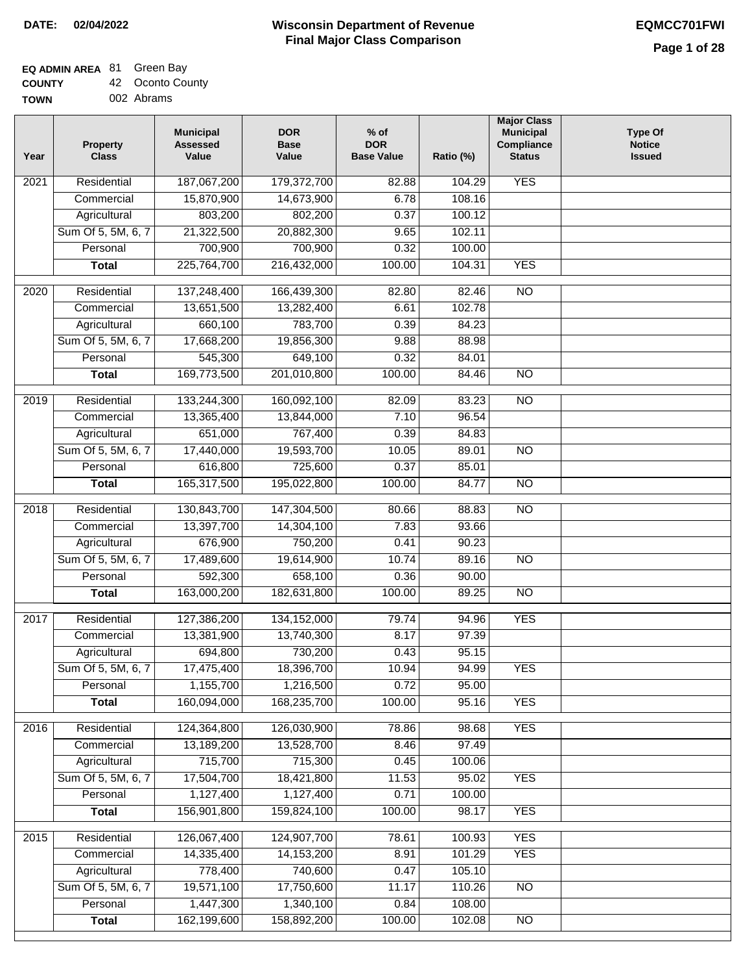### **EQ ADMIN AREA** 81 Green Bay

**COUNTY** 42 Oconto County

**TOWN** 002 Abrams

| Year              | <b>Property</b><br><b>Class</b> | <b>Municipal</b><br><b>Assessed</b><br>Value | <b>DOR</b><br><b>Base</b><br>Value | $%$ of<br><b>DOR</b><br><b>Base Value</b> | Ratio (%) | <b>Major Class</b><br><b>Municipal</b><br>Compliance<br><b>Status</b> | <b>Type Of</b><br><b>Notice</b><br><b>Issued</b> |
|-------------------|---------------------------------|----------------------------------------------|------------------------------------|-------------------------------------------|-----------|-----------------------------------------------------------------------|--------------------------------------------------|
| $\overline{202}1$ | Residential                     | 187,067,200                                  | 179,372,700                        | 82.88                                     | 104.29    | <b>YES</b>                                                            |                                                  |
|                   | Commercial                      | 15,870,900                                   | 14,673,900                         | 6.78                                      | 108.16    |                                                                       |                                                  |
|                   | Agricultural                    | 803,200                                      | 802,200                            | 0.37                                      | 100.12    |                                                                       |                                                  |
|                   | Sum Of 5, 5M, 6, 7              | 21,322,500                                   | 20,882,300                         | 9.65                                      | 102.11    |                                                                       |                                                  |
|                   | Personal                        | 700,900                                      | 700,900                            | 0.32                                      | 100.00    |                                                                       |                                                  |
|                   | <b>Total</b>                    | 225,764,700                                  | 216,432,000                        | 100.00                                    | 104.31    | <b>YES</b>                                                            |                                                  |
| $\overline{2020}$ | Residential                     | 137,248,400                                  | 166,439,300                        | 82.80                                     | 82.46     | $\overline{10}$                                                       |                                                  |
|                   | Commercial                      | 13,651,500                                   | 13,282,400                         | 6.61                                      | 102.78    |                                                                       |                                                  |
|                   | Agricultural                    | 660,100                                      | 783,700                            | 0.39                                      | 84.23     |                                                                       |                                                  |
|                   | Sum Of 5, 5M, 6, 7              | 17,668,200                                   | 19,856,300                         | 9.88                                      | 88.98     |                                                                       |                                                  |
|                   | Personal                        | 545,300                                      | 649,100                            | 0.32                                      | 84.01     |                                                                       |                                                  |
|                   | <b>Total</b>                    | 169,773,500                                  | 201,010,800                        | 100.00                                    | 84.46     | $\overline{NO}$                                                       |                                                  |
| 2019              | Residential                     | 133,244,300                                  | 160,092,100                        | 82.09                                     | 83.23     | $\overline{10}$                                                       |                                                  |
|                   | Commercial                      | 13,365,400                                   | 13,844,000                         | 7.10                                      | 96.54     |                                                                       |                                                  |
|                   | Agricultural                    | 651,000                                      | 767,400                            | 0.39                                      | 84.83     |                                                                       |                                                  |
|                   | Sum Of 5, 5M, 6, 7              | 17,440,000                                   | 19,593,700                         | 10.05                                     | 89.01     | $\overline{NO}$                                                       |                                                  |
|                   | Personal                        | 616,800                                      | 725,600                            | 0.37                                      | 85.01     |                                                                       |                                                  |
|                   |                                 |                                              |                                    | 100.00                                    | 84.77     |                                                                       |                                                  |
|                   | <b>Total</b>                    | 165,317,500                                  | 195,022,800                        |                                           |           | $\overline{NO}$                                                       |                                                  |
| 2018              | Residential                     | 130,843,700                                  | 147,304,500                        | 80.66                                     | 88.83     | $\overline{10}$                                                       |                                                  |
|                   | Commercial                      | 13,397,700                                   | 14,304,100                         | 7.83                                      | 93.66     |                                                                       |                                                  |
|                   | Agricultural                    | 676,900                                      | 750,200                            | 0.41                                      | 90.23     |                                                                       |                                                  |
|                   | Sum Of 5, 5M, 6, 7              | 17,489,600                                   | 19,614,900                         | 10.74                                     | 89.16     | $\overline{10}$                                                       |                                                  |
|                   | Personal                        | 592,300                                      | 658,100                            | 0.36                                      | 90.00     |                                                                       |                                                  |
|                   | <b>Total</b>                    | 163,000,200                                  | 182,631,800                        | 100.00                                    | 89.25     | <b>NO</b>                                                             |                                                  |
| 2017              | Residential                     | 127,386,200                                  | 134,152,000                        | 79.74                                     | 94.96     | <b>YES</b>                                                            |                                                  |
|                   | Commercial                      | 13,381,900                                   | 13,740,300                         | 8.17                                      | 97.39     |                                                                       |                                                  |
|                   | Agricultural                    | 694,800                                      | 730,200                            | 0.43                                      | 95.15     |                                                                       |                                                  |
|                   | Sum Of 5, 5M, 6, 7              | 17,475,400                                   | 18,396,700                         | 10.94                                     | 94.99     | <b>YES</b>                                                            |                                                  |
|                   | Personal                        | 1,155,700                                    | 1,216,500                          | 0.72                                      | 95.00     |                                                                       |                                                  |
|                   | <b>Total</b>                    | 160,094,000                                  | 168,235,700                        | 100.00                                    | 95.16     | <b>YES</b>                                                            |                                                  |
| 2016              | Residential                     | 124,364,800                                  | 126,030,900                        | 78.86                                     | 98.68     | <b>YES</b>                                                            |                                                  |
|                   | Commercial                      | 13,189,200                                   | 13,528,700                         | 8.46                                      | 97.49     |                                                                       |                                                  |
|                   | Agricultural                    | 715,700                                      | 715,300                            | 0.45                                      | 100.06    |                                                                       |                                                  |
|                   | Sum Of 5, 5M, 6, 7              | 17,504,700                                   | 18,421,800                         | 11.53                                     | 95.02     | <b>YES</b>                                                            |                                                  |
|                   | Personal                        | 1,127,400                                    | 1,127,400                          | 0.71                                      | 100.00    |                                                                       |                                                  |
|                   | <b>Total</b>                    | 156,901,800                                  | 159,824,100                        | 100.00                                    | 98.17     | <b>YES</b>                                                            |                                                  |
| 2015              | Residential                     | 126,067,400                                  | 124,907,700                        | 78.61                                     | 100.93    | <b>YES</b>                                                            |                                                  |
|                   | Commercial                      | 14,335,400                                   | 14, 153, 200                       | 8.91                                      | 101.29    | <b>YES</b>                                                            |                                                  |
|                   | Agricultural                    | 778,400                                      | 740,600                            | 0.47                                      | 105.10    |                                                                       |                                                  |
|                   | Sum Of 5, 5M, 6, 7              | 19,571,100                                   | 17,750,600                         | 11.17                                     | 110.26    | <b>NO</b>                                                             |                                                  |
|                   | Personal                        | 1,447,300                                    | 1,340,100                          | 0.84                                      | 108.00    |                                                                       |                                                  |
|                   | <b>Total</b>                    | 162,199,600                                  | 158,892,200                        | 100.00                                    | 102.08    | NO                                                                    |                                                  |
|                   |                                 |                                              |                                    |                                           |           |                                                                       |                                                  |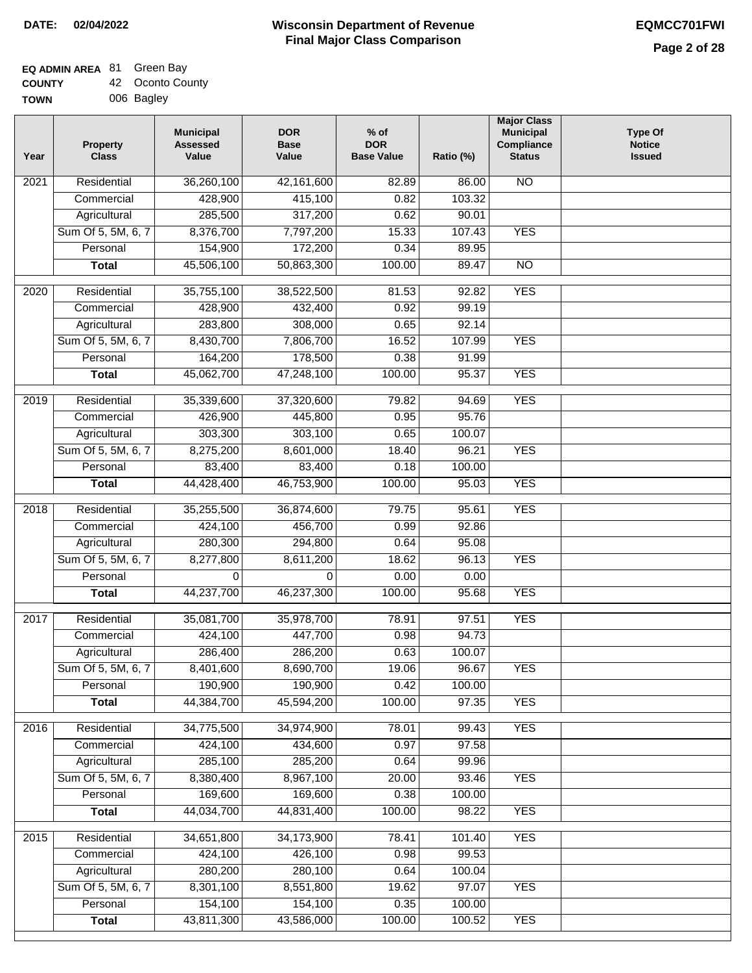$\Box$ 

#### **Wisconsin Department of Revenue Final Major Class Comparison DATE: 02/04/2022 EQMCC701FWI**

#### **EQ ADMIN AREA** 81 Green Bay **COUNTY** 42 Oconto County

| <b>COUNTY</b> | 42 <b>OCOTILO COU</b> |
|---------------|-----------------------|
| <b>TOWN</b>   | 006 Bagley            |

| Year | <b>Property</b><br><b>Class</b> | <b>Municipal</b><br><b>Assessed</b><br>Value | <b>DOR</b><br><b>Base</b><br>Value | $%$ of<br><b>DOR</b><br><b>Base Value</b> | Ratio (%) | <b>Major Class</b><br><b>Municipal</b><br>Compliance<br><b>Status</b> | <b>Type Of</b><br><b>Notice</b><br><b>Issued</b> |
|------|---------------------------------|----------------------------------------------|------------------------------------|-------------------------------------------|-----------|-----------------------------------------------------------------------|--------------------------------------------------|
| 2021 | Residential                     | 36,260,100                                   | 42,161,600                         | 82.89                                     | 86.00     | <b>NO</b>                                                             |                                                  |
|      | Commercial                      | 428,900                                      | 415,100                            | 0.82                                      | 103.32    |                                                                       |                                                  |
|      | Agricultural                    | 285,500                                      | 317,200                            | 0.62                                      | 90.01     |                                                                       |                                                  |
|      | Sum Of 5, 5M, 6, 7              | 8,376,700                                    | 7,797,200                          | 15.33                                     | 107.43    | <b>YES</b>                                                            |                                                  |
|      | Personal                        | 154,900                                      | 172,200                            | 0.34                                      | 89.95     |                                                                       |                                                  |
|      | <b>Total</b>                    | 45,506,100                                   | 50,863,300                         | 100.00                                    | 89.47     | $\overline{NO}$                                                       |                                                  |
| 2020 | Residential                     | 35,755,100                                   | 38,522,500                         | 81.53                                     | 92.82     | <b>YES</b>                                                            |                                                  |
|      | Commercial                      | 428,900                                      | 432,400                            | 0.92                                      | 99.19     |                                                                       |                                                  |
|      | Agricultural                    | 283,800                                      | 308,000                            | 0.65                                      | 92.14     |                                                                       |                                                  |
|      | Sum Of 5, 5M, 6, 7              | 8,430,700                                    | 7,806,700                          | 16.52                                     | 107.99    | <b>YES</b>                                                            |                                                  |
|      | Personal                        | 164,200                                      | 178,500                            | 0.38                                      | 91.99     |                                                                       |                                                  |
|      | <b>Total</b>                    | 45,062,700                                   | 47,248,100                         | 100.00                                    | 95.37     | <b>YES</b>                                                            |                                                  |
|      |                                 |                                              |                                    |                                           |           |                                                                       |                                                  |
| 2019 | Residential                     | 35,339,600                                   | 37,320,600                         | 79.82                                     | 94.69     | <b>YES</b>                                                            |                                                  |
|      | Commercial                      | 426,900                                      | 445,800                            | 0.95                                      | 95.76     |                                                                       |                                                  |
|      | Agricultural                    | 303,300                                      | 303,100                            | 0.65                                      | 100.07    |                                                                       |                                                  |
|      | Sum Of 5, 5M, 6, 7              | 8,275,200                                    | 8,601,000                          | 18.40                                     | 96.21     | <b>YES</b>                                                            |                                                  |
|      | Personal                        | 83,400                                       | 83,400                             | 0.18                                      | 100.00    |                                                                       |                                                  |
|      | <b>Total</b>                    | 44,428,400                                   | 46,753,900                         | 100.00                                    | 95.03     | <b>YES</b>                                                            |                                                  |
| 2018 | Residential                     | 35,255,500                                   | 36,874,600                         | 79.75                                     | 95.61     | <b>YES</b>                                                            |                                                  |
|      | Commercial                      | 424,100                                      | 456,700                            | 0.99                                      | 92.86     |                                                                       |                                                  |
|      | Agricultural                    | 280,300                                      | 294,800                            | 0.64                                      | 95.08     |                                                                       |                                                  |
|      | Sum Of 5, 5M, 6, 7              | 8,277,800                                    | 8,611,200                          | 18.62                                     | 96.13     | <b>YES</b>                                                            |                                                  |
|      | Personal                        | $\Omega$                                     | $\Omega$                           | 0.00                                      | 0.00      |                                                                       |                                                  |
|      | <b>Total</b>                    | 44,237,700                                   | 46,237,300                         | 100.00                                    | 95.68     | <b>YES</b>                                                            |                                                  |
| 2017 | Residential                     | 35,081,700                                   | 35,978,700                         | 78.91                                     | 97.51     | <b>YES</b>                                                            |                                                  |
|      | Commercial                      | 424,100                                      | 447,700                            | 0.98                                      | 94.73     |                                                                       |                                                  |
|      | Agricultural                    | 286,400                                      | 286,200                            | 0.63                                      | 100.07    |                                                                       |                                                  |
|      | Sum Of 5, 5M, 6, 7              | 8,401,600                                    | 8,690,700                          | 19.06                                     | 96.67     | <b>YES</b>                                                            |                                                  |
|      | Personal                        | 190,900                                      | 190,900                            | 0.42                                      | 100.00    |                                                                       |                                                  |
|      | <b>Total</b>                    | 44,384,700                                   | 45,594,200                         | 100.00                                    | 97.35     | <b>YES</b>                                                            |                                                  |
| 2016 | Residential                     | 34,775,500                                   | 34,974,900                         | 78.01                                     | 99.43     | <b>YES</b>                                                            |                                                  |
|      | Commercial                      | 424,100                                      | 434,600                            | 0.97                                      | 97.58     |                                                                       |                                                  |
|      | Agricultural                    | 285,100                                      | 285,200                            | 0.64                                      | 99.96     |                                                                       |                                                  |
|      | Sum Of 5, 5M, 6, 7              | 8,380,400                                    | 8,967,100                          | 20.00                                     | 93.46     | <b>YES</b>                                                            |                                                  |
|      | Personal                        | 169,600                                      | 169,600                            | 0.38                                      | 100.00    |                                                                       |                                                  |
|      | <b>Total</b>                    | 44,034,700                                   | 44,831,400                         | 100.00                                    | 98.22     | <b>YES</b>                                                            |                                                  |
| 2015 | Residential                     | 34,651,800                                   | 34,173,900                         | 78.41                                     | 101.40    | <b>YES</b>                                                            |                                                  |
|      | Commercial                      | 424,100                                      | 426,100                            | 0.98                                      | 99.53     |                                                                       |                                                  |
|      | Agricultural                    | 280,200                                      | 280,100                            | 0.64                                      | 100.04    |                                                                       |                                                  |
|      | Sum Of 5, 5M, 6, 7              | 8,301,100                                    | 8,551,800                          | 19.62                                     | 97.07     | <b>YES</b>                                                            |                                                  |
|      | Personal                        | 154,100                                      | 154,100                            | 0.35                                      | 100.00    |                                                                       |                                                  |
|      | <b>Total</b>                    | 43,811,300                                   | 43,586,000                         | 100.00                                    | 100.52    | <b>YES</b>                                                            |                                                  |
|      |                                 |                                              |                                    |                                           |           |                                                                       |                                                  |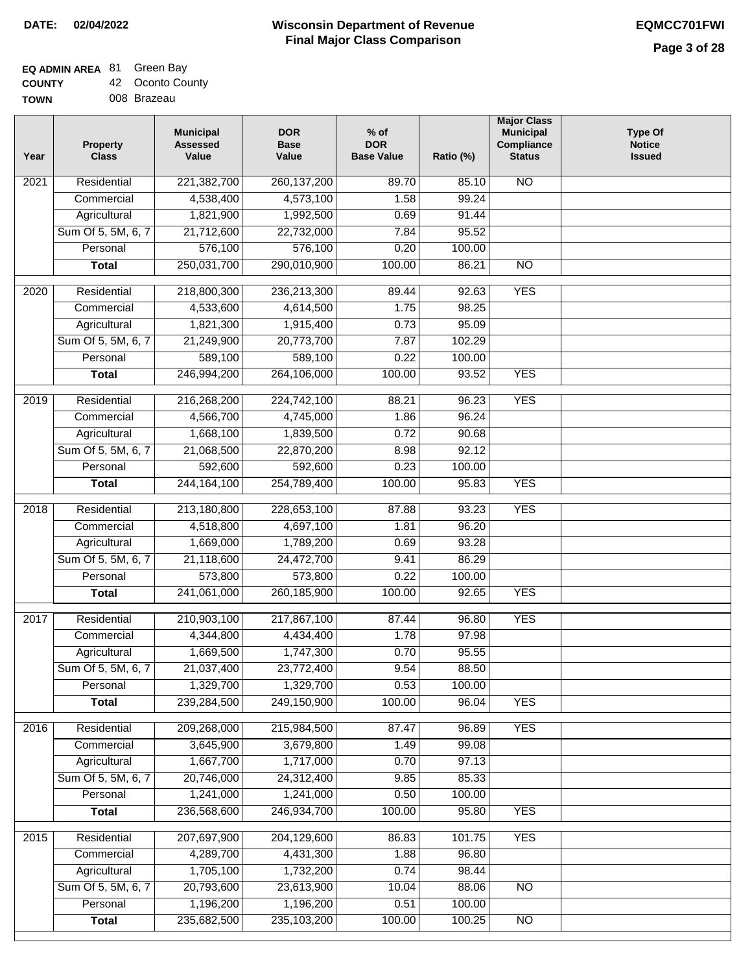### **EQ ADMIN AREA** 81 Green Bay **COUNTY**

| <b>COUNTY</b> | 42 Oconto County |
|---------------|------------------|
| <b>TOWN</b>   | 008 Brazeau      |

| <b>NO</b><br>$\overline{202}1$<br>Residential<br>221,382,700<br>260, 137, 200<br>89.70<br>85.10<br>4,538,400<br>4,573,100<br>1.58<br>99.24<br>Commercial<br>Agricultural<br>1,821,900<br>1,992,500<br>0.69<br>91.44<br>Sum Of 5, 5M, 6, 7<br>21,712,600<br>22,732,000<br>7.84<br>95.52<br>576,100<br>576,100<br>Personal<br>0.20<br>100.00<br>250,031,700<br>290,010,900<br>100.00<br>$\overline{NO}$<br><b>Total</b><br>86.21<br><b>YES</b><br>$\overline{2020}$<br>Residential<br>218,800,300<br>236,213,300<br>89.44<br>92.63<br>4,533,600<br>4,614,500<br>1.75<br>98.25<br>Commercial<br>95.09<br>Agricultural<br>1,821,300<br>1,915,400<br>0.73<br>Sum Of 5, 5M, 6, 7<br>20,773,700<br>21,249,900<br>7.87<br>102.29<br>589,100<br>589,100<br>0.22<br>Personal<br>100.00<br>246,994,200<br>264,106,000<br>100.00<br><b>YES</b><br>93.52<br><b>Total</b><br><b>YES</b><br>2019<br>Residential<br>216,268,200<br>224,742,100<br>88.21<br>96.23<br>4,566,700<br>4,745,000<br>96.24<br>Commercial<br>1.86<br>1,668,100<br>1,839,500<br>0.72<br>90.68<br>Agricultural<br>Sum Of 5, 5M, 6, 7<br>21,068,500<br>22,870,200<br>8.98<br>92.12<br>592,600<br>592,600<br>0.23<br>Personal<br>100.00<br>244, 164, 100<br>254,789,400<br>100.00<br><b>YES</b><br>95.83<br><b>Total</b><br>Residential<br>213,180,800<br>228,653,100<br><b>YES</b><br>2018<br>87.88<br>93.23<br>Commercial<br>4,518,800<br>4,697,100<br>1.81<br>96.20<br>1,669,000<br>1,789,200<br>93.28<br>Agricultural<br>0.69<br>21,118,600<br>Sum Of 5, 5M, 6, 7<br>24,472,700<br>86.29<br>9.41<br>Personal<br>573,800<br>573,800<br>0.22<br>100.00<br>241,061,000<br>260,185,900<br>100.00<br><b>YES</b><br>92.65<br><b>Total</b><br>Residential<br>210,903,100<br>96.80<br><b>YES</b><br>2017<br>217,867,100<br>87.44<br>Commercial<br>4,344,800<br>1.78<br>97.98<br>4,434,400<br>1,747,300<br>1,669,500<br>0.70<br>95.55<br>Agricultural<br>23,772,400<br>88.50<br>Sum Of 5, 5M, 6, 7<br>21,037,400<br>9.54<br>Personal<br>1,329,700<br>1,329,700<br>0.53<br>100.00<br>239,284,500<br>249,150,900<br>100.00<br>96.04<br><b>YES</b><br><b>Total</b><br><b>YES</b><br>Residential<br>209,268,000<br>215,984,500<br>2016<br>87.47<br>96.89<br>3,645,900<br>1.49<br>99.08<br>Commercial<br>3,679,800<br>1,667,700<br>1,717,000<br>0.70<br>97.13<br>Agricultural<br>Sum Of 5, 5M, 6, 7<br>20,746,000<br>24,312,400<br>9.85<br>85.33<br>1,241,000<br>1,241,000<br>0.50<br>Personal<br>100.00<br>236,568,600<br>246,934,700<br>100.00<br>95.80<br><b>YES</b><br><b>Total</b><br><b>YES</b><br>Residential<br>207,697,900<br>204,129,600<br>86.83<br>101.75<br>2015<br>4,289,700<br>4,431,300<br>1.88<br>96.80<br>Commercial<br>1,705,100<br>1,732,200<br>0.74<br>98.44<br>Agricultural<br>Sum Of 5, 5M, 6, 7<br>20,793,600<br>23,613,900<br>10.04<br>88.06<br><b>NO</b><br>1,196,200<br>1,196,200<br>0.51<br>Personal<br>100.00 | Year | <b>Property</b><br><b>Class</b> | <b>Municipal</b><br><b>Assessed</b><br>Value | <b>DOR</b><br><b>Base</b><br>Value | $%$ of<br><b>DOR</b><br><b>Base Value</b> | Ratio (%) | <b>Major Class</b><br><b>Municipal</b><br>Compliance<br><b>Status</b> | <b>Type Of</b><br><b>Notice</b><br><b>Issued</b> |
|--------------------------------------------------------------------------------------------------------------------------------------------------------------------------------------------------------------------------------------------------------------------------------------------------------------------------------------------------------------------------------------------------------------------------------------------------------------------------------------------------------------------------------------------------------------------------------------------------------------------------------------------------------------------------------------------------------------------------------------------------------------------------------------------------------------------------------------------------------------------------------------------------------------------------------------------------------------------------------------------------------------------------------------------------------------------------------------------------------------------------------------------------------------------------------------------------------------------------------------------------------------------------------------------------------------------------------------------------------------------------------------------------------------------------------------------------------------------------------------------------------------------------------------------------------------------------------------------------------------------------------------------------------------------------------------------------------------------------------------------------------------------------------------------------------------------------------------------------------------------------------------------------------------------------------------------------------------------------------------------------------------------------------------------------------------------------------------------------------------------------------------------------------------------------------------------------------------------------------------------------------------------------------------------------------------------------------------------------------------------------------------------------------------------------------------------------------------------------------------------------------------------------------------------------------------------------------------------------------------------------------------------------------------------------------------------------------------------------------------------------------------------------------------------------------------------------------------------------------------------------------------|------|---------------------------------|----------------------------------------------|------------------------------------|-------------------------------------------|-----------|-----------------------------------------------------------------------|--------------------------------------------------|
|                                                                                                                                                                                                                                                                                                                                                                                                                                                                                                                                                                                                                                                                                                                                                                                                                                                                                                                                                                                                                                                                                                                                                                                                                                                                                                                                                                                                                                                                                                                                                                                                                                                                                                                                                                                                                                                                                                                                                                                                                                                                                                                                                                                                                                                                                                                                                                                                                                                                                                                                                                                                                                                                                                                                                                                                                                                                                      |      |                                 |                                              |                                    |                                           |           |                                                                       |                                                  |
|                                                                                                                                                                                                                                                                                                                                                                                                                                                                                                                                                                                                                                                                                                                                                                                                                                                                                                                                                                                                                                                                                                                                                                                                                                                                                                                                                                                                                                                                                                                                                                                                                                                                                                                                                                                                                                                                                                                                                                                                                                                                                                                                                                                                                                                                                                                                                                                                                                                                                                                                                                                                                                                                                                                                                                                                                                                                                      |      |                                 |                                              |                                    |                                           |           |                                                                       |                                                  |
|                                                                                                                                                                                                                                                                                                                                                                                                                                                                                                                                                                                                                                                                                                                                                                                                                                                                                                                                                                                                                                                                                                                                                                                                                                                                                                                                                                                                                                                                                                                                                                                                                                                                                                                                                                                                                                                                                                                                                                                                                                                                                                                                                                                                                                                                                                                                                                                                                                                                                                                                                                                                                                                                                                                                                                                                                                                                                      |      |                                 |                                              |                                    |                                           |           |                                                                       |                                                  |
|                                                                                                                                                                                                                                                                                                                                                                                                                                                                                                                                                                                                                                                                                                                                                                                                                                                                                                                                                                                                                                                                                                                                                                                                                                                                                                                                                                                                                                                                                                                                                                                                                                                                                                                                                                                                                                                                                                                                                                                                                                                                                                                                                                                                                                                                                                                                                                                                                                                                                                                                                                                                                                                                                                                                                                                                                                                                                      |      |                                 |                                              |                                    |                                           |           |                                                                       |                                                  |
|                                                                                                                                                                                                                                                                                                                                                                                                                                                                                                                                                                                                                                                                                                                                                                                                                                                                                                                                                                                                                                                                                                                                                                                                                                                                                                                                                                                                                                                                                                                                                                                                                                                                                                                                                                                                                                                                                                                                                                                                                                                                                                                                                                                                                                                                                                                                                                                                                                                                                                                                                                                                                                                                                                                                                                                                                                                                                      |      |                                 |                                              |                                    |                                           |           |                                                                       |                                                  |
|                                                                                                                                                                                                                                                                                                                                                                                                                                                                                                                                                                                                                                                                                                                                                                                                                                                                                                                                                                                                                                                                                                                                                                                                                                                                                                                                                                                                                                                                                                                                                                                                                                                                                                                                                                                                                                                                                                                                                                                                                                                                                                                                                                                                                                                                                                                                                                                                                                                                                                                                                                                                                                                                                                                                                                                                                                                                                      |      |                                 |                                              |                                    |                                           |           |                                                                       |                                                  |
|                                                                                                                                                                                                                                                                                                                                                                                                                                                                                                                                                                                                                                                                                                                                                                                                                                                                                                                                                                                                                                                                                                                                                                                                                                                                                                                                                                                                                                                                                                                                                                                                                                                                                                                                                                                                                                                                                                                                                                                                                                                                                                                                                                                                                                                                                                                                                                                                                                                                                                                                                                                                                                                                                                                                                                                                                                                                                      |      |                                 |                                              |                                    |                                           |           |                                                                       |                                                  |
|                                                                                                                                                                                                                                                                                                                                                                                                                                                                                                                                                                                                                                                                                                                                                                                                                                                                                                                                                                                                                                                                                                                                                                                                                                                                                                                                                                                                                                                                                                                                                                                                                                                                                                                                                                                                                                                                                                                                                                                                                                                                                                                                                                                                                                                                                                                                                                                                                                                                                                                                                                                                                                                                                                                                                                                                                                                                                      |      |                                 |                                              |                                    |                                           |           |                                                                       |                                                  |
|                                                                                                                                                                                                                                                                                                                                                                                                                                                                                                                                                                                                                                                                                                                                                                                                                                                                                                                                                                                                                                                                                                                                                                                                                                                                                                                                                                                                                                                                                                                                                                                                                                                                                                                                                                                                                                                                                                                                                                                                                                                                                                                                                                                                                                                                                                                                                                                                                                                                                                                                                                                                                                                                                                                                                                                                                                                                                      |      |                                 |                                              |                                    |                                           |           |                                                                       |                                                  |
|                                                                                                                                                                                                                                                                                                                                                                                                                                                                                                                                                                                                                                                                                                                                                                                                                                                                                                                                                                                                                                                                                                                                                                                                                                                                                                                                                                                                                                                                                                                                                                                                                                                                                                                                                                                                                                                                                                                                                                                                                                                                                                                                                                                                                                                                                                                                                                                                                                                                                                                                                                                                                                                                                                                                                                                                                                                                                      |      |                                 |                                              |                                    |                                           |           |                                                                       |                                                  |
|                                                                                                                                                                                                                                                                                                                                                                                                                                                                                                                                                                                                                                                                                                                                                                                                                                                                                                                                                                                                                                                                                                                                                                                                                                                                                                                                                                                                                                                                                                                                                                                                                                                                                                                                                                                                                                                                                                                                                                                                                                                                                                                                                                                                                                                                                                                                                                                                                                                                                                                                                                                                                                                                                                                                                                                                                                                                                      |      |                                 |                                              |                                    |                                           |           |                                                                       |                                                  |
|                                                                                                                                                                                                                                                                                                                                                                                                                                                                                                                                                                                                                                                                                                                                                                                                                                                                                                                                                                                                                                                                                                                                                                                                                                                                                                                                                                                                                                                                                                                                                                                                                                                                                                                                                                                                                                                                                                                                                                                                                                                                                                                                                                                                                                                                                                                                                                                                                                                                                                                                                                                                                                                                                                                                                                                                                                                                                      |      |                                 |                                              |                                    |                                           |           |                                                                       |                                                  |
|                                                                                                                                                                                                                                                                                                                                                                                                                                                                                                                                                                                                                                                                                                                                                                                                                                                                                                                                                                                                                                                                                                                                                                                                                                                                                                                                                                                                                                                                                                                                                                                                                                                                                                                                                                                                                                                                                                                                                                                                                                                                                                                                                                                                                                                                                                                                                                                                                                                                                                                                                                                                                                                                                                                                                                                                                                                                                      |      |                                 |                                              |                                    |                                           |           |                                                                       |                                                  |
|                                                                                                                                                                                                                                                                                                                                                                                                                                                                                                                                                                                                                                                                                                                                                                                                                                                                                                                                                                                                                                                                                                                                                                                                                                                                                                                                                                                                                                                                                                                                                                                                                                                                                                                                                                                                                                                                                                                                                                                                                                                                                                                                                                                                                                                                                                                                                                                                                                                                                                                                                                                                                                                                                                                                                                                                                                                                                      |      |                                 |                                              |                                    |                                           |           |                                                                       |                                                  |
|                                                                                                                                                                                                                                                                                                                                                                                                                                                                                                                                                                                                                                                                                                                                                                                                                                                                                                                                                                                                                                                                                                                                                                                                                                                                                                                                                                                                                                                                                                                                                                                                                                                                                                                                                                                                                                                                                                                                                                                                                                                                                                                                                                                                                                                                                                                                                                                                                                                                                                                                                                                                                                                                                                                                                                                                                                                                                      |      |                                 |                                              |                                    |                                           |           |                                                                       |                                                  |
|                                                                                                                                                                                                                                                                                                                                                                                                                                                                                                                                                                                                                                                                                                                                                                                                                                                                                                                                                                                                                                                                                                                                                                                                                                                                                                                                                                                                                                                                                                                                                                                                                                                                                                                                                                                                                                                                                                                                                                                                                                                                                                                                                                                                                                                                                                                                                                                                                                                                                                                                                                                                                                                                                                                                                                                                                                                                                      |      |                                 |                                              |                                    |                                           |           |                                                                       |                                                  |
|                                                                                                                                                                                                                                                                                                                                                                                                                                                                                                                                                                                                                                                                                                                                                                                                                                                                                                                                                                                                                                                                                                                                                                                                                                                                                                                                                                                                                                                                                                                                                                                                                                                                                                                                                                                                                                                                                                                                                                                                                                                                                                                                                                                                                                                                                                                                                                                                                                                                                                                                                                                                                                                                                                                                                                                                                                                                                      |      |                                 |                                              |                                    |                                           |           |                                                                       |                                                  |
|                                                                                                                                                                                                                                                                                                                                                                                                                                                                                                                                                                                                                                                                                                                                                                                                                                                                                                                                                                                                                                                                                                                                                                                                                                                                                                                                                                                                                                                                                                                                                                                                                                                                                                                                                                                                                                                                                                                                                                                                                                                                                                                                                                                                                                                                                                                                                                                                                                                                                                                                                                                                                                                                                                                                                                                                                                                                                      |      |                                 |                                              |                                    |                                           |           |                                                                       |                                                  |
|                                                                                                                                                                                                                                                                                                                                                                                                                                                                                                                                                                                                                                                                                                                                                                                                                                                                                                                                                                                                                                                                                                                                                                                                                                                                                                                                                                                                                                                                                                                                                                                                                                                                                                                                                                                                                                                                                                                                                                                                                                                                                                                                                                                                                                                                                                                                                                                                                                                                                                                                                                                                                                                                                                                                                                                                                                                                                      |      |                                 |                                              |                                    |                                           |           |                                                                       |                                                  |
|                                                                                                                                                                                                                                                                                                                                                                                                                                                                                                                                                                                                                                                                                                                                                                                                                                                                                                                                                                                                                                                                                                                                                                                                                                                                                                                                                                                                                                                                                                                                                                                                                                                                                                                                                                                                                                                                                                                                                                                                                                                                                                                                                                                                                                                                                                                                                                                                                                                                                                                                                                                                                                                                                                                                                                                                                                                                                      |      |                                 |                                              |                                    |                                           |           |                                                                       |                                                  |
|                                                                                                                                                                                                                                                                                                                                                                                                                                                                                                                                                                                                                                                                                                                                                                                                                                                                                                                                                                                                                                                                                                                                                                                                                                                                                                                                                                                                                                                                                                                                                                                                                                                                                                                                                                                                                                                                                                                                                                                                                                                                                                                                                                                                                                                                                                                                                                                                                                                                                                                                                                                                                                                                                                                                                                                                                                                                                      |      |                                 |                                              |                                    |                                           |           |                                                                       |                                                  |
|                                                                                                                                                                                                                                                                                                                                                                                                                                                                                                                                                                                                                                                                                                                                                                                                                                                                                                                                                                                                                                                                                                                                                                                                                                                                                                                                                                                                                                                                                                                                                                                                                                                                                                                                                                                                                                                                                                                                                                                                                                                                                                                                                                                                                                                                                                                                                                                                                                                                                                                                                                                                                                                                                                                                                                                                                                                                                      |      |                                 |                                              |                                    |                                           |           |                                                                       |                                                  |
|                                                                                                                                                                                                                                                                                                                                                                                                                                                                                                                                                                                                                                                                                                                                                                                                                                                                                                                                                                                                                                                                                                                                                                                                                                                                                                                                                                                                                                                                                                                                                                                                                                                                                                                                                                                                                                                                                                                                                                                                                                                                                                                                                                                                                                                                                                                                                                                                                                                                                                                                                                                                                                                                                                                                                                                                                                                                                      |      |                                 |                                              |                                    |                                           |           |                                                                       |                                                  |
|                                                                                                                                                                                                                                                                                                                                                                                                                                                                                                                                                                                                                                                                                                                                                                                                                                                                                                                                                                                                                                                                                                                                                                                                                                                                                                                                                                                                                                                                                                                                                                                                                                                                                                                                                                                                                                                                                                                                                                                                                                                                                                                                                                                                                                                                                                                                                                                                                                                                                                                                                                                                                                                                                                                                                                                                                                                                                      |      |                                 |                                              |                                    |                                           |           |                                                                       |                                                  |
|                                                                                                                                                                                                                                                                                                                                                                                                                                                                                                                                                                                                                                                                                                                                                                                                                                                                                                                                                                                                                                                                                                                                                                                                                                                                                                                                                                                                                                                                                                                                                                                                                                                                                                                                                                                                                                                                                                                                                                                                                                                                                                                                                                                                                                                                                                                                                                                                                                                                                                                                                                                                                                                                                                                                                                                                                                                                                      |      |                                 |                                              |                                    |                                           |           |                                                                       |                                                  |
|                                                                                                                                                                                                                                                                                                                                                                                                                                                                                                                                                                                                                                                                                                                                                                                                                                                                                                                                                                                                                                                                                                                                                                                                                                                                                                                                                                                                                                                                                                                                                                                                                                                                                                                                                                                                                                                                                                                                                                                                                                                                                                                                                                                                                                                                                                                                                                                                                                                                                                                                                                                                                                                                                                                                                                                                                                                                                      |      |                                 |                                              |                                    |                                           |           |                                                                       |                                                  |
|                                                                                                                                                                                                                                                                                                                                                                                                                                                                                                                                                                                                                                                                                                                                                                                                                                                                                                                                                                                                                                                                                                                                                                                                                                                                                                                                                                                                                                                                                                                                                                                                                                                                                                                                                                                                                                                                                                                                                                                                                                                                                                                                                                                                                                                                                                                                                                                                                                                                                                                                                                                                                                                                                                                                                                                                                                                                                      |      |                                 |                                              |                                    |                                           |           |                                                                       |                                                  |
|                                                                                                                                                                                                                                                                                                                                                                                                                                                                                                                                                                                                                                                                                                                                                                                                                                                                                                                                                                                                                                                                                                                                                                                                                                                                                                                                                                                                                                                                                                                                                                                                                                                                                                                                                                                                                                                                                                                                                                                                                                                                                                                                                                                                                                                                                                                                                                                                                                                                                                                                                                                                                                                                                                                                                                                                                                                                                      |      |                                 |                                              |                                    |                                           |           |                                                                       |                                                  |
|                                                                                                                                                                                                                                                                                                                                                                                                                                                                                                                                                                                                                                                                                                                                                                                                                                                                                                                                                                                                                                                                                                                                                                                                                                                                                                                                                                                                                                                                                                                                                                                                                                                                                                                                                                                                                                                                                                                                                                                                                                                                                                                                                                                                                                                                                                                                                                                                                                                                                                                                                                                                                                                                                                                                                                                                                                                                                      |      |                                 |                                              |                                    |                                           |           |                                                                       |                                                  |
|                                                                                                                                                                                                                                                                                                                                                                                                                                                                                                                                                                                                                                                                                                                                                                                                                                                                                                                                                                                                                                                                                                                                                                                                                                                                                                                                                                                                                                                                                                                                                                                                                                                                                                                                                                                                                                                                                                                                                                                                                                                                                                                                                                                                                                                                                                                                                                                                                                                                                                                                                                                                                                                                                                                                                                                                                                                                                      |      |                                 |                                              |                                    |                                           |           |                                                                       |                                                  |
|                                                                                                                                                                                                                                                                                                                                                                                                                                                                                                                                                                                                                                                                                                                                                                                                                                                                                                                                                                                                                                                                                                                                                                                                                                                                                                                                                                                                                                                                                                                                                                                                                                                                                                                                                                                                                                                                                                                                                                                                                                                                                                                                                                                                                                                                                                                                                                                                                                                                                                                                                                                                                                                                                                                                                                                                                                                                                      |      |                                 |                                              |                                    |                                           |           |                                                                       |                                                  |
|                                                                                                                                                                                                                                                                                                                                                                                                                                                                                                                                                                                                                                                                                                                                                                                                                                                                                                                                                                                                                                                                                                                                                                                                                                                                                                                                                                                                                                                                                                                                                                                                                                                                                                                                                                                                                                                                                                                                                                                                                                                                                                                                                                                                                                                                                                                                                                                                                                                                                                                                                                                                                                                                                                                                                                                                                                                                                      |      |                                 |                                              |                                    |                                           |           |                                                                       |                                                  |
|                                                                                                                                                                                                                                                                                                                                                                                                                                                                                                                                                                                                                                                                                                                                                                                                                                                                                                                                                                                                                                                                                                                                                                                                                                                                                                                                                                                                                                                                                                                                                                                                                                                                                                                                                                                                                                                                                                                                                                                                                                                                                                                                                                                                                                                                                                                                                                                                                                                                                                                                                                                                                                                                                                                                                                                                                                                                                      |      |                                 |                                              |                                    |                                           |           |                                                                       |                                                  |
|                                                                                                                                                                                                                                                                                                                                                                                                                                                                                                                                                                                                                                                                                                                                                                                                                                                                                                                                                                                                                                                                                                                                                                                                                                                                                                                                                                                                                                                                                                                                                                                                                                                                                                                                                                                                                                                                                                                                                                                                                                                                                                                                                                                                                                                                                                                                                                                                                                                                                                                                                                                                                                                                                                                                                                                                                                                                                      |      |                                 |                                              |                                    |                                           |           |                                                                       |                                                  |
|                                                                                                                                                                                                                                                                                                                                                                                                                                                                                                                                                                                                                                                                                                                                                                                                                                                                                                                                                                                                                                                                                                                                                                                                                                                                                                                                                                                                                                                                                                                                                                                                                                                                                                                                                                                                                                                                                                                                                                                                                                                                                                                                                                                                                                                                                                                                                                                                                                                                                                                                                                                                                                                                                                                                                                                                                                                                                      |      |                                 |                                              |                                    |                                           |           |                                                                       |                                                  |
|                                                                                                                                                                                                                                                                                                                                                                                                                                                                                                                                                                                                                                                                                                                                                                                                                                                                                                                                                                                                                                                                                                                                                                                                                                                                                                                                                                                                                                                                                                                                                                                                                                                                                                                                                                                                                                                                                                                                                                                                                                                                                                                                                                                                                                                                                                                                                                                                                                                                                                                                                                                                                                                                                                                                                                                                                                                                                      |      |                                 |                                              |                                    |                                           |           |                                                                       |                                                  |
|                                                                                                                                                                                                                                                                                                                                                                                                                                                                                                                                                                                                                                                                                                                                                                                                                                                                                                                                                                                                                                                                                                                                                                                                                                                                                                                                                                                                                                                                                                                                                                                                                                                                                                                                                                                                                                                                                                                                                                                                                                                                                                                                                                                                                                                                                                                                                                                                                                                                                                                                                                                                                                                                                                                                                                                                                                                                                      |      |                                 |                                              |                                    |                                           |           |                                                                       |                                                  |
|                                                                                                                                                                                                                                                                                                                                                                                                                                                                                                                                                                                                                                                                                                                                                                                                                                                                                                                                                                                                                                                                                                                                                                                                                                                                                                                                                                                                                                                                                                                                                                                                                                                                                                                                                                                                                                                                                                                                                                                                                                                                                                                                                                                                                                                                                                                                                                                                                                                                                                                                                                                                                                                                                                                                                                                                                                                                                      |      |                                 |                                              |                                    |                                           |           |                                                                       |                                                  |
|                                                                                                                                                                                                                                                                                                                                                                                                                                                                                                                                                                                                                                                                                                                                                                                                                                                                                                                                                                                                                                                                                                                                                                                                                                                                                                                                                                                                                                                                                                                                                                                                                                                                                                                                                                                                                                                                                                                                                                                                                                                                                                                                                                                                                                                                                                                                                                                                                                                                                                                                                                                                                                                                                                                                                                                                                                                                                      |      |                                 |                                              |                                    |                                           |           |                                                                       |                                                  |
|                                                                                                                                                                                                                                                                                                                                                                                                                                                                                                                                                                                                                                                                                                                                                                                                                                                                                                                                                                                                                                                                                                                                                                                                                                                                                                                                                                                                                                                                                                                                                                                                                                                                                                                                                                                                                                                                                                                                                                                                                                                                                                                                                                                                                                                                                                                                                                                                                                                                                                                                                                                                                                                                                                                                                                                                                                                                                      |      |                                 |                                              |                                    |                                           |           |                                                                       |                                                  |
|                                                                                                                                                                                                                                                                                                                                                                                                                                                                                                                                                                                                                                                                                                                                                                                                                                                                                                                                                                                                                                                                                                                                                                                                                                                                                                                                                                                                                                                                                                                                                                                                                                                                                                                                                                                                                                                                                                                                                                                                                                                                                                                                                                                                                                                                                                                                                                                                                                                                                                                                                                                                                                                                                                                                                                                                                                                                                      |      |                                 |                                              |                                    |                                           |           |                                                                       |                                                  |
|                                                                                                                                                                                                                                                                                                                                                                                                                                                                                                                                                                                                                                                                                                                                                                                                                                                                                                                                                                                                                                                                                                                                                                                                                                                                                                                                                                                                                                                                                                                                                                                                                                                                                                                                                                                                                                                                                                                                                                                                                                                                                                                                                                                                                                                                                                                                                                                                                                                                                                                                                                                                                                                                                                                                                                                                                                                                                      |      | <b>Total</b>                    | 235,682,500                                  | 235, 103, 200                      | 100.00                                    | 100.25    | NO                                                                    |                                                  |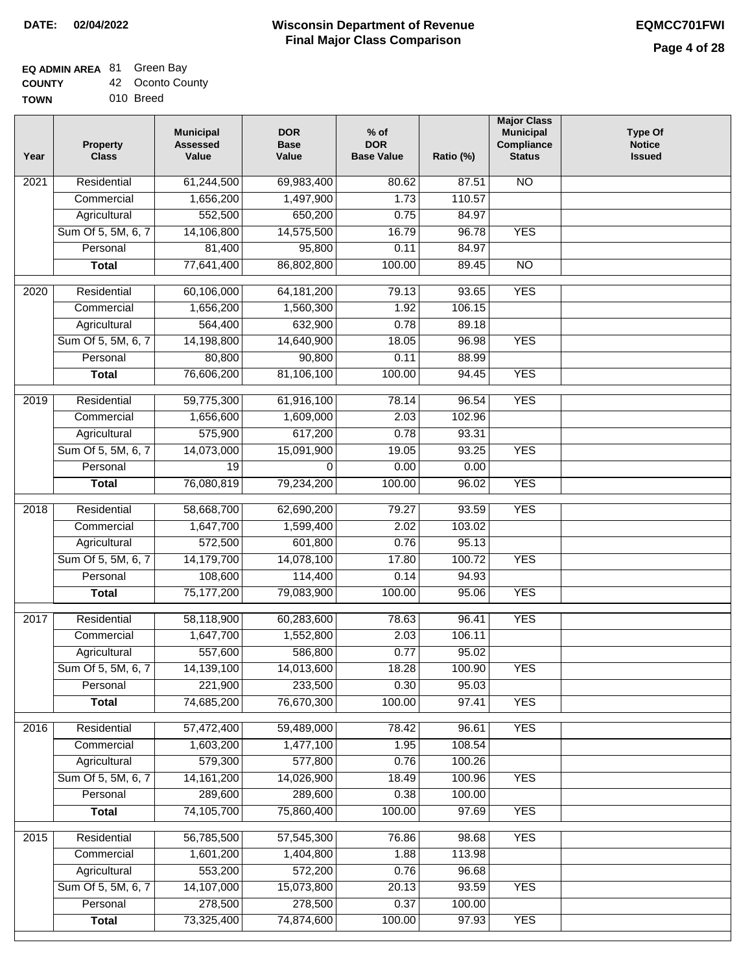## **EQ ADMIN AREA** 81 Green Bay

**TOWN** 010 Breed

| Year | <b>Property</b><br><b>Class</b> | <b>Municipal</b><br><b>Assessed</b><br>Value | <b>DOR</b><br><b>Base</b><br>Value | % of<br><b>DOR</b><br><b>Base Value</b> | Ratio (%) | <b>Major Class</b><br><b>Municipal</b><br>Compliance<br><b>Status</b> | <b>Type Of</b><br><b>Notice</b><br><b>Issued</b> |
|------|---------------------------------|----------------------------------------------|------------------------------------|-----------------------------------------|-----------|-----------------------------------------------------------------------|--------------------------------------------------|
| 2021 | Residential                     | 61,244,500                                   | 69,983,400                         | 80.62                                   | 87.51     | N <sub>O</sub>                                                        |                                                  |
|      | Commercial                      | 1,656,200                                    | 1,497,900                          | 1.73                                    | 110.57    |                                                                       |                                                  |
|      | Agricultural                    | 552,500                                      | 650,200                            | 0.75                                    | 84.97     |                                                                       |                                                  |
|      | Sum Of 5, 5M, 6, 7              | 14,106,800                                   | 14,575,500                         | 16.79                                   | 96.78     | <b>YES</b>                                                            |                                                  |
|      | Personal                        | 81,400                                       | 95,800                             | 0.11                                    | 84.97     |                                                                       |                                                  |
|      | <b>Total</b>                    | 77,641,400                                   | 86,802,800                         | 100.00                                  | 89.45     | $\overline{NO}$                                                       |                                                  |
| 2020 | Residential                     | 60,106,000                                   | 64, 181, 200                       | 79.13                                   | 93.65     | <b>YES</b>                                                            |                                                  |
|      | Commercial                      | 1,656,200                                    | 1,560,300                          | 1.92                                    | 106.15    |                                                                       |                                                  |
|      | Agricultural                    | 564,400                                      | 632,900                            | 0.78                                    | 89.18     |                                                                       |                                                  |
|      | Sum Of 5, 5M, 6, 7              | 14,198,800                                   | 14,640,900                         | 18.05                                   | 96.98     | <b>YES</b>                                                            |                                                  |
|      | Personal                        | 80,800                                       | 90,800                             | 0.11                                    | 88.99     |                                                                       |                                                  |
|      | <b>Total</b>                    | 76,606,200                                   | 81,106,100                         | 100.00                                  | 94.45     | <b>YES</b>                                                            |                                                  |
| 2019 | Residential                     | 59,775,300                                   | 61,916,100                         | 78.14                                   | 96.54     | <b>YES</b>                                                            |                                                  |
|      | Commercial                      | 1,656,600                                    | 1,609,000                          | 2.03                                    | 102.96    |                                                                       |                                                  |
|      | Agricultural                    | 575,900                                      | 617,200                            | 0.78                                    | 93.31     |                                                                       |                                                  |
|      | Sum Of 5, 5M, 6, 7              | 14,073,000                                   | 15,091,900                         | 19.05                                   | 93.25     | <b>YES</b>                                                            |                                                  |
|      | Personal                        | 19                                           | 0                                  | 0.00                                    | 0.00      |                                                                       |                                                  |
|      | <b>Total</b>                    | 76,080,819                                   | 79,234,200                         | 100.00                                  | 96.02     | <b>YES</b>                                                            |                                                  |
| 2018 | Residential                     | 58,668,700                                   | 62,690,200                         | 79.27                                   | 93.59     | <b>YES</b>                                                            |                                                  |
|      | Commercial                      | 1,647,700                                    | 1,599,400                          | 2.02                                    | 103.02    |                                                                       |                                                  |
|      | Agricultural                    | 572,500                                      | 601,800                            | 0.76                                    | 95.13     |                                                                       |                                                  |
|      | Sum Of 5, 5M, 6, 7              | 14,179,700                                   | 14,078,100                         | 17.80                                   | 100.72    | <b>YES</b>                                                            |                                                  |
|      | Personal                        | 108,600                                      | 114,400                            | 0.14                                    | 94.93     |                                                                       |                                                  |
|      | <b>Total</b>                    | 75,177,200                                   | 79,083,900                         | 100.00                                  | 95.06     | <b>YES</b>                                                            |                                                  |
| 2017 | Residential                     | 58,118,900                                   | 60,283,600                         | 78.63                                   | 96.41     | <b>YES</b>                                                            |                                                  |
|      | Commercial                      | 1,647,700                                    | 1,552,800                          | 2.03                                    | 106.11    |                                                                       |                                                  |
|      | Agricultural                    | 557,600                                      | 586,800                            | 0.77                                    | 95.02     |                                                                       |                                                  |
|      | Sum Of 5, 5M, 6, 7              | 14,139,100                                   | 14,013,600                         | 18.28                                   | 100.90    | <b>YES</b>                                                            |                                                  |
|      | Personal                        | 221,900                                      | 233,500                            | 0.30                                    | 95.03     |                                                                       |                                                  |
|      | <b>Total</b>                    | 74,685,200                                   | 76,670,300                         | 100.00                                  | 97.41     | <b>YES</b>                                                            |                                                  |
| 2016 | Residential                     | 57,472,400                                   | 59,489,000                         | 78.42                                   | 96.61     | <b>YES</b>                                                            |                                                  |
|      | Commercial                      | 1,603,200                                    | 1,477,100                          | 1.95                                    | 108.54    |                                                                       |                                                  |
|      | Agricultural                    | 579,300                                      | 577,800                            | 0.76                                    | 100.26    |                                                                       |                                                  |
|      | Sum Of 5, 5M, 6, 7              | 14, 161, 200                                 | 14,026,900                         | 18.49                                   | 100.96    | <b>YES</b>                                                            |                                                  |
|      | Personal                        | 289,600                                      | 289,600                            | 0.38                                    | 100.00    |                                                                       |                                                  |
|      | <b>Total</b>                    | 74,105,700                                   | 75,860,400                         | 100.00                                  | 97.69     | <b>YES</b>                                                            |                                                  |
| 2015 | Residential                     | 56,785,500                                   | 57,545,300                         | 76.86                                   | 98.68     | <b>YES</b>                                                            |                                                  |
|      | Commercial                      | 1,601,200                                    | 1,404,800                          | 1.88                                    | 113.98    |                                                                       |                                                  |
|      | Agricultural                    | 553,200                                      | 572,200                            | 0.76                                    | 96.68     |                                                                       |                                                  |
|      | Sum Of 5, 5M, 6, 7              | 14,107,000                                   | 15,073,800                         | 20.13                                   | 93.59     | <b>YES</b>                                                            |                                                  |
|      | Personal                        | 278,500                                      | 278,500                            | 0.37                                    | 100.00    |                                                                       |                                                  |
|      | <b>Total</b>                    | 73,325,400                                   | 74,874,600                         | 100.00                                  | 97.93     | <b>YES</b>                                                            |                                                  |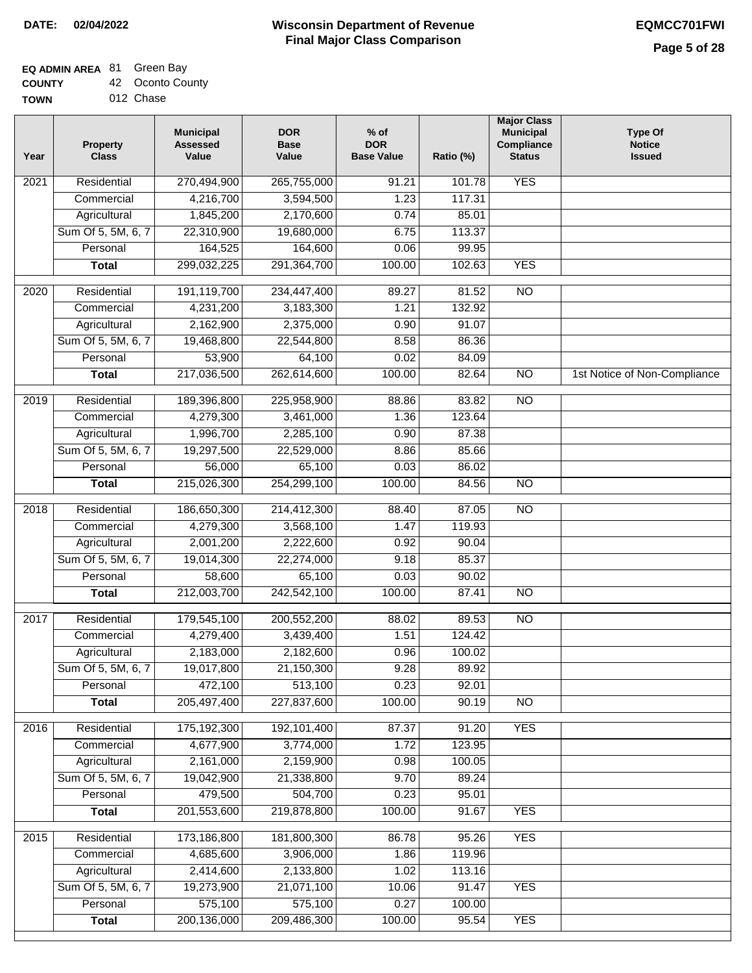### **EQ ADMIN AREA** 81 Green Bay

**COUNTY** 42 Oconto County

**TOWN** 012 Chase

| Year              | <b>Property</b><br><b>Class</b> | <b>Municipal</b><br><b>Assessed</b><br>Value | <b>DOR</b><br><b>Base</b><br>Value | % of<br><b>DOR</b><br><b>Base Value</b> | Ratio (%) | <b>Major Class</b><br><b>Municipal</b><br>Compliance<br><b>Status</b> | <b>Type Of</b><br><b>Notice</b><br><b>Issued</b> |
|-------------------|---------------------------------|----------------------------------------------|------------------------------------|-----------------------------------------|-----------|-----------------------------------------------------------------------|--------------------------------------------------|
| $\overline{202}1$ | Residential                     | 270,494,900                                  | 265,755,000                        | 91.21                                   | 101.78    | <b>YES</b>                                                            |                                                  |
|                   | Commercial                      | 4,216,700                                    | 3,594,500                          | 1.23                                    | 117.31    |                                                                       |                                                  |
|                   | Agricultural                    | 1,845,200                                    | 2,170,600                          | 0.74                                    | 85.01     |                                                                       |                                                  |
|                   | Sum Of 5, 5M, 6, 7              | 22,310,900                                   | 19,680,000                         | 6.75                                    | 113.37    |                                                                       |                                                  |
|                   | Personal                        | 164,525                                      | 164,600                            | 0.06                                    | 99.95     |                                                                       |                                                  |
|                   | <b>Total</b>                    | 299,032,225                                  | 291,364,700                        | 100.00                                  | 102.63    | <b>YES</b>                                                            |                                                  |
| $\overline{2020}$ | Residential                     | 191,119,700                                  | 234,447,400                        | 89.27                                   | 81.52     | $\overline{N}$                                                        |                                                  |
|                   | Commercial                      | 4,231,200                                    | 3,183,300                          | 1.21                                    | 132.92    |                                                                       |                                                  |
|                   | Agricultural                    | 2,162,900                                    | 2,375,000                          | 0.90                                    | 91.07     |                                                                       |                                                  |
|                   | Sum Of 5, 5M, 6, 7              | 19,468,800                                   | 22,544,800                         | 8.58                                    | 86.36     |                                                                       |                                                  |
|                   | Personal                        | 53,900                                       | 64,100                             | 0.02                                    | 84.09     |                                                                       |                                                  |
|                   | <b>Total</b>                    | 217,036,500                                  | 262,614,600                        | 100.00                                  | 82.64     | $\overline{NO}$                                                       | 1st Notice of Non-Compliance                     |
|                   |                                 |                                              |                                    |                                         |           |                                                                       |                                                  |
| 2019              | Residential                     | 189,396,800                                  | 225,958,900                        | 88.86                                   | 83.82     | $\overline{3}$                                                        |                                                  |
|                   | Commercial                      | 4,279,300                                    | 3,461,000                          | 1.36                                    | 123.64    |                                                                       |                                                  |
|                   | Agricultural                    | 1,996,700                                    | 2,285,100                          | 0.90                                    | 87.38     |                                                                       |                                                  |
|                   | Sum Of 5, 5M, 6, 7              | 19,297,500                                   | 22,529,000                         | 8.86                                    | 85.66     |                                                                       |                                                  |
|                   | Personal                        | 56,000                                       | 65,100                             | 0.03                                    | 86.02     |                                                                       |                                                  |
|                   | <b>Total</b>                    | 215,026,300                                  | 254,299,100                        | 100.00                                  | 84.56     | $\overline{NO}$                                                       |                                                  |
| 2018              | Residential                     | 186,650,300                                  | 214,412,300                        | 88.40                                   | 87.05     | $\overline{10}$                                                       |                                                  |
|                   | Commercial                      | 4,279,300                                    | 3,568,100                          | 1.47                                    | 119.93    |                                                                       |                                                  |
|                   | Agricultural                    | 2,001,200                                    | 2,222,600                          | 0.92                                    | 90.04     |                                                                       |                                                  |
|                   | Sum Of 5, 5M, 6, 7              | 19,014,300                                   | 22,274,000                         | 9.18                                    | 85.37     |                                                                       |                                                  |
|                   | Personal                        | 58,600                                       | 65,100                             | 0.03                                    | 90.02     |                                                                       |                                                  |
|                   | <b>Total</b>                    | 212,003,700                                  | 242,542,100                        | 100.00                                  | 87.41     | <b>NO</b>                                                             |                                                  |
| $\overline{2017}$ | Residential                     | 179,545,100                                  | 200,552,200                        | 88.02                                   | 89.53     | <b>NO</b>                                                             |                                                  |
|                   | Commercial                      | 4,279,400                                    | 3,439,400                          | 1.51                                    | 124.42    |                                                                       |                                                  |
|                   | Agricultural                    | 2,183,000                                    | 2,182,600                          | 0.96                                    | 100.02    |                                                                       |                                                  |
|                   | Sum Of 5, 5M, 6, 7              | 19,017,800                                   | 21,150,300                         | 9.28                                    | 89.92     |                                                                       |                                                  |
|                   | Personal                        | 472,100                                      | 513,100                            | 0.23                                    | 92.01     |                                                                       |                                                  |
|                   | <b>Total</b>                    | 205,497,400                                  | 227,837,600                        | 100.00                                  | 90.19     | <b>NO</b>                                                             |                                                  |
| 2016              | Residential                     | 175,192,300                                  | 192,101,400                        | 87.37                                   | 91.20     | <b>YES</b>                                                            |                                                  |
|                   | Commercial                      | 4,677,900                                    | 3,774,000                          | 1.72                                    | 123.95    |                                                                       |                                                  |
|                   | Agricultural                    | 2,161,000                                    | 2,159,900                          | 0.98                                    | 100.05    |                                                                       |                                                  |
|                   | Sum Of 5, 5M, 6, 7              | 19,042,900                                   | 21,338,800                         | 9.70                                    | 89.24     |                                                                       |                                                  |
|                   | Personal                        | 479,500                                      | 504,700                            | 0.23                                    | 95.01     |                                                                       |                                                  |
|                   | <b>Total</b>                    | 201,553,600                                  | 219,878,800                        | 100.00                                  | 91.67     | <b>YES</b>                                                            |                                                  |
| 2015              | Residential                     | 173,186,800                                  | 181,800,300                        | 86.78                                   | 95.26     | <b>YES</b>                                                            |                                                  |
|                   | Commercial                      | 4,685,600                                    | 3,906,000                          | 1.86                                    | 119.96    |                                                                       |                                                  |
|                   | Agricultural                    | 2,414,600                                    | 2,133,800                          | 1.02                                    | 113.16    |                                                                       |                                                  |
|                   | Sum Of 5, 5M, 6, 7              | 19,273,900                                   | 21,071,100                         | 10.06                                   | 91.47     | <b>YES</b>                                                            |                                                  |
|                   | Personal                        | 575,100                                      | 575,100                            | 0.27                                    | 100.00    |                                                                       |                                                  |
|                   | <b>Total</b>                    | 200,136,000                                  | 209,486,300                        | 100.00                                  | 95.54     | <b>YES</b>                                                            |                                                  |
|                   |                                 |                                              |                                    |                                         |           |                                                                       |                                                  |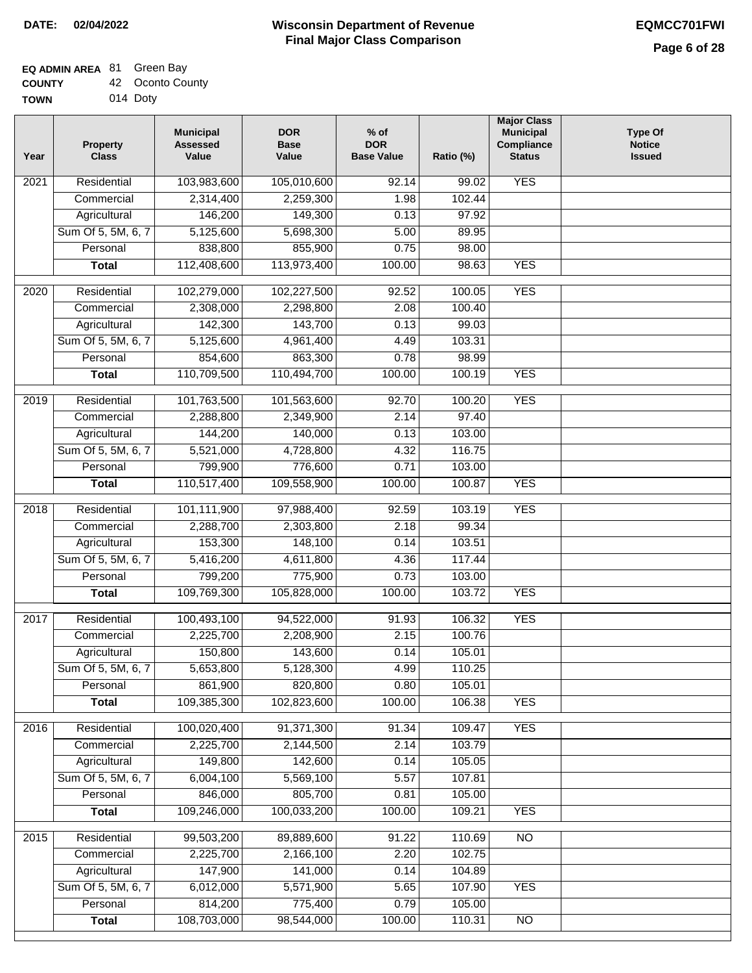## **EQ ADMIN AREA** 81 Green Bay

| <b>COUNTY</b> | 42 Oconto County |
|---------------|------------------|
|               |                  |

**TOWN** 014 Doty

| Year | <b>Property</b><br><b>Class</b> | <b>Municipal</b><br><b>Assessed</b><br>Value | <b>DOR</b><br><b>Base</b><br>Value | $%$ of<br><b>DOR</b><br><b>Base Value</b> | Ratio (%)       | <b>Major Class</b><br><b>Municipal</b><br>Compliance<br><b>Status</b> | <b>Type Of</b><br><b>Notice</b><br><b>Issued</b> |
|------|---------------------------------|----------------------------------------------|------------------------------------|-------------------------------------------|-----------------|-----------------------------------------------------------------------|--------------------------------------------------|
| 2021 | Residential                     | 103,983,600                                  | 105,010,600                        | 92.14                                     | 99.02           | <b>YES</b>                                                            |                                                  |
|      | Commercial                      | 2,314,400                                    | 2,259,300                          | 1.98                                      | 102.44          |                                                                       |                                                  |
|      | Agricultural                    | 146,200                                      | 149,300                            | 0.13                                      | 97.92           |                                                                       |                                                  |
|      | Sum Of 5, 5M, 6, 7              | 5,125,600                                    | 5,698,300                          | 5.00                                      | 89.95           |                                                                       |                                                  |
|      | Personal                        | 838,800                                      | 855,900                            | 0.75                                      | 98.00           |                                                                       |                                                  |
|      | <b>Total</b>                    | 112,408,600                                  | 113,973,400                        | 100.00                                    | 98.63           | <b>YES</b>                                                            |                                                  |
| 2020 | Residential                     | 102,279,000                                  | 102,227,500                        | 92.52                                     | 100.05          | <b>YES</b>                                                            |                                                  |
|      | Commercial                      | 2,308,000                                    | 2,298,800                          | 2.08                                      | 100.40          |                                                                       |                                                  |
|      | Agricultural                    | 142,300                                      | 143,700                            | 0.13                                      | 99.03           |                                                                       |                                                  |
|      | Sum Of 5, 5M, 6, 7              | 5,125,600                                    | 4,961,400                          | 4.49                                      | 103.31          |                                                                       |                                                  |
|      | Personal                        | 854,600                                      | 863,300                            | 0.78                                      | 98.99           |                                                                       |                                                  |
|      | <b>Total</b>                    | 110,709,500                                  | 110,494,700                        | 100.00                                    | 100.19          | <b>YES</b>                                                            |                                                  |
| 2019 | Residential                     | 101,763,500                                  | 101,563,600                        | 92.70                                     | 100.20          | <b>YES</b>                                                            |                                                  |
|      | Commercial                      | 2,288,800                                    | 2,349,900                          | 2.14                                      | 97.40           |                                                                       |                                                  |
|      | Agricultural                    | 144,200                                      | 140,000                            | 0.13                                      | 103.00          |                                                                       |                                                  |
|      | Sum Of 5, 5M, 6, 7              | 5,521,000                                    | 4,728,800                          | 4.32                                      | 116.75          |                                                                       |                                                  |
|      | Personal                        | 799,900                                      | 776,600                            | 0.71                                      | 103.00          |                                                                       |                                                  |
|      | <b>Total</b>                    | 110,517,400                                  | 109,558,900                        | 100.00                                    | 100.87          | <b>YES</b>                                                            |                                                  |
|      |                                 |                                              |                                    |                                           |                 |                                                                       |                                                  |
| 2018 | Residential                     | 101,111,900                                  | 97,988,400                         | 92.59                                     | 103.19          | <b>YES</b>                                                            |                                                  |
|      | Commercial                      | 2,288,700                                    | 2,303,800                          | 2.18                                      | 99.34<br>103.51 |                                                                       |                                                  |
|      | Agricultural                    | 153,300                                      | 148,100                            | 0.14<br>4.36                              | 117.44          |                                                                       |                                                  |
|      | Sum Of 5, 5M, 6, 7<br>Personal  | 5,416,200<br>799,200                         | 4,611,800<br>775,900               | 0.73                                      | 103.00          |                                                                       |                                                  |
|      | <b>Total</b>                    | 109,769,300                                  | 105,828,000                        | 100.00                                    | 103.72          | <b>YES</b>                                                            |                                                  |
|      |                                 |                                              |                                    |                                           |                 |                                                                       |                                                  |
| 2017 | Residential                     | 100,493,100                                  | 94,522,000                         | 91.93                                     | 106.32          | <b>YES</b>                                                            |                                                  |
|      | Commercial                      | 2,225,700                                    | 2,208,900                          | 2.15                                      | 100.76          |                                                                       |                                                  |
|      | Agricultural                    | 150,800                                      | 143,600                            | 0.14                                      | 105.01          |                                                                       |                                                  |
|      | Sum Of 5, 5M, 6, 7              | 5,653,800                                    | 5,128,300                          | 4.99                                      | 110.25          |                                                                       |                                                  |
|      | Personal                        | 861,900                                      | 820,800                            | 0.80                                      | 105.01          |                                                                       |                                                  |
|      | <b>Total</b>                    | 109,385,300                                  | 102,823,600                        | 100.00                                    | 106.38          | <b>YES</b>                                                            |                                                  |
| 2016 | Residential                     | 100,020,400                                  | 91,371,300                         | 91.34                                     | 109.47          | <b>YES</b>                                                            |                                                  |
|      | Commercial                      | 2,225,700                                    | 2,144,500                          | 2.14                                      | 103.79          |                                                                       |                                                  |
|      | Agricultural                    | 149,800                                      | 142,600                            | 0.14                                      | 105.05          |                                                                       |                                                  |
|      | Sum Of 5, 5M, 6, 7              | 6,004,100                                    | 5,569,100                          | 5.57                                      | 107.81          |                                                                       |                                                  |
|      | Personal                        | 846,000                                      | 805,700                            | 0.81                                      | 105.00          |                                                                       |                                                  |
|      | <b>Total</b>                    | 109,246,000                                  | 100,033,200                        | 100.00                                    | 109.21          | <b>YES</b>                                                            |                                                  |
| 2015 | Residential                     | 99,503,200                                   | 89,889,600                         | 91.22                                     | 110.69          | N <sub>O</sub>                                                        |                                                  |
|      | Commercial                      | 2,225,700                                    | 2,166,100                          | 2.20                                      | 102.75          |                                                                       |                                                  |
|      | Agricultural                    | 147,900                                      | 141,000                            | 0.14                                      | 104.89          |                                                                       |                                                  |
|      | Sum Of 5, 5M, 6, 7              | 6,012,000                                    | 5,571,900                          | 5.65                                      | 107.90          | <b>YES</b>                                                            |                                                  |
|      | Personal                        | 814,200                                      | 775,400                            | 0.79                                      | 105.00          |                                                                       |                                                  |
|      | <b>Total</b>                    | 108,703,000                                  | 98,544,000                         | 100.00                                    | 110.31          | N <sub>O</sub>                                                        |                                                  |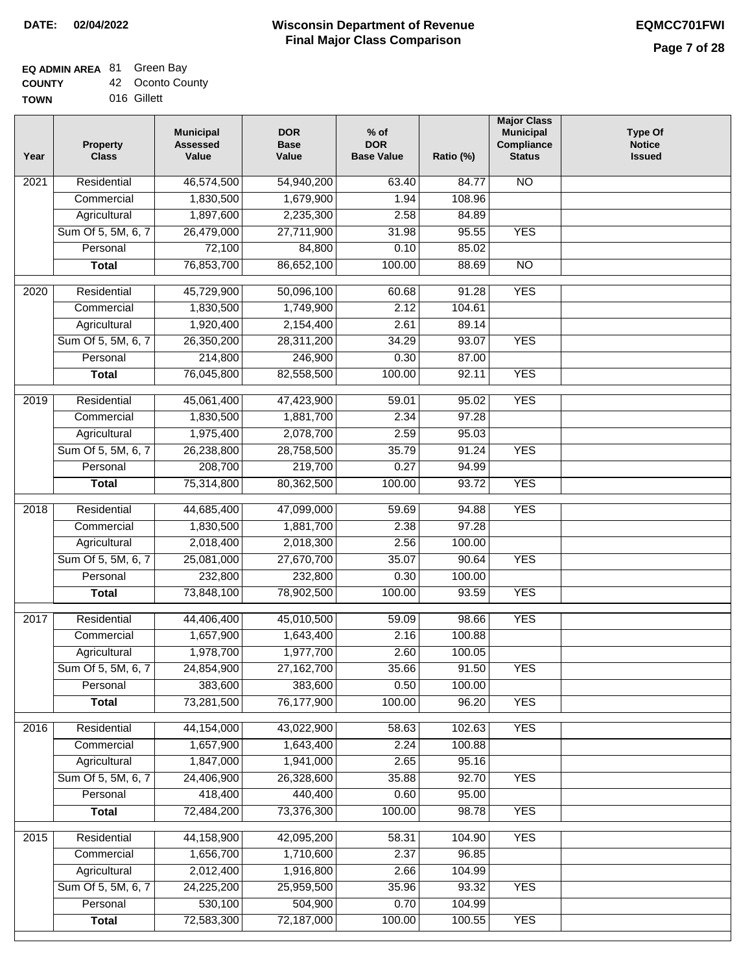### **EQ ADMIN AREA** 81 Green Bay

| <b>COUNTY</b> |  | 42 Oconto County |
|---------------|--|------------------|
|---------------|--|------------------|

**TOWN** 016 Gillett

| Year              | <b>Property</b><br><b>Class</b> | <b>Municipal</b><br><b>Assessed</b><br>Value | <b>DOR</b><br><b>Base</b><br>Value | % of<br><b>DOR</b><br><b>Base Value</b> | Ratio (%)      | <b>Major Class</b><br><b>Municipal</b><br>Compliance<br><b>Status</b> | <b>Type Of</b><br><b>Notice</b><br><b>Issued</b> |
|-------------------|---------------------------------|----------------------------------------------|------------------------------------|-----------------------------------------|----------------|-----------------------------------------------------------------------|--------------------------------------------------|
| 2021              | Residential                     | 46,574,500                                   | 54,940,200                         | 63.40                                   | 84.77          | N <sub>O</sub>                                                        |                                                  |
|                   | Commercial                      | 1,830,500                                    | 1,679,900                          | 1.94                                    | 108.96         |                                                                       |                                                  |
|                   | Agricultural                    | 1,897,600                                    | 2,235,300                          | 2.58                                    | 84.89          |                                                                       |                                                  |
|                   | Sum Of 5, 5M, 6, 7              | 26,479,000                                   | 27,711,900                         | 31.98                                   | 95.55          | <b>YES</b>                                                            |                                                  |
|                   | Personal                        | 72,100                                       | 84,800                             | 0.10                                    | 85.02          |                                                                       |                                                  |
|                   | <b>Total</b>                    | 76,853,700                                   | 86,652,100                         | 100.00                                  | 88.69          | $\overline{NO}$                                                       |                                                  |
|                   |                                 |                                              |                                    |                                         |                |                                                                       |                                                  |
| $\overline{2020}$ | Residential                     | 45,729,900                                   | 50,096,100                         | 60.68                                   | 91.28          | <b>YES</b>                                                            |                                                  |
|                   | Commercial                      | 1,830,500                                    | 1,749,900                          | 2.12                                    | 104.61         |                                                                       |                                                  |
|                   | Agricultural                    | 1,920,400                                    | 2,154,400                          | 2.61                                    | 89.14          |                                                                       |                                                  |
|                   | Sum Of 5, 5M, 6, 7<br>Personal  | 26,350,200                                   | 28,311,200                         | 34.29<br>0.30                           | 93.07<br>87.00 | <b>YES</b>                                                            |                                                  |
|                   |                                 | 214,800<br>76,045,800                        | 246,900                            | 100.00                                  | 92.11          | <b>YES</b>                                                            |                                                  |
|                   | <b>Total</b>                    |                                              | 82,558,500                         |                                         |                |                                                                       |                                                  |
| 2019              | Residential                     | 45,061,400                                   | 47,423,900                         | 59.01                                   | 95.02          | <b>YES</b>                                                            |                                                  |
|                   | Commercial                      | 1,830,500                                    | 1,881,700                          | 2.34                                    | 97.28          |                                                                       |                                                  |
|                   | Agricultural                    | 1,975,400                                    | 2,078,700                          | 2.59                                    | 95.03          |                                                                       |                                                  |
|                   | Sum Of 5, 5M, 6, 7              | 26,238,800                                   | 28,758,500                         | 35.79                                   | 91.24          | <b>YES</b>                                                            |                                                  |
|                   | Personal                        | 208,700                                      | 219,700                            | 0.27                                    | 94.99          |                                                                       |                                                  |
|                   | <b>Total</b>                    | 75,314,800                                   | 80,362,500                         | 100.00                                  | 93.72          | <b>YES</b>                                                            |                                                  |
| 2018              | Residential                     | 44,685,400                                   | 47,099,000                         | 59.69                                   | 94.88          | <b>YES</b>                                                            |                                                  |
|                   | Commercial                      | 1,830,500                                    | 1,881,700                          | 2.38                                    | 97.28          |                                                                       |                                                  |
|                   | Agricultural                    | 2,018,400                                    | 2,018,300                          | 2.56                                    | 100.00         |                                                                       |                                                  |
|                   | Sum Of 5, 5M, 6, 7              | 25,081,000                                   | 27,670,700                         | 35.07                                   | 90.64          | <b>YES</b>                                                            |                                                  |
|                   | Personal                        | 232,800                                      | 232,800                            | 0.30                                    | 100.00         |                                                                       |                                                  |
|                   | <b>Total</b>                    | 73,848,100                                   | 78,902,500                         | 100.00                                  | 93.59          | <b>YES</b>                                                            |                                                  |
| 2017              | Residential                     | 44,406,400                                   | 45,010,500                         | 59.09                                   | 98.66          | <b>YES</b>                                                            |                                                  |
|                   | Commercial                      | 1,657,900                                    | 1,643,400                          | 2.16                                    | 100.88         |                                                                       |                                                  |
|                   | Agricultural                    | 1,978,700                                    | 1,977,700                          | 2.60                                    | 100.05         |                                                                       |                                                  |
|                   | Sum Of 5, 5M, 6, 7              | 24,854,900                                   | 27,162,700                         | 35.66                                   | 91.50          | <b>YES</b>                                                            |                                                  |
|                   | Personal                        | 383,600                                      | 383,600                            | 0.50                                    | 100.00         |                                                                       |                                                  |
|                   | <b>Total</b>                    | 73,281,500                                   | 76,177,900                         | 100.00                                  | 96.20          | <b>YES</b>                                                            |                                                  |
|                   |                                 |                                              |                                    |                                         |                |                                                                       |                                                  |
| 2016              | Residential                     | 44,154,000                                   | 43,022,900                         | 58.63                                   | 102.63         | <b>YES</b>                                                            |                                                  |
|                   | Commercial                      | 1,657,900                                    | 1,643,400                          | 2.24                                    | 100.88         |                                                                       |                                                  |
|                   | Agricultural                    | 1,847,000                                    | 1,941,000                          | 2.65                                    | 95.16          |                                                                       |                                                  |
|                   | Sum Of 5, 5M, 6, 7              | 24,406,900                                   | 26,328,600                         | 35.88                                   | 92.70          | <b>YES</b>                                                            |                                                  |
|                   | Personal                        | 418,400                                      | 440,400                            | 0.60                                    | 95.00          |                                                                       |                                                  |
|                   | <b>Total</b>                    | 72,484,200                                   | 73,376,300                         | 100.00                                  | 98.78          | <b>YES</b>                                                            |                                                  |
| 2015              | Residential                     | 44,158,900                                   | 42,095,200                         | 58.31                                   | 104.90         | <b>YES</b>                                                            |                                                  |
|                   | Commercial                      | 1,656,700                                    | 1,710,600                          | 2.37                                    | 96.85          |                                                                       |                                                  |
|                   | Agricultural                    | 2,012,400                                    | 1,916,800                          | 2.66                                    | 104.99         |                                                                       |                                                  |
|                   | Sum Of 5, 5M, 6, 7              | 24,225,200                                   | 25,959,500                         | 35.96                                   | 93.32          | <b>YES</b>                                                            |                                                  |
|                   | Personal                        | 530,100                                      | 504,900                            | 0.70                                    | 104.99         |                                                                       |                                                  |
|                   | <b>Total</b>                    | 72,583,300                                   | 72,187,000                         | 100.00                                  | 100.55         | <b>YES</b>                                                            |                                                  |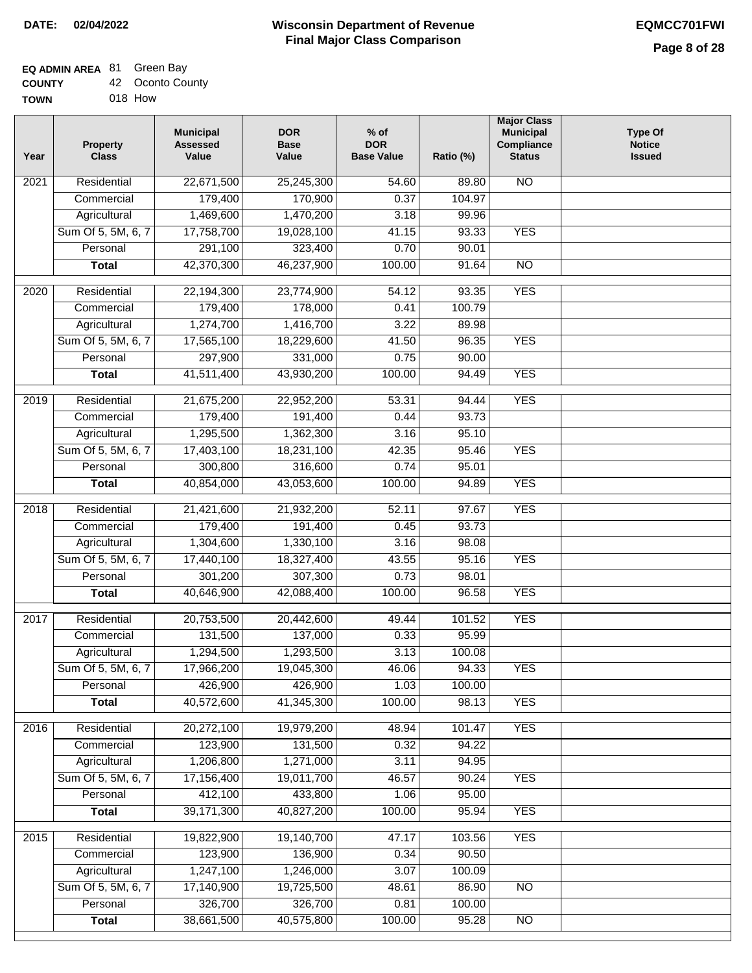## **EQ ADMIN AREA** 81 Green Bay

| <b>COUNTY</b> | 42 Oconto County |
|---------------|------------------|
|               |                  |

**TOWN** 018 How

| Year | <b>Property</b><br><b>Class</b> | <b>Municipal</b><br><b>Assessed</b><br>Value | <b>DOR</b><br><b>Base</b><br>Value | $%$ of<br><b>DOR</b><br><b>Base Value</b> | Ratio (%)      | <b>Major Class</b><br><b>Municipal</b><br>Compliance<br><b>Status</b> | <b>Type Of</b><br><b>Notice</b><br><b>Issued</b> |
|------|---------------------------------|----------------------------------------------|------------------------------------|-------------------------------------------|----------------|-----------------------------------------------------------------------|--------------------------------------------------|
| 2021 | Residential                     | 22,671,500                                   | 25,245,300                         | $\frac{1}{54.60}$                         | 89.80          | <b>NO</b>                                                             |                                                  |
|      | Commercial                      | 179,400                                      | 170,900                            | 0.37                                      | 104.97         |                                                                       |                                                  |
|      | Agricultural                    | 1,469,600                                    | 1,470,200                          | 3.18                                      | 99.96          |                                                                       |                                                  |
|      | Sum Of 5, 5M, 6, 7              | 17,758,700                                   | 19,028,100                         | 41.15                                     | 93.33          | <b>YES</b>                                                            |                                                  |
|      | Personal                        | 291,100                                      | 323,400                            | 0.70                                      | 90.01          |                                                                       |                                                  |
|      | <b>Total</b>                    | 42,370,300                                   | 46,237,900                         | 100.00                                    | 91.64          | $\overline{NO}$                                                       |                                                  |
| 2020 | Residential                     | 22,194,300                                   | 23,774,900                         | 54.12                                     | 93.35          | <b>YES</b>                                                            |                                                  |
|      | Commercial                      | 179,400                                      | 178,000                            | 0.41                                      | 100.79         |                                                                       |                                                  |
|      | Agricultural                    | 1,274,700                                    | 1,416,700                          | 3.22                                      | 89.98          |                                                                       |                                                  |
|      | Sum Of 5, 5M, 6, 7              | 17,565,100                                   | 18,229,600                         | 41.50                                     | 96.35          | <b>YES</b>                                                            |                                                  |
|      | Personal                        | 297,900                                      | 331,000                            | 0.75                                      | 90.00          |                                                                       |                                                  |
|      | <b>Total</b>                    | 41,511,400                                   | 43,930,200                         | 100.00                                    | 94.49          | <b>YES</b>                                                            |                                                  |
| 2019 | Residential                     | 21,675,200                                   | 22,952,200                         | 53.31                                     | 94.44          | <b>YES</b>                                                            |                                                  |
|      | Commercial                      | 179,400                                      | 191,400                            | 0.44                                      | 93.73          |                                                                       |                                                  |
|      | Agricultural                    | 1,295,500                                    | 1,362,300                          | 3.16                                      | 95.10          |                                                                       |                                                  |
|      | Sum Of 5, 5M, 6, 7              | 17,403,100                                   | 18,231,100                         | 42.35                                     | 95.46          | <b>YES</b>                                                            |                                                  |
|      | Personal                        | 300,800                                      | 316,600                            | 0.74                                      | 95.01          |                                                                       |                                                  |
|      | <b>Total</b>                    | 40,854,000                                   | 43,053,600                         | 100.00                                    | 94.89          | <b>YES</b>                                                            |                                                  |
| 2018 | Residential                     | 21,421,600                                   | 21,932,200                         | 52.11                                     | 97.67          | <b>YES</b>                                                            |                                                  |
|      | Commercial                      | 179,400                                      | 191,400                            | 0.45                                      | 93.73          |                                                                       |                                                  |
|      | Agricultural                    | 1,304,600                                    | 1,330,100                          | 3.16                                      | 98.08          |                                                                       |                                                  |
|      | Sum Of 5, 5M, 6, 7              | 17,440,100                                   | 18,327,400                         | 43.55                                     | 95.16          | <b>YES</b>                                                            |                                                  |
|      | Personal                        | 301,200                                      | 307,300                            | 0.73                                      | 98.01          |                                                                       |                                                  |
|      | <b>Total</b>                    | 40,646,900                                   | 42,088,400                         | 100.00                                    | 96.58          | <b>YES</b>                                                            |                                                  |
| 2017 | Residential                     | 20,753,500                                   | 20,442,600                         | 49.44                                     | 101.52         | <b>YES</b>                                                            |                                                  |
|      | Commercial                      | 131,500                                      | 137,000                            | 0.33                                      | 95.99          |                                                                       |                                                  |
|      | Agricultural                    | 1,294,500                                    | 1,293,500                          | 3.13                                      | 100.08         |                                                                       |                                                  |
|      | Sum Of 5, 5M, 6, 7              | 17,966,200                                   | 19,045,300                         | 46.06                                     | 94.33          | <b>YES</b>                                                            |                                                  |
|      | Personal                        | 426,900                                      | 426,900                            | 1.03                                      | 100.00         |                                                                       |                                                  |
|      | <b>Total</b>                    | 40,572,600                                   | 41,345,300                         | 100.00                                    | 98.13          | <b>YES</b>                                                            |                                                  |
|      |                                 |                                              |                                    |                                           |                |                                                                       |                                                  |
| 2016 | Residential                     | 20,272,100                                   | 19,979,200                         | 48.94                                     | 101.47         | <b>YES</b>                                                            |                                                  |
|      | Commercial                      | 123,900                                      | 131,500                            | 0.32                                      | 94.22          |                                                                       |                                                  |
|      | Agricultural                    | 1,206,800                                    | 1,271,000                          | 3.11                                      | 94.95          |                                                                       |                                                  |
|      | Sum Of 5, 5M, 6, 7              | 17,156,400<br>412,100                        | 19,011,700<br>433,800              | 46.57<br>1.06                             | 90.24<br>95.00 | <b>YES</b>                                                            |                                                  |
|      | Personal<br><b>Total</b>        | 39,171,300                                   | 40,827,200                         | 100.00                                    | 95.94          | <b>YES</b>                                                            |                                                  |
|      |                                 |                                              |                                    |                                           |                |                                                                       |                                                  |
| 2015 | Residential                     | 19,822,900                                   | 19,140,700                         | 47.17                                     | 103.56         | <b>YES</b>                                                            |                                                  |
|      | Commercial                      | 123,900                                      | 136,900                            | 0.34                                      | 90.50          |                                                                       |                                                  |
|      | Agricultural                    | 1,247,100                                    | 1,246,000                          | 3.07                                      | 100.09         |                                                                       |                                                  |
|      | Sum Of 5, 5M, 6, 7              | 17,140,900                                   | 19,725,500                         | 48.61                                     | 86.90          | <b>NO</b>                                                             |                                                  |
|      | Personal                        | 326,700                                      | 326,700                            | 0.81                                      | 100.00         |                                                                       |                                                  |
|      | <b>Total</b>                    | 38,661,500                                   | 40,575,800                         | 100.00                                    | 95.28          | N <sub>O</sub>                                                        |                                                  |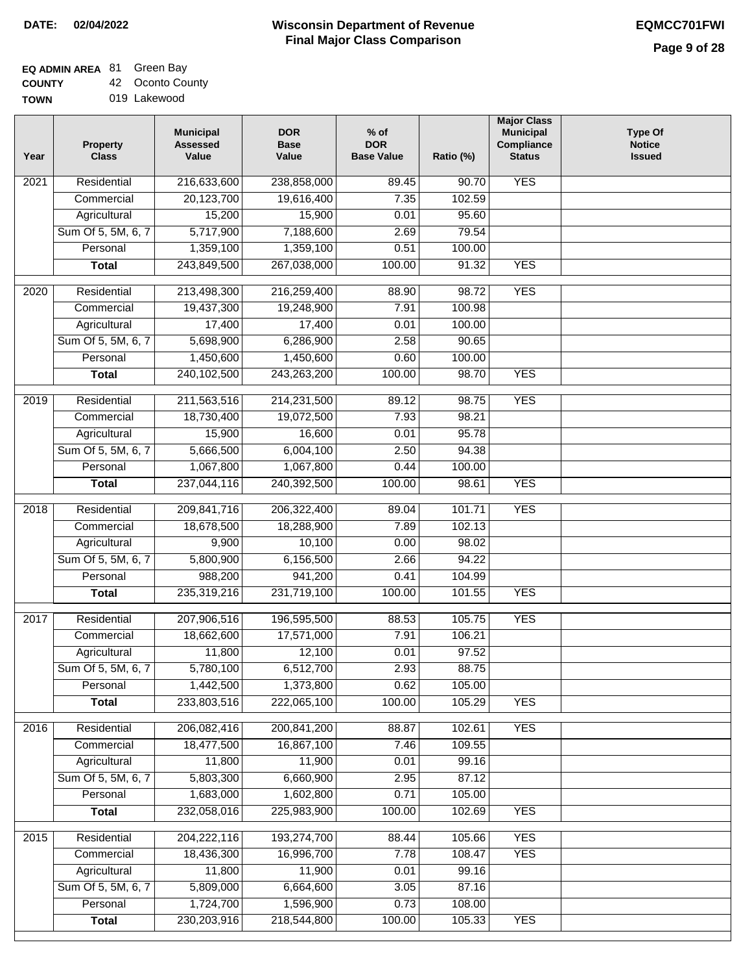## **EQ ADMIN AREA** 81 Green Bay

**COUNTY TOWN** 42 Oconto County

|  |  | 019 Lakewood |
|--|--|--------------|

| Year             | <b>Property</b><br><b>Class</b> | <b>Municipal</b><br><b>Assessed</b><br>Value | <b>DOR</b><br><b>Base</b><br>Value | $%$ of<br><b>DOR</b><br><b>Base Value</b> | Ratio (%) | <b>Major Class</b><br><b>Municipal</b><br>Compliance<br><b>Status</b> | <b>Type Of</b><br><b>Notice</b><br><b>Issued</b> |
|------------------|---------------------------------|----------------------------------------------|------------------------------------|-------------------------------------------|-----------|-----------------------------------------------------------------------|--------------------------------------------------|
| 2021             | Residential                     | 216,633,600                                  | 238,858,000                        | 89.45                                     | 90.70     | <b>YES</b>                                                            |                                                  |
|                  | Commercial                      | 20,123,700                                   | 19,616,400                         | 7.35                                      | 102.59    |                                                                       |                                                  |
|                  | Agricultural                    | 15,200                                       | 15,900                             | 0.01                                      | 95.60     |                                                                       |                                                  |
|                  | Sum Of 5, 5M, 6, 7              | 5,717,900                                    | 7,188,600                          | 2.69                                      | 79.54     |                                                                       |                                                  |
|                  | Personal                        | 1,359,100                                    | 1,359,100                          | 0.51                                      | 100.00    |                                                                       |                                                  |
|                  | <b>Total</b>                    | 243,849,500                                  | 267,038,000                        | 100.00                                    | 91.32     | <b>YES</b>                                                            |                                                  |
| 2020             | Residential                     | 213,498,300                                  | 216,259,400                        | 88.90                                     | 98.72     | <b>YES</b>                                                            |                                                  |
|                  | Commercial                      | 19,437,300                                   | 19,248,900                         | 7.91                                      | 100.98    |                                                                       |                                                  |
|                  | Agricultural                    | 17,400                                       | 17,400                             | 0.01                                      | 100.00    |                                                                       |                                                  |
|                  | Sum Of 5, 5M, 6, 7              | 5,698,900                                    | 6,286,900                          | 2.58                                      | 90.65     |                                                                       |                                                  |
|                  | Personal                        | 1,450,600                                    | 1,450,600                          | 0.60                                      | 100.00    |                                                                       |                                                  |
|                  | <b>Total</b>                    | 240,102,500                                  | 243,263,200                        | 100.00                                    | 98.70     | <b>YES</b>                                                            |                                                  |
| $\frac{1}{2019}$ | Residential                     | 211,563,516                                  | 214,231,500                        | 89.12                                     | 98.75     | <b>YES</b>                                                            |                                                  |
|                  | Commercial                      | 18,730,400                                   | 19,072,500                         | 7.93                                      | 98.21     |                                                                       |                                                  |
|                  | Agricultural                    | 15,900                                       | 16,600                             | 0.01                                      | 95.78     |                                                                       |                                                  |
|                  | Sum Of 5, 5M, 6, 7              | 5,666,500                                    | 6,004,100                          | 2.50                                      | 94.38     |                                                                       |                                                  |
|                  | Personal                        | 1,067,800                                    | 1,067,800                          | 0.44                                      | 100.00    |                                                                       |                                                  |
|                  | <b>Total</b>                    | 237,044,116                                  | 240,392,500                        | 100.00                                    | 98.61     | <b>YES</b>                                                            |                                                  |
| 2018             | Residential                     | 209,841,716                                  | 206,322,400                        | 89.04                                     | 101.71    | <b>YES</b>                                                            |                                                  |
|                  | Commercial                      | 18,678,500                                   | 18,288,900                         | 7.89                                      | 102.13    |                                                                       |                                                  |
|                  | Agricultural                    | 9,900                                        | 10,100                             | 0.00                                      | 98.02     |                                                                       |                                                  |
|                  | Sum Of 5, 5M, 6, 7              | 5,800,900                                    | 6,156,500                          | 2.66                                      | 94.22     |                                                                       |                                                  |
|                  | Personal                        | 988,200                                      | 941,200                            | 0.41                                      | 104.99    |                                                                       |                                                  |
|                  | <b>Total</b>                    | 235,319,216                                  | 231,719,100                        | 100.00                                    | 101.55    | <b>YES</b>                                                            |                                                  |
| 2017             | Residential                     | 207,906,516                                  | 196,595,500                        | 88.53                                     | 105.75    | <b>YES</b>                                                            |                                                  |
|                  | Commercial                      | 18,662,600                                   | 17,571,000                         | 7.91                                      | 106.21    |                                                                       |                                                  |
|                  | Agricultural                    | 11,800                                       | 12,100                             | 0.01                                      | 97.52     |                                                                       |                                                  |
|                  | Sum Of 5, 5M, 6, 7              | 5,780,100                                    | 6,512,700                          | 2.93                                      | 88.75     |                                                                       |                                                  |
|                  | Personal                        | 1,442,500                                    | 1,373,800                          | 0.62                                      | 105.00    |                                                                       |                                                  |
|                  | <b>Total</b>                    | 233,803,516                                  | 222,065,100                        | 100.00                                    | 105.29    | <b>YES</b>                                                            |                                                  |
|                  |                                 |                                              |                                    |                                           |           |                                                                       |                                                  |
| 2016             | Residential                     | 206,082,416                                  | 200,841,200                        | 88.87                                     | 102.61    | <b>YES</b>                                                            |                                                  |
|                  | Commercial                      | 18,477,500                                   | 16,867,100                         | 7.46                                      | 109.55    |                                                                       |                                                  |
|                  | Agricultural                    | 11,800                                       | 11,900                             | 0.01                                      | 99.16     |                                                                       |                                                  |
|                  | Sum Of 5, 5M, 6, 7              | 5,803,300                                    | 6,660,900                          | 2.95                                      | 87.12     |                                                                       |                                                  |
|                  | Personal                        | 1,683,000                                    | 1,602,800                          | 0.71                                      | 105.00    |                                                                       |                                                  |
|                  | <b>Total</b>                    | 232,058,016                                  | 225,983,900                        | 100.00                                    | 102.69    | <b>YES</b>                                                            |                                                  |
| 2015             | Residential                     | 204,222,116                                  | 193,274,700                        | 88.44                                     | 105.66    | <b>YES</b>                                                            |                                                  |
|                  | Commercial                      | 18,436,300                                   | 16,996,700                         | 7.78                                      | 108.47    | <b>YES</b>                                                            |                                                  |
|                  | Agricultural                    | 11,800                                       | 11,900                             | 0.01                                      | 99.16     |                                                                       |                                                  |
|                  | Sum Of 5, 5M, 6, 7              | 5,809,000                                    | 6,664,600                          | 3.05                                      | 87.16     |                                                                       |                                                  |
|                  | Personal                        | 1,724,700                                    | 1,596,900                          | 0.73                                      | 108.00    |                                                                       |                                                  |
|                  | <b>Total</b>                    | 230,203,916                                  | 218,544,800                        | 100.00                                    | 105.33    | <b>YES</b>                                                            |                                                  |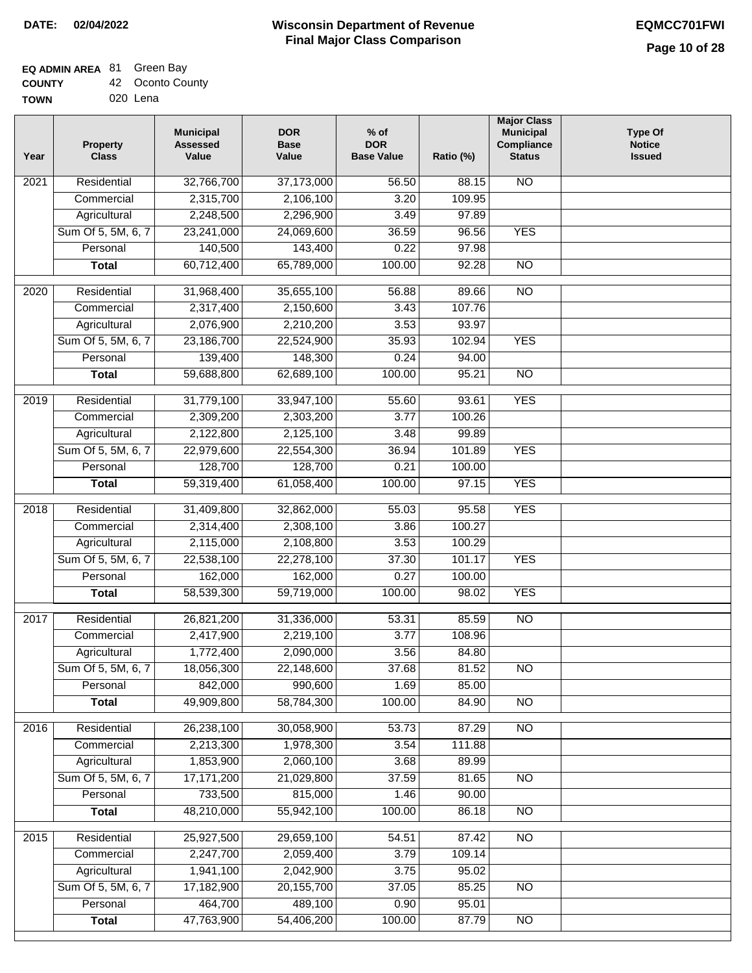# **EQ ADMIN AREA** 81 Green Bay

| <b>COUNTY</b> | 42 Oconto County |
|---------------|------------------|
| <b>TOWN</b>   | 020 Lena         |

| Year              | <b>Property</b><br><b>Class</b> | <b>Municipal</b><br><b>Assessed</b><br>Value | <b>DOR</b><br><b>Base</b><br>Value | $%$ of<br><b>DOR</b><br><b>Base Value</b> | Ratio (%) | <b>Major Class</b><br><b>Municipal</b><br>Compliance<br><b>Status</b> | <b>Type Of</b><br><b>Notice</b><br><b>Issued</b> |
|-------------------|---------------------------------|----------------------------------------------|------------------------------------|-------------------------------------------|-----------|-----------------------------------------------------------------------|--------------------------------------------------|
| 2021              | Residential                     | 32,766,700                                   | 37,173,000                         | 56.50                                     | 88.15     | $\overline{NO}$                                                       |                                                  |
|                   | Commercial                      | 2,315,700                                    | 2,106,100                          | 3.20                                      | 109.95    |                                                                       |                                                  |
|                   | Agricultural                    | 2,248,500                                    | 2,296,900                          | 3.49                                      | 97.89     |                                                                       |                                                  |
|                   | Sum Of 5, 5M, 6, 7              | 23,241,000                                   | 24,069,600                         | 36.59                                     | 96.56     | <b>YES</b>                                                            |                                                  |
|                   | Personal                        | 140,500                                      | 143,400                            | 0.22                                      | 97.98     |                                                                       |                                                  |
|                   | <b>Total</b>                    | 60,712,400                                   | 65,789,000                         | 100.00                                    | 92.28     | <b>NO</b>                                                             |                                                  |
| $\overline{20}20$ | Residential                     | 31,968,400                                   | 35,655,100                         | 56.88                                     | 89.66     | $\overline{NO}$                                                       |                                                  |
|                   | Commercial                      | 2,317,400                                    | 2,150,600                          | 3.43                                      | 107.76    |                                                                       |                                                  |
|                   | Agricultural                    | 2,076,900                                    | 2,210,200                          | 3.53                                      | 93.97     |                                                                       |                                                  |
|                   | Sum Of 5, 5M, 6, 7              | 23,186,700                                   | 22,524,900                         | 35.93                                     | 102.94    | <b>YES</b>                                                            |                                                  |
|                   | Personal                        | 139,400                                      | 148,300                            | 0.24                                      | 94.00     |                                                                       |                                                  |
|                   | <b>Total</b>                    | 59,688,800                                   | 62,689,100                         | 100.00                                    | 95.21     | $\overline{NO}$                                                       |                                                  |
|                   |                                 |                                              |                                    |                                           |           |                                                                       |                                                  |
| $\frac{1}{2019}$  | Residential                     | 31,779,100                                   | 33,947,100                         | 55.60                                     | 93.61     | <b>YES</b>                                                            |                                                  |
|                   | Commercial                      | 2,309,200                                    | 2,303,200                          | 3.77                                      | 100.26    |                                                                       |                                                  |
|                   | Agricultural                    | 2,122,800                                    | 2,125,100                          | 3.48                                      | 99.89     |                                                                       |                                                  |
|                   | Sum Of 5, 5M, 6, 7              | 22,979,600                                   | 22,554,300                         | 36.94                                     | 101.89    | <b>YES</b>                                                            |                                                  |
|                   | Personal                        | 128,700                                      | 128,700                            | 0.21                                      | 100.00    |                                                                       |                                                  |
|                   | <b>Total</b>                    | 59,319,400                                   | 61,058,400                         | 100.00                                    | 97.15     | <b>YES</b>                                                            |                                                  |
| 2018              | Residential                     | 31,409,800                                   | 32,862,000                         | 55.03                                     | 95.58     | <b>YES</b>                                                            |                                                  |
|                   | Commercial                      | 2,314,400                                    | 2,308,100                          | 3.86                                      | 100.27    |                                                                       |                                                  |
|                   | Agricultural                    | 2,115,000                                    | 2,108,800                          | 3.53                                      | 100.29    |                                                                       |                                                  |
|                   | Sum Of 5, 5M, 6, 7              | 22,538,100                                   | 22,278,100                         | 37.30                                     | 101.17    | <b>YES</b>                                                            |                                                  |
|                   | Personal                        | 162,000                                      | 162,000                            | 0.27                                      | 100.00    |                                                                       |                                                  |
|                   | <b>Total</b>                    | 58,539,300                                   | 59,719,000                         | 100.00                                    | 98.02     | <b>YES</b>                                                            |                                                  |
| 2017              | Residential                     | 26,821,200                                   | 31,336,000                         | 53.31                                     | 85.59     | $\overline{NO}$                                                       |                                                  |
|                   | Commercial                      | 2,417,900                                    | 2,219,100                          | 3.77                                      | 108.96    |                                                                       |                                                  |
|                   | Agricultural                    | 1,772,400                                    | 2,090,000                          | 3.56                                      | 84.80     |                                                                       |                                                  |
|                   | Sum Of 5, 5M, 6, 7              | 18,056,300                                   | 22,148,600                         | 37.68                                     | 81.52     | NO.                                                                   |                                                  |
|                   | Personal                        | 842,000                                      | 990,600                            | 1.69                                      | 85.00     |                                                                       |                                                  |
|                   | <b>Total</b>                    | 49,909,800                                   | 58,784,300                         | 100.00                                    | 84.90     | $\overline{NO}$                                                       |                                                  |
|                   |                                 |                                              |                                    |                                           |           |                                                                       |                                                  |
| 2016              | Residential                     | 26,238,100                                   | 30,058,900                         | 53.73                                     | 87.29     | N <sub>O</sub>                                                        |                                                  |
|                   | Commercial                      | 2,213,300                                    | 1,978,300                          | 3.54                                      | 111.88    |                                                                       |                                                  |
|                   | Agricultural                    | 1,853,900                                    | 2,060,100                          | 3.68                                      | 89.99     |                                                                       |                                                  |
|                   | Sum Of 5, 5M, 6, 7              | 17, 171, 200                                 | 21,029,800                         | 37.59                                     | 81.65     | N <sub>O</sub>                                                        |                                                  |
|                   | Personal                        | 733,500                                      | 815,000                            | 1.46                                      | 90.00     |                                                                       |                                                  |
|                   | <b>Total</b>                    | 48,210,000                                   | 55,942,100                         | 100.00                                    | 86.18     | N <sub>O</sub>                                                        |                                                  |
| 2015              | Residential                     | 25,927,500                                   | 29,659,100                         | 54.51                                     | 87.42     | $\overline{NO}$                                                       |                                                  |
|                   | Commercial                      | 2,247,700                                    | 2,059,400                          | 3.79                                      | 109.14    |                                                                       |                                                  |
|                   | Agricultural                    | 1,941,100                                    | 2,042,900                          | 3.75                                      | 95.02     |                                                                       |                                                  |
|                   | Sum Of 5, 5M, 6, 7              | 17,182,900                                   | 20, 155, 700                       | 37.05                                     | 85.25     | $\overline{NO}$                                                       |                                                  |
|                   | Personal                        | 464,700                                      | 489,100                            | 0.90                                      | 95.01     |                                                                       |                                                  |
|                   | <b>Total</b>                    | 47,763,900                                   | 54,406,200                         | 100.00                                    | 87.79     | NO                                                                    |                                                  |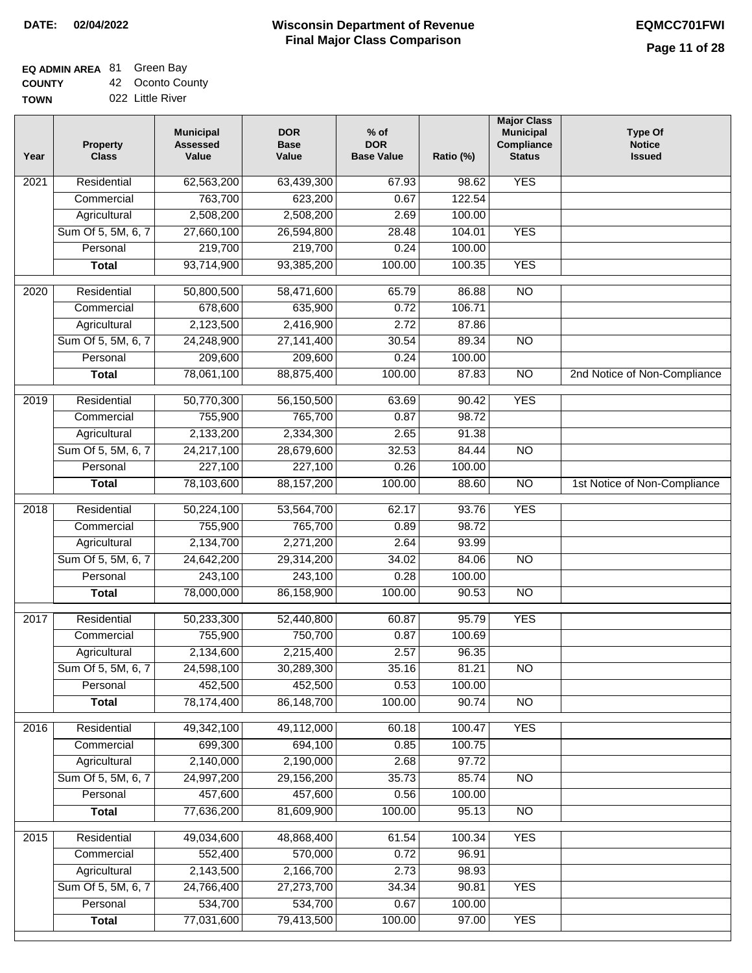## **EQ ADMIN AREA** 81 Green Bay

**COUNTY TOWN** 42 Oconto County 022 Little River

| Year | <b>Property</b><br><b>Class</b> | <b>Municipal</b><br><b>Assessed</b><br>Value | <b>DOR</b><br><b>Base</b><br>Value | $%$ of<br><b>DOR</b><br><b>Base Value</b> | Ratio (%)      | <b>Major Class</b><br><b>Municipal</b><br>Compliance<br><b>Status</b> | <b>Type Of</b><br><b>Notice</b><br><b>Issued</b> |
|------|---------------------------------|----------------------------------------------|------------------------------------|-------------------------------------------|----------------|-----------------------------------------------------------------------|--------------------------------------------------|
| 2021 | Residential                     | 62,563,200                                   | 63,439,300                         | 67.93                                     | 98.62          | <b>YES</b>                                                            |                                                  |
|      | Commercial                      | 763,700                                      | 623,200                            | 0.67                                      | 122.54         |                                                                       |                                                  |
|      | Agricultural                    | 2,508,200                                    | 2,508,200                          | 2.69                                      | 100.00         |                                                                       |                                                  |
|      | Sum Of 5, 5M, 6, 7              | 27,660,100                                   | 26,594,800                         | 28.48                                     | 104.01         | <b>YES</b>                                                            |                                                  |
|      | Personal                        | 219,700                                      | 219,700                            | 0.24                                      | 100.00         |                                                                       |                                                  |
|      | <b>Total</b>                    | 93,714,900                                   | 93,385,200                         | 100.00                                    | 100.35         | <b>YES</b>                                                            |                                                  |
| 2020 | Residential                     | 50,800,500                                   | 58,471,600                         | 65.79                                     | 86.88          | $\overline{NO}$                                                       |                                                  |
|      | Commercial                      | 678,600                                      | 635,900                            | 0.72                                      | 106.71         |                                                                       |                                                  |
|      | Agricultural                    | 2,123,500                                    | 2,416,900                          | 2.72                                      | 87.86          |                                                                       |                                                  |
|      | Sum Of 5, 5M, 6, 7              | 24,248,900                                   | 27, 141, 400                       | 30.54                                     | 89.34          | $\overline{NO}$                                                       |                                                  |
|      | Personal                        | 209,600                                      | 209,600                            | 0.24                                      | 100.00         |                                                                       |                                                  |
|      | <b>Total</b>                    | 78,061,100                                   | 88,875,400                         | 100.00                                    | 87.83          | $\overline{NO}$                                                       | 2nd Notice of Non-Compliance                     |
| 2019 | Residential                     | 50,770,300                                   | 56,150,500                         | 63.69                                     | 90.42          | <b>YES</b>                                                            |                                                  |
|      | Commercial                      | 755,900                                      | 765,700                            | 0.87                                      | 98.72          |                                                                       |                                                  |
|      | Agricultural                    | 2,133,200                                    | 2,334,300                          | 2.65                                      | 91.38          |                                                                       |                                                  |
|      | Sum Of 5, 5M, 6, 7              | 24,217,100                                   | 28,679,600                         | 32.53                                     | 84.44          | $\overline{NO}$                                                       |                                                  |
|      | Personal                        | 227,100                                      | 227,100                            | 0.26                                      | 100.00         |                                                                       |                                                  |
|      | <b>Total</b>                    | 78,103,600                                   | 88,157,200                         | 100.00                                    | 88.60          | $\overline{NO}$                                                       | 1st Notice of Non-Compliance                     |
|      |                                 |                                              |                                    |                                           |                |                                                                       |                                                  |
| 2018 | Residential<br>Commercial       | 50,224,100<br>755,900                        | 53,564,700<br>765,700              | 62.17<br>0.89                             | 93.76<br>98.72 | <b>YES</b>                                                            |                                                  |
|      | Agricultural                    | 2,134,700                                    | 2,271,200                          | 2.64                                      | 93.99          |                                                                       |                                                  |
|      | Sum Of 5, 5M, 6, 7              | 24,642,200                                   | 29,314,200                         | 34.02                                     | 84.06          | $\overline{NO}$                                                       |                                                  |
|      | Personal                        | 243,100                                      | 243,100                            | 0.28                                      | 100.00         |                                                                       |                                                  |
|      | <b>Total</b>                    | 78,000,000                                   | 86,158,900                         | 100.00                                    | 90.53          | <b>NO</b>                                                             |                                                  |
|      |                                 |                                              |                                    |                                           |                |                                                                       |                                                  |
| 2017 | Residential                     | 50,233,300                                   | 52,440,800                         | 60.87                                     | 95.79          | <b>YES</b>                                                            |                                                  |
|      | Commercial                      | 755,900                                      | 750,700                            | 0.87                                      | 100.69         |                                                                       |                                                  |
|      | Agricultural                    | 2,134,600                                    | 2,215,400                          | 2.57                                      | 96.35          |                                                                       |                                                  |
|      | Sum Of 5, 5M, 6, 7              | 24,598,100                                   | 30,289,300                         | 35.16                                     | 81.21          | <b>NO</b>                                                             |                                                  |
|      | Personal                        | 452,500                                      | 452,500                            | 0.53                                      | 100.00         |                                                                       |                                                  |
|      | <b>Total</b>                    | 78,174,400                                   | 86,148,700                         | 100.00                                    | 90.74          | <b>NO</b>                                                             |                                                  |
| 2016 | Residential                     | 49,342,100                                   | 49,112,000                         | 60.18                                     | 100.47         | <b>YES</b>                                                            |                                                  |
|      | Commercial                      | 699,300                                      | 694,100                            | 0.85                                      | 100.75         |                                                                       |                                                  |
|      | Agricultural                    | 2,140,000                                    | 2,190,000                          | 2.68                                      | 97.72          |                                                                       |                                                  |
|      | Sum Of 5, 5M, 6, 7              | 24,997,200                                   | 29,156,200                         | 35.73                                     | 85.74          | N <sub>O</sub>                                                        |                                                  |
|      | Personal                        | 457,600                                      | 457,600                            | 0.56                                      | 100.00         |                                                                       |                                                  |
|      | <b>Total</b>                    | 77,636,200                                   | 81,609,900                         | 100.00                                    | 95.13          | N <sub>O</sub>                                                        |                                                  |
| 2015 | Residential                     | 49,034,600                                   | 48,868,400                         | 61.54                                     | 100.34         | <b>YES</b>                                                            |                                                  |
|      | Commercial                      | 552,400                                      | 570,000                            | 0.72                                      | 96.91          |                                                                       |                                                  |
|      | Agricultural                    | 2,143,500                                    | 2,166,700                          | 2.73                                      | 98.93          |                                                                       |                                                  |
|      | Sum Of 5, 5M, 6, 7              | 24,766,400                                   | 27,273,700                         | 34.34                                     | 90.81          | <b>YES</b>                                                            |                                                  |
|      | Personal                        | 534,700                                      | 534,700                            | 0.67                                      | 100.00         |                                                                       |                                                  |
|      | <b>Total</b>                    | 77,031,600                                   | 79,413,500                         | 100.00                                    | 97.00          | <b>YES</b>                                                            |                                                  |
|      |                                 |                                              |                                    |                                           |                |                                                                       |                                                  |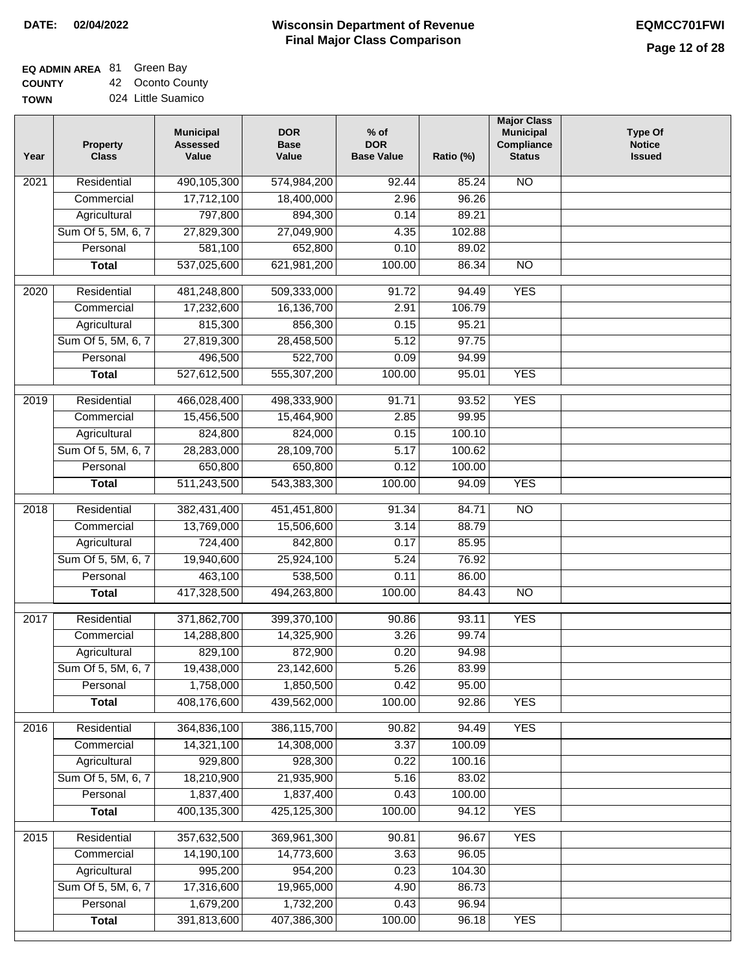#### **EQ ADMIN AREA** 81 Green Bay **COUNTY** 42 Oconto County

**TOWN** 024 Little Suamico

| Year | <b>Property</b><br><b>Class</b>    | <b>Municipal</b><br><b>Assessed</b><br>Value | <b>DOR</b><br><b>Base</b><br>Value | $%$ of<br><b>DOR</b><br><b>Base Value</b> | Ratio (%)       | <b>Major Class</b><br><b>Municipal</b><br>Compliance<br><b>Status</b> | <b>Type Of</b><br><b>Notice</b><br><b>Issued</b> |
|------|------------------------------------|----------------------------------------------|------------------------------------|-------------------------------------------|-----------------|-----------------------------------------------------------------------|--------------------------------------------------|
| 2021 | Residential                        | 490,105,300                                  | 574,984,200                        | 92.44                                     | 85.24           | <b>NO</b>                                                             |                                                  |
|      | Commercial                         | 17,712,100                                   | 18,400,000                         | 2.96                                      | 96.26           |                                                                       |                                                  |
|      | Agricultural                       | 797,800                                      | 894,300                            | 0.14                                      | 89.21           |                                                                       |                                                  |
|      | Sum Of 5, 5M, 6, 7                 | 27,829,300                                   | 27,049,900                         | 4.35                                      | 102.88          |                                                                       |                                                  |
|      | Personal                           | 581,100                                      | 652,800                            | 0.10                                      | 89.02           |                                                                       |                                                  |
|      | <b>Total</b>                       | 537,025,600                                  | 621,981,200                        | 100.00                                    | 86.34           | $\overline{NO}$                                                       |                                                  |
| 2020 | Residential                        | 481,248,800                                  | 509,333,000                        | 91.72                                     | 94.49           | <b>YES</b>                                                            |                                                  |
|      | Commercial                         | 17,232,600                                   | 16,136,700                         | 2.91                                      | 106.79          |                                                                       |                                                  |
|      | Agricultural                       | 815,300                                      | 856,300                            | 0.15                                      | 95.21           |                                                                       |                                                  |
|      | Sum Of 5, 5M, 6, 7                 | 27,819,300                                   | 28,458,500                         | 5.12                                      | 97.75           |                                                                       |                                                  |
|      | Personal                           | 496,500                                      | 522,700                            | 0.09                                      | 94.99           |                                                                       |                                                  |
|      | <b>Total</b>                       | 527,612,500                                  | 555,307,200                        | 100.00                                    | 95.01           | <b>YES</b>                                                            |                                                  |
|      |                                    |                                              |                                    |                                           |                 |                                                                       |                                                  |
| 2019 | Residential                        | 466,028,400                                  | 498,333,900                        | 91.71                                     | 93.52           | <b>YES</b>                                                            |                                                  |
|      | Commercial                         | 15,456,500                                   | 15,464,900                         | 2.85                                      | 99.95           |                                                                       |                                                  |
|      | Agricultural                       | 824,800                                      | 824,000                            | 0.15                                      | 100.10          |                                                                       |                                                  |
|      | Sum Of 5, 5M, 6, 7                 | 28,283,000                                   | 28,109,700                         | 5.17                                      | 100.62          |                                                                       |                                                  |
|      | Personal                           | 650,800                                      | 650,800                            | 0.12                                      | 100.00          |                                                                       |                                                  |
|      | <b>Total</b>                       | 511,243,500                                  | 543,383,300                        | 100.00                                    | 94.09           | <b>YES</b>                                                            |                                                  |
| 2018 | Residential                        | 382,431,400                                  | 451,451,800                        | 91.34                                     | 84.71           | $\overline{10}$                                                       |                                                  |
|      | Commercial                         | 13,769,000                                   | 15,506,600                         | 3.14                                      | 88.79           |                                                                       |                                                  |
|      | Agricultural                       | 724,400                                      | 842,800                            | 0.17                                      | 85.95           |                                                                       |                                                  |
|      | Sum Of 5, 5M, 6, 7                 | 19,940,600                                   | 25,924,100                         | 5.24                                      | 76.92           |                                                                       |                                                  |
|      | Personal                           | 463,100                                      | 538,500                            | 0.11                                      | 86.00           |                                                                       |                                                  |
|      | <b>Total</b>                       | 417,328,500                                  | 494,263,800                        | 100.00                                    | 84.43           | <b>NO</b>                                                             |                                                  |
| 2017 | Residential                        | 371,862,700                                  | 399,370,100                        | 90.86                                     | 93.11           | <b>YES</b>                                                            |                                                  |
|      | Commercial                         | 14,288,800                                   | 14,325,900                         | 3.26                                      | 99.74           |                                                                       |                                                  |
|      | Agricultural                       | 829,100                                      | 872,900                            | 0.20                                      | 94.98           |                                                                       |                                                  |
|      | Sum Of 5, 5M, 6, 7                 | 19,438,000                                   | 23,142,600                         | 5.26                                      | 83.99           |                                                                       |                                                  |
|      | Personal                           | 1,758,000                                    | 1,850,500                          | 0.42                                      | 95.00           |                                                                       |                                                  |
|      | <b>Total</b>                       | 408,176,600                                  | 439,562,000                        | 100.00                                    | 92.86           | <b>YES</b>                                                            |                                                  |
|      |                                    |                                              |                                    |                                           |                 |                                                                       |                                                  |
| 2016 | Residential                        | 364,836,100<br>14,321,100                    | 386,115,700<br>14,308,000          | 90.82<br>3.37                             | 94.49<br>100.09 | <b>YES</b>                                                            |                                                  |
|      | Commercial                         | 929,800                                      | 928,300                            | 0.22                                      | 100.16          |                                                                       |                                                  |
|      | Agricultural<br>Sum Of 5, 5M, 6, 7 | 18,210,900                                   | 21,935,900                         | 5.16                                      | 83.02           |                                                                       |                                                  |
|      | Personal                           | 1,837,400                                    | 1,837,400                          | 0.43                                      | 100.00          |                                                                       |                                                  |
|      | <b>Total</b>                       | 400,135,300                                  | 425,125,300                        | 100.00                                    | 94.12           | <b>YES</b>                                                            |                                                  |
|      |                                    |                                              |                                    |                                           |                 |                                                                       |                                                  |
| 2015 | Residential                        | 357,632,500                                  | 369,961,300                        | 90.81                                     | 96.67           | <b>YES</b>                                                            |                                                  |
|      | Commercial                         | 14,190,100                                   | 14,773,600                         | 3.63                                      | 96.05           |                                                                       |                                                  |
|      | Agricultural                       | 995,200                                      | 954,200                            | 0.23                                      | 104.30          |                                                                       |                                                  |
|      | Sum Of 5, 5M, 6, 7                 | 17,316,600                                   | 19,965,000                         | 4.90                                      | 86.73           |                                                                       |                                                  |
|      | Personal                           | 1,679,200                                    | 1,732,200                          | 0.43                                      | 96.94           |                                                                       |                                                  |
|      | <b>Total</b>                       | 391,813,600                                  | 407,386,300                        | 100.00                                    | 96.18           | <b>YES</b>                                                            |                                                  |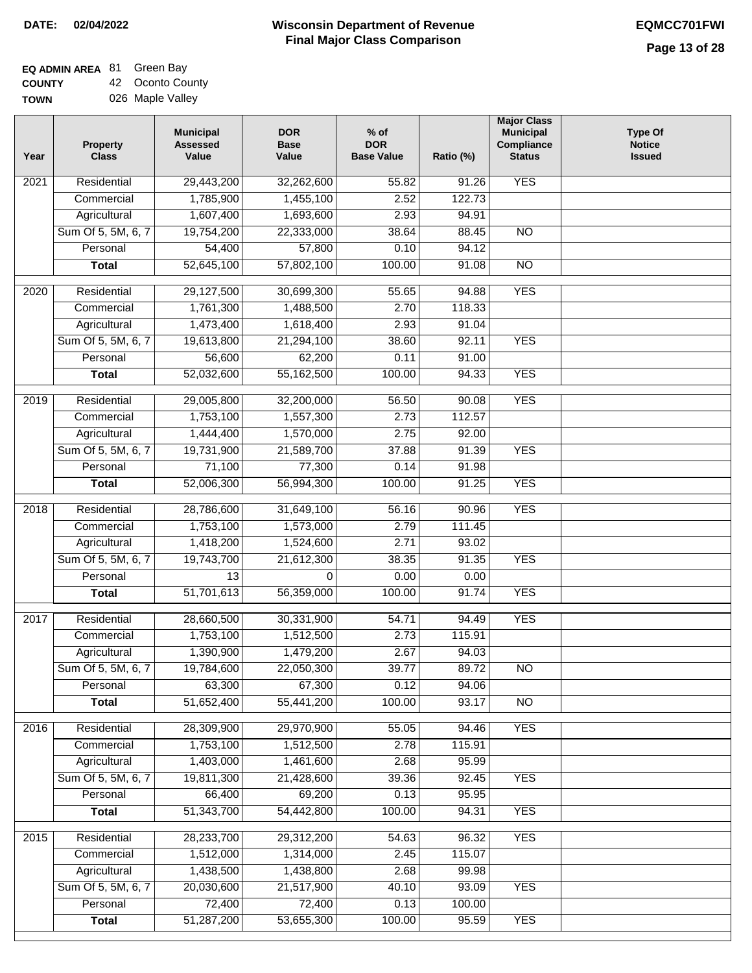#### **EQ ADMIN AREA** 81 Green Bay **COUNTY** 42 Oconto County

**TOWN** 026 Maple Valley

| Year | <b>Property</b><br><b>Class</b> | <b>Municipal</b><br><b>Assessed</b><br>Value | <b>DOR</b><br><b>Base</b><br>Value | $%$ of<br><b>DOR</b><br><b>Base Value</b> | Ratio (%)       | <b>Major Class</b><br><b>Municipal</b><br>Compliance<br><b>Status</b> | <b>Type Of</b><br><b>Notice</b><br><b>Issued</b> |
|------|---------------------------------|----------------------------------------------|------------------------------------|-------------------------------------------|-----------------|-----------------------------------------------------------------------|--------------------------------------------------|
| 2021 | Residential                     | 29,443,200                                   | 32,262,600                         | $\frac{1}{55.82}$                         | 91.26           | <b>YES</b>                                                            |                                                  |
|      | Commercial                      | 1,785,900                                    | 1,455,100                          | 2.52                                      | 122.73          |                                                                       |                                                  |
|      | Agricultural                    | 1,607,400                                    | 1,693,600                          | 2.93                                      | 94.91           |                                                                       |                                                  |
|      | Sum Of 5, 5M, 6, 7              | 19,754,200                                   | 22,333,000                         | 38.64                                     | 88.45           | $\overline{NO}$                                                       |                                                  |
|      | Personal                        | 54,400                                       | 57,800                             | 0.10                                      | 94.12           |                                                                       |                                                  |
|      | <b>Total</b>                    | 52,645,100                                   | 57,802,100                         | 100.00                                    | 91.08           | $\overline{NO}$                                                       |                                                  |
| 2020 | Residential                     | 29,127,500                                   | 30,699,300                         | 55.65                                     | 94.88           | <b>YES</b>                                                            |                                                  |
|      | Commercial                      | 1,761,300                                    | 1,488,500                          | 2.70                                      | 118.33          |                                                                       |                                                  |
|      | Agricultural                    | 1,473,400                                    | 1,618,400                          | 2.93                                      | 91.04           |                                                                       |                                                  |
|      | Sum Of 5, 5M, 6, 7              | 19,613,800                                   | 21,294,100                         | 38.60                                     | 92.11           | <b>YES</b>                                                            |                                                  |
|      | Personal                        | 56,600                                       | 62,200                             | 0.11                                      | 91.00           |                                                                       |                                                  |
|      | <b>Total</b>                    | 52,032,600                                   | 55,162,500                         | 100.00                                    | 94.33           | <b>YES</b>                                                            |                                                  |
| 2019 | Residential                     | 29,005,800                                   | 32,200,000                         | 56.50                                     | 90.08           | <b>YES</b>                                                            |                                                  |
|      | Commercial                      | 1,753,100                                    | 1,557,300                          | 2.73                                      | 112.57          |                                                                       |                                                  |
|      | Agricultural                    | 1,444,400                                    | 1,570,000                          | 2.75                                      | 92.00           |                                                                       |                                                  |
|      | Sum Of 5, 5M, 6, 7              | 19,731,900                                   | 21,589,700                         | 37.88                                     | 91.39           | <b>YES</b>                                                            |                                                  |
|      | Personal                        | 71,100                                       | 77,300                             | 0.14                                      | 91.98           |                                                                       |                                                  |
|      | <b>Total</b>                    | 52,006,300                                   | 56,994,300                         | 100.00                                    | 91.25           | <b>YES</b>                                                            |                                                  |
| 2018 | Residential                     | 28,786,600                                   | 31,649,100                         | 56.16                                     | 90.96           | <b>YES</b>                                                            |                                                  |
|      | Commercial                      | 1,753,100                                    | 1,573,000                          | 2.79                                      | 111.45          |                                                                       |                                                  |
|      | Agricultural                    | 1,418,200                                    | 1,524,600                          | 2.71                                      | 93.02           |                                                                       |                                                  |
|      | Sum Of 5, 5M, 6, 7              | 19,743,700                                   | 21,612,300                         | 38.35                                     | 91.35           | <b>YES</b>                                                            |                                                  |
|      | Personal                        | 13                                           | 0                                  | 0.00                                      | 0.00            |                                                                       |                                                  |
|      | <b>Total</b>                    | 51,701,613                                   | 56,359,000                         | 100.00                                    | 91.74           | <b>YES</b>                                                            |                                                  |
|      |                                 |                                              |                                    |                                           |                 |                                                                       |                                                  |
| 2017 | Residential                     | 28,660,500                                   | 30,331,900                         | 54.71                                     | 94.49           | <b>YES</b>                                                            |                                                  |
|      | Commercial<br>Agricultural      | 1,753,100<br>1,390,900                       | 1,512,500<br>1,479,200             | 2.73<br>2.67                              | 115.91<br>94.03 |                                                                       |                                                  |
|      | Sum Of 5, 5M, 6, 7              | 19,784,600                                   | 22,050,300                         | 39.77                                     | 89.72           | N <sub>O</sub>                                                        |                                                  |
|      | Personal                        | 63,300                                       | 67,300                             | 0.12                                      | 94.06           |                                                                       |                                                  |
|      | <b>Total</b>                    | 51,652,400                                   | 55,441,200                         | 100.00                                    | 93.17           | <b>NO</b>                                                             |                                                  |
|      |                                 |                                              |                                    |                                           |                 |                                                                       |                                                  |
| 2016 | Residential                     | 28,309,900                                   | 29,970,900                         | 55.05                                     | 94.46           | <b>YES</b>                                                            |                                                  |
|      | Commercial                      | 1,753,100                                    | 1,512,500                          | 2.78                                      | 115.91          |                                                                       |                                                  |
|      | Agricultural                    | 1,403,000                                    | 1,461,600                          | 2.68                                      | 95.99           |                                                                       |                                                  |
|      | Sum Of 5, 5M, 6, 7              | 19,811,300                                   | 21,428,600                         | 39.36                                     | 92.45           | <b>YES</b>                                                            |                                                  |
|      | Personal                        | 66,400<br>51,343,700                         | 69,200                             | 0.13                                      | 95.95           |                                                                       |                                                  |
|      | <b>Total</b>                    |                                              | 54,442,800                         | 100.00                                    | 94.31           | <b>YES</b>                                                            |                                                  |
| 2015 | Residential                     | 28,233,700                                   | 29,312,200                         | 54.63                                     | 96.32           | <b>YES</b>                                                            |                                                  |
|      | Commercial                      | 1,512,000                                    | 1,314,000                          | 2.45                                      | 115.07          |                                                                       |                                                  |
|      | Agricultural                    | 1,438,500                                    | 1,438,800                          | 2.68                                      | 99.98           |                                                                       |                                                  |
|      | Sum Of 5, 5M, 6, 7              | 20,030,600                                   | 21,517,900                         | 40.10                                     | 93.09           | <b>YES</b>                                                            |                                                  |
|      | Personal                        | 72,400                                       | 72,400                             | 0.13                                      | 100.00          |                                                                       |                                                  |
|      | <b>Total</b>                    | 51,287,200                                   | 53,655,300                         | 100.00                                    | 95.59           | <b>YES</b>                                                            |                                                  |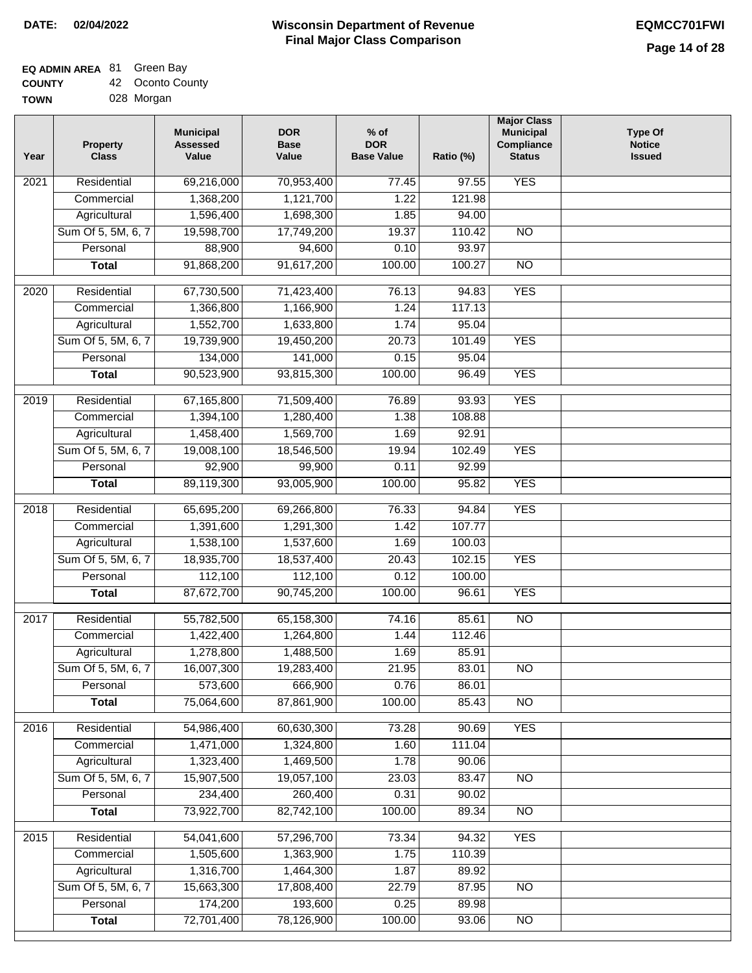# **EQ ADMIN AREA** 81 Green Bay

| <b>COUNTY</b> | 42 Oconto County |
|---------------|------------------|
|               |                  |

**TOWN** 028 Morgan

| Year              | <b>Property</b><br><b>Class</b> | <b>Municipal</b><br><b>Assessed</b><br>Value | <b>DOR</b><br><b>Base</b><br>Value | $%$ of<br><b>DOR</b><br><b>Base Value</b> | Ratio (%)      | <b>Major Class</b><br><b>Municipal</b><br>Compliance<br><b>Status</b> | <b>Type Of</b><br><b>Notice</b><br><b>Issued</b> |
|-------------------|---------------------------------|----------------------------------------------|------------------------------------|-------------------------------------------|----------------|-----------------------------------------------------------------------|--------------------------------------------------|
| $\overline{202}1$ | Residential                     | 69,216,000                                   | 70,953,400                         | 77.45                                     | 97.55          | <b>YES</b>                                                            |                                                  |
|                   | Commercial                      | 1,368,200                                    | 1,121,700                          | 1.22                                      | 121.98         |                                                                       |                                                  |
|                   | Agricultural                    | 1,596,400                                    | 1,698,300                          | 1.85                                      | 94.00          |                                                                       |                                                  |
|                   | Sum Of 5, 5M, 6, 7              | 19,598,700                                   | 17,749,200                         | 19.37                                     | 110.42         | $\overline{NO}$                                                       |                                                  |
|                   | Personal                        | 88,900                                       | 94,600                             | 0.10                                      | 93.97          |                                                                       |                                                  |
|                   | <b>Total</b>                    | 91,868,200                                   | 91,617,200                         | 100.00                                    | 100.27         | $\overline{NO}$                                                       |                                                  |
| $\overline{2020}$ | Residential                     | 67,730,500                                   | 71,423,400                         | 76.13                                     | 94.83          | <b>YES</b>                                                            |                                                  |
|                   | Commercial                      | 1,366,800                                    | 1,166,900                          | 1.24                                      | 117.13         |                                                                       |                                                  |
|                   | Agricultural                    | 1,552,700                                    | 1,633,800                          | 1.74                                      | 95.04          |                                                                       |                                                  |
|                   | Sum Of 5, 5M, 6, 7              | 19,739,900                                   | 19,450,200                         | 20.73                                     | 101.49         | <b>YES</b>                                                            |                                                  |
|                   | Personal                        | 134,000                                      | 141,000                            | 0.15                                      | 95.04          |                                                                       |                                                  |
|                   | <b>Total</b>                    | 90,523,900                                   | 93,815,300                         | 100.00                                    | 96.49          | <b>YES</b>                                                            |                                                  |
| 2019              | Residential                     | 67,165,800                                   | 71,509,400                         | 76.89                                     | 93.93          | <b>YES</b>                                                            |                                                  |
|                   | Commercial                      | 1,394,100                                    | 1,280,400                          | 1.38                                      | 108.88         |                                                                       |                                                  |
|                   | Agricultural                    | 1,458,400                                    | 1,569,700                          | 1.69                                      | 92.91          |                                                                       |                                                  |
|                   | Sum Of 5, 5M, 6, 7              | 19,008,100                                   | 18,546,500                         | 19.94                                     | 102.49         | <b>YES</b>                                                            |                                                  |
|                   | Personal                        | 92,900                                       | 99,900                             | 0.11                                      | 92.99          |                                                                       |                                                  |
|                   | <b>Total</b>                    | 89,119,300                                   | 93,005,900                         | 100.00                                    | 95.82          | <b>YES</b>                                                            |                                                  |
|                   |                                 |                                              |                                    |                                           |                |                                                                       |                                                  |
| 2018              | Residential                     | 65,695,200                                   | 69,266,800                         | 76.33                                     | 94.84          | <b>YES</b>                                                            |                                                  |
|                   | Commercial                      | 1,391,600                                    | 1,291,300                          | 1.42                                      | 107.77         |                                                                       |                                                  |
|                   | Agricultural                    | 1,538,100                                    | 1,537,600                          | 1.69                                      | 100.03         |                                                                       |                                                  |
|                   | Sum Of 5, 5M, 6, 7              | 18,935,700                                   | 18,537,400                         | 20.43                                     | 102.15         | <b>YES</b>                                                            |                                                  |
|                   | Personal                        | 112,100                                      | 112,100                            | 0.12                                      | 100.00         |                                                                       |                                                  |
|                   | <b>Total</b>                    | 87,672,700                                   | 90,745,200                         | 100.00                                    | 96.61          | <b>YES</b>                                                            |                                                  |
| 2017              | Residential                     | 55,782,500                                   | 65,158,300                         | 74.16                                     | 85.61          | <b>NO</b>                                                             |                                                  |
|                   | Commercial                      | 1,422,400                                    | 1,264,800                          | 1.44                                      | 112.46         |                                                                       |                                                  |
|                   | Agricultural                    | 1,278,800                                    | 1,488,500                          | 1.69                                      | 85.91          |                                                                       |                                                  |
|                   | Sum Of 5, 5M, 6, 7              | 16,007,300                                   | 19,283,400                         | 21.95                                     | 83.01          | <b>NO</b>                                                             |                                                  |
|                   | Personal                        | 573,600                                      | 666,900                            | 0.76                                      | 86.01          |                                                                       |                                                  |
|                   | <b>Total</b>                    | 75,064,600                                   | 87,861,900                         | 100.00                                    | 85.43          | <b>NO</b>                                                             |                                                  |
| 2016              | Residential                     | 54,986,400                                   | 60,630,300                         | 73.28                                     | 90.69          | <b>YES</b>                                                            |                                                  |
|                   | Commercial                      | 1,471,000                                    | 1,324,800                          | 1.60                                      | 111.04         |                                                                       |                                                  |
|                   | Agricultural                    | 1,323,400                                    | 1,469,500                          | 1.78                                      | 90.06          |                                                                       |                                                  |
|                   | Sum Of 5, 5M, 6, 7              | 15,907,500                                   | 19,057,100                         | 23.03                                     | 83.47          | $\overline{NO}$                                                       |                                                  |
|                   | Personal                        | 234,400                                      | 260,400                            | 0.31                                      | 90.02          |                                                                       |                                                  |
|                   | <b>Total</b>                    | 73,922,700                                   | 82,742,100                         | 100.00                                    | 89.34          | $\overline{NO}$                                                       |                                                  |
|                   |                                 |                                              |                                    |                                           |                |                                                                       |                                                  |
| 2015              | Residential                     | 54,041,600                                   | 57,296,700                         | 73.34                                     | 94.32          | <b>YES</b>                                                            |                                                  |
|                   | Commercial                      | 1,505,600                                    | 1,363,900                          | 1.75                                      | 110.39         |                                                                       |                                                  |
|                   | Agricultural                    | 1,316,700                                    | 1,464,300                          | 1.87                                      | 89.92          |                                                                       |                                                  |
|                   | Sum Of 5, 5M, 6, 7              | 15,663,300                                   | 17,808,400                         | 22.79                                     | 87.95          | <b>NO</b>                                                             |                                                  |
|                   | Personal<br><b>Total</b>        | 174,200<br>72,701,400                        | 193,600<br>78,126,900              | 0.25<br>100.00                            | 89.98<br>93.06 | NO                                                                    |                                                  |
|                   |                                 |                                              |                                    |                                           |                |                                                                       |                                                  |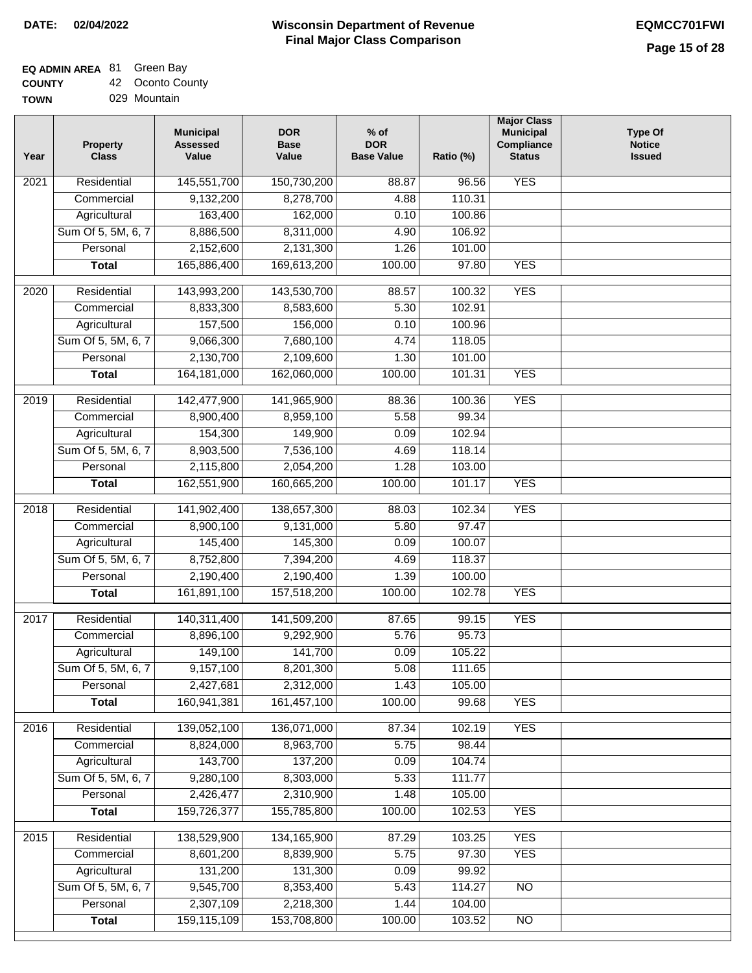## **EQ ADMIN AREA** 81 Green Bay

**COUNTY TOWN** 42 Oconto County

| 029 Mountain |  |  |  |
|--------------|--|--|--|

| Year              | <b>Property</b><br><b>Class</b> | <b>Municipal</b><br><b>Assessed</b><br>Value | <b>DOR</b><br><b>Base</b><br>Value | $%$ of<br><b>DOR</b><br><b>Base Value</b> | Ratio (%) | <b>Major Class</b><br><b>Municipal</b><br>Compliance<br><b>Status</b> | <b>Type Of</b><br><b>Notice</b><br><b>Issued</b> |
|-------------------|---------------------------------|----------------------------------------------|------------------------------------|-------------------------------------------|-----------|-----------------------------------------------------------------------|--------------------------------------------------|
| 2021              | Residential                     | 145,551,700                                  | 150,730,200                        | 88.87                                     | 96.56     | <b>YES</b>                                                            |                                                  |
|                   | Commercial                      | 9,132,200                                    | 8,278,700                          | 4.88                                      | 110.31    |                                                                       |                                                  |
|                   | Agricultural                    | 163,400                                      | 162,000                            | 0.10                                      | 100.86    |                                                                       |                                                  |
|                   | Sum Of 5, 5M, 6, 7              | 8,886,500                                    | 8,311,000                          | 4.90                                      | 106.92    |                                                                       |                                                  |
|                   | Personal                        | 2,152,600                                    | 2,131,300                          | 1.26                                      | 101.00    |                                                                       |                                                  |
|                   | <b>Total</b>                    | 165,886,400                                  | 169,613,200                        | 100.00                                    | 97.80     | <b>YES</b>                                                            |                                                  |
| $\overline{2020}$ | Residential                     | 143,993,200                                  | 143,530,700                        | 88.57                                     | 100.32    | <b>YES</b>                                                            |                                                  |
|                   | Commercial                      | 8,833,300                                    | 8,583,600                          | 5.30                                      | 102.91    |                                                                       |                                                  |
|                   | Agricultural                    | 157,500                                      | 156,000                            | 0.10                                      | 100.96    |                                                                       |                                                  |
|                   | Sum Of 5, 5M, 6, 7              | 9,066,300                                    | 7,680,100                          | 4.74                                      | 118.05    |                                                                       |                                                  |
|                   | Personal                        | 2,130,700                                    | 2,109,600                          | 1.30                                      | 101.00    |                                                                       |                                                  |
|                   | <b>Total</b>                    | 164, 181, 000                                | 162,060,000                        | 100.00                                    | 101.31    | <b>YES</b>                                                            |                                                  |
|                   |                                 |                                              |                                    |                                           |           |                                                                       |                                                  |
| $\frac{1}{2019}$  | Residential                     | 142,477,900                                  | 141,965,900                        | 88.36                                     | 100.36    | <b>YES</b>                                                            |                                                  |
|                   | Commercial                      | 8,900,400                                    | 8,959,100                          | 5.58                                      | 99.34     |                                                                       |                                                  |
|                   | Agricultural                    | 154,300                                      | 149,900                            | 0.09                                      | 102.94    |                                                                       |                                                  |
|                   | Sum Of 5, 5M, 6, 7              | 8,903,500                                    | 7,536,100                          | 4.69                                      | 118.14    |                                                                       |                                                  |
|                   | Personal                        | 2,115,800                                    | 2,054,200                          | 1.28                                      | 103.00    |                                                                       |                                                  |
|                   | <b>Total</b>                    | 162,551,900                                  | 160,665,200                        | 100.00                                    | 101.17    | <b>YES</b>                                                            |                                                  |
| 2018              | Residential                     | 141,902,400                                  | 138,657,300                        | 88.03                                     | 102.34    | <b>YES</b>                                                            |                                                  |
|                   | Commercial                      | 8,900,100                                    | 9,131,000                          | 5.80                                      | 97.47     |                                                                       |                                                  |
|                   | Agricultural                    | 145,400                                      | 145,300                            | 0.09                                      | 100.07    |                                                                       |                                                  |
|                   | Sum Of 5, 5M, 6, 7              | 8,752,800                                    | 7,394,200                          | 4.69                                      | 118.37    |                                                                       |                                                  |
|                   | Personal                        | 2,190,400                                    | 2,190,400                          | 1.39                                      | 100.00    |                                                                       |                                                  |
|                   | <b>Total</b>                    | 161,891,100                                  | 157,518,200                        | 100.00                                    | 102.78    | <b>YES</b>                                                            |                                                  |
| 2017              | Residential                     | 140,311,400                                  | 141,509,200                        | 87.65                                     | 99.15     | <b>YES</b>                                                            |                                                  |
|                   | Commercial                      | 8,896,100                                    | 9,292,900                          | 5.76                                      | 95.73     |                                                                       |                                                  |
|                   | Agricultural                    | 149,100                                      | 141,700                            | 0.09                                      | 105.22    |                                                                       |                                                  |
|                   | Sum Of 5, 5M, 6, 7              | 9,157,100                                    | 8,201,300                          | 5.08                                      | 111.65    |                                                                       |                                                  |
|                   | Personal                        | 2,427,681                                    | 2,312,000                          | 1.43                                      | 105.00    |                                                                       |                                                  |
|                   | <b>Total</b>                    | 160,941,381                                  | 161,457,100                        | 100.00                                    | 99.68     | <b>YES</b>                                                            |                                                  |
|                   |                                 |                                              |                                    |                                           |           |                                                                       |                                                  |
| 2016              | Residential                     | 139,052,100                                  | 136,071,000                        | 87.34                                     | 102.19    | <b>YES</b>                                                            |                                                  |
|                   | Commercial                      | 8,824,000                                    | 8,963,700                          | 5.75                                      | 98.44     |                                                                       |                                                  |
|                   | Agricultural                    | 143,700                                      | 137,200                            | 0.09                                      | 104.74    |                                                                       |                                                  |
|                   | Sum Of 5, 5M, 6, 7              | 9,280,100                                    | 8,303,000                          | 5.33                                      | 111.77    |                                                                       |                                                  |
|                   | Personal                        | 2,426,477                                    | 2,310,900                          | 1.48                                      | 105.00    |                                                                       |                                                  |
|                   | <b>Total</b>                    | 159,726,377                                  | 155,785,800                        | 100.00                                    | 102.53    | <b>YES</b>                                                            |                                                  |
| 2015              | Residential                     | 138,529,900                                  | 134, 165, 900                      | 87.29                                     | 103.25    | <b>YES</b>                                                            |                                                  |
|                   | Commercial                      | 8,601,200                                    | 8,839,900                          | 5.75                                      | 97.30     | <b>YES</b>                                                            |                                                  |
|                   | Agricultural                    | 131,200                                      | 131,300                            | 0.09                                      | 99.92     |                                                                       |                                                  |
|                   | Sum Of 5, 5M, 6, 7              | 9,545,700                                    | 8,353,400                          | 5.43                                      | 114.27    | $\overline{NO}$                                                       |                                                  |
|                   | Personal                        | 2,307,109                                    | 2,218,300                          | 1.44                                      | 104.00    |                                                                       |                                                  |
|                   | <b>Total</b>                    | 159,115,109                                  | 153,708,800                        | 100.00                                    | 103.52    | $\overline{NO}$                                                       |                                                  |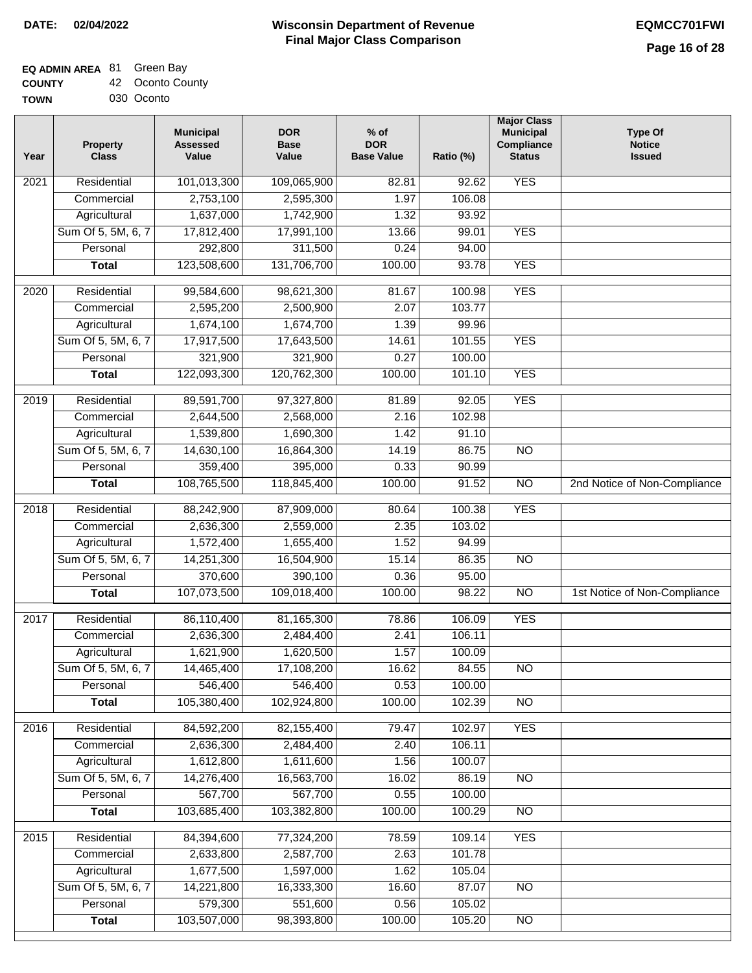## **EQ ADMIN AREA** 81 Green Bay

| <b>COUNTY</b> | 42 Oconto County |
|---------------|------------------|
|---------------|------------------|

**TOWN** 030 Oconto

| Year | <b>Property</b><br><b>Class</b> | <b>Municipal</b><br><b>Assessed</b><br>Value | <b>DOR</b><br><b>Base</b><br>Value | $%$ of<br><b>DOR</b><br><b>Base Value</b> | Ratio (%) | <b>Major Class</b><br><b>Municipal</b><br>Compliance<br><b>Status</b> | <b>Type Of</b><br><b>Notice</b><br><b>Issued</b> |
|------|---------------------------------|----------------------------------------------|------------------------------------|-------------------------------------------|-----------|-----------------------------------------------------------------------|--------------------------------------------------|
| 2021 | Residential                     | 101,013,300                                  | 109,065,900                        | 82.81                                     | 92.62     | <b>YES</b>                                                            |                                                  |
|      | Commercial                      | 2,753,100                                    | 2,595,300                          | 1.97                                      | 106.08    |                                                                       |                                                  |
|      | Agricultural                    | 1,637,000                                    | 1,742,900                          | 1.32                                      | 93.92     |                                                                       |                                                  |
|      | Sum Of 5, 5M, 6, 7              | 17,812,400                                   | 17,991,100                         | 13.66                                     | 99.01     | <b>YES</b>                                                            |                                                  |
|      | Personal                        | 292,800                                      | 311,500                            | 0.24                                      | 94.00     |                                                                       |                                                  |
|      | <b>Total</b>                    | 123,508,600                                  | 131,706,700                        | 100.00                                    | 93.78     | <b>YES</b>                                                            |                                                  |
| 2020 | Residential                     | 99,584,600                                   | 98,621,300                         | 81.67                                     | 100.98    | <b>YES</b>                                                            |                                                  |
|      | Commercial                      | 2,595,200                                    | 2,500,900                          | 2.07                                      | 103.77    |                                                                       |                                                  |
|      | Agricultural                    | 1,674,100                                    | 1,674,700                          | 1.39                                      | 99.96     |                                                                       |                                                  |
|      | Sum Of 5, 5M, 6, 7              | 17,917,500                                   | 17,643,500                         | 14.61                                     | 101.55    | <b>YES</b>                                                            |                                                  |
|      | Personal                        | 321,900                                      | 321,900                            | 0.27                                      | 100.00    |                                                                       |                                                  |
|      | <b>Total</b>                    | 122,093,300                                  | 120,762,300                        | 100.00                                    | 101.10    | <b>YES</b>                                                            |                                                  |
| 2019 | Residential                     | 89,591,700                                   | 97,327,800                         | 81.89                                     | 92.05     | <b>YES</b>                                                            |                                                  |
|      | Commercial                      | 2,644,500                                    | 2,568,000                          | 2.16                                      | 102.98    |                                                                       |                                                  |
|      | Agricultural                    | 1,539,800                                    | 1,690,300                          | 1.42                                      | 91.10     |                                                                       |                                                  |
|      | Sum Of 5, 5M, 6, 7              | 14,630,100                                   | 16,864,300                         | 14.19                                     | 86.75     | $\overline{NO}$                                                       |                                                  |
|      | Personal                        | 359,400                                      | 395,000                            | 0.33                                      | 90.99     |                                                                       |                                                  |
|      | <b>Total</b>                    | 108,765,500                                  | 118,845,400                        | 100.00                                    | 91.52     | $\overline{NO}$                                                       | 2nd Notice of Non-Compliance                     |
| 2018 | Residential                     | 88,242,900                                   | 87,909,000                         | 80.64                                     | 100.38    | <b>YES</b>                                                            |                                                  |
|      | Commercial                      | 2,636,300                                    | 2,559,000                          | 2.35                                      | 103.02    |                                                                       |                                                  |
|      | Agricultural                    | 1,572,400                                    | 1,655,400                          | 1.52                                      | 94.99     |                                                                       |                                                  |
|      | Sum Of 5, 5M, 6, 7              | 14,251,300                                   | 16,504,900                         | 15.14                                     | 86.35     | $\overline{10}$                                                       |                                                  |
|      | Personal                        | 370,600                                      | 390,100                            | 0.36                                      | 95.00     |                                                                       |                                                  |
|      | <b>Total</b>                    | 107,073,500                                  | 109,018,400                        | 100.00                                    | 98.22     | $\overline{NO}$                                                       | 1st Notice of Non-Compliance                     |
| 2017 | Residential                     | 86,110,400                                   | 81,165,300                         | 78.86                                     | 106.09    | <b>YES</b>                                                            |                                                  |
|      | Commercial                      | 2,636,300                                    | 2,484,400                          | 2.41                                      | 106.11    |                                                                       |                                                  |
|      | Agricultural                    | 1,621,900                                    | 1,620,500                          | 1.57                                      | 100.09    |                                                                       |                                                  |
|      | Sum Of 5, 5M, 6, 7              | 14,465,400                                   | 17,108,200                         | 16.62                                     | 84.55     | <b>NO</b>                                                             |                                                  |
|      | Personal                        | 546,400                                      | 546,400                            | 0.53                                      | 100.00    |                                                                       |                                                  |
|      | <b>Total</b>                    | 105,380,400                                  | 102,924,800                        | 100.00                                    | 102.39    | <b>NO</b>                                                             |                                                  |
| 2016 | Residential                     | 84,592,200                                   | 82, 155, 400                       | 79.47                                     | 102.97    | <b>YES</b>                                                            |                                                  |
|      | Commercial                      | 2,636,300                                    | 2,484,400                          | 2.40                                      | 106.11    |                                                                       |                                                  |
|      | Agricultural                    | 1,612,800                                    | 1,611,600                          | 1.56                                      | 100.07    |                                                                       |                                                  |
|      | Sum Of 5, 5M, 6, 7              | 14,276,400                                   | 16,563,700                         | 16.02                                     | 86.19     | N <sub>O</sub>                                                        |                                                  |
|      | Personal                        | 567,700                                      | 567,700                            | 0.55                                      | 100.00    |                                                                       |                                                  |
|      | <b>Total</b>                    | 103,685,400                                  | 103,382,800                        | 100.00                                    | 100.29    | N <sub>O</sub>                                                        |                                                  |
| 2015 | Residential                     | 84,394,600                                   | 77,324,200                         | 78.59                                     | 109.14    | <b>YES</b>                                                            |                                                  |
|      | Commercial                      | 2,633,800                                    | 2,587,700                          | 2.63                                      | 101.78    |                                                                       |                                                  |
|      | Agricultural                    | 1,677,500                                    | 1,597,000                          | 1.62                                      | 105.04    |                                                                       |                                                  |
|      | Sum Of 5, 5M, 6, 7              | 14,221,800                                   | 16,333,300                         | 16.60                                     | 87.07     | <b>NO</b>                                                             |                                                  |
|      | Personal                        | 579,300                                      | 551,600                            | 0.56                                      | 105.02    |                                                                       |                                                  |
|      | <b>Total</b>                    | 103,507,000                                  | 98,393,800                         | 100.00                                    | 105.20    | NO                                                                    |                                                  |
|      |                                 |                                              |                                    |                                           |           |                                                                       |                                                  |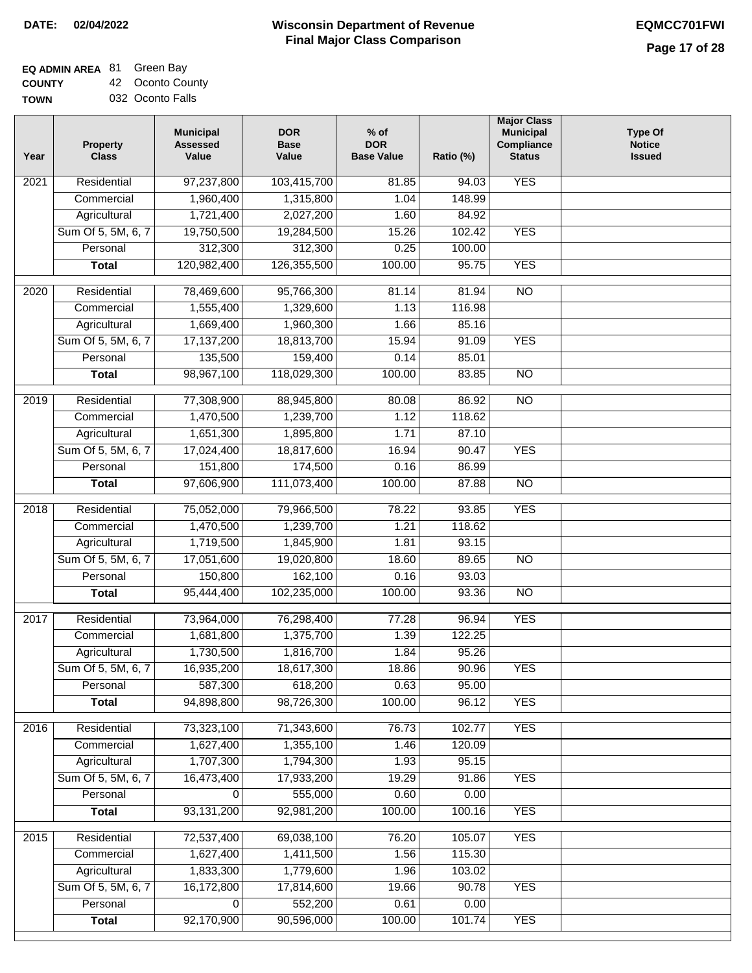٦

# **EQ ADMIN AREA** 81 Green Bay

**COUNTY** TO 42 Oconto County

| Year              | <b>Property</b><br><b>Class</b>    | <b>Municipal</b><br><b>Assessed</b><br>Value | <b>DOR</b><br><b>Base</b><br>Value | $%$ of<br><b>DOR</b><br><b>Base Value</b> | Ratio (%) | <b>Major Class</b><br><b>Municipal</b><br>Compliance<br><b>Status</b> | <b>Type Of</b><br><b>Notice</b><br><b>Issued</b> |
|-------------------|------------------------------------|----------------------------------------------|------------------------------------|-------------------------------------------|-----------|-----------------------------------------------------------------------|--------------------------------------------------|
| 2021              | Residential                        | 97,237,800                                   | 103,415,700                        | 81.85                                     | 94.03     | <b>YES</b>                                                            |                                                  |
|                   | Commercial                         | 1,960,400                                    | 1,315,800                          | 1.04                                      | 148.99    |                                                                       |                                                  |
|                   | Agricultural                       | 1,721,400                                    | 2,027,200                          | 1.60                                      | 84.92     |                                                                       |                                                  |
|                   | Sum Of 5, 5M, 6, 7                 | 19,750,500                                   | 19,284,500                         | 15.26                                     | 102.42    | <b>YES</b>                                                            |                                                  |
|                   | Personal                           | 312,300                                      | 312,300                            | 0.25                                      | 100.00    |                                                                       |                                                  |
|                   | <b>Total</b>                       | 120,982,400                                  | 126,355,500                        | 100.00                                    | 95.75     | <b>YES</b>                                                            |                                                  |
| $\overline{2020}$ | Residential                        | 78,469,600                                   | 95,766,300                         | 81.14                                     | 81.94     | $\overline{10}$                                                       |                                                  |
|                   | Commercial                         | 1,555,400                                    | 1,329,600                          | 1.13                                      | 116.98    |                                                                       |                                                  |
|                   | Agricultural                       | 1,669,400                                    | 1,960,300                          | 1.66                                      | 85.16     |                                                                       |                                                  |
|                   | Sum Of 5, 5M, 6, 7                 | 17,137,200                                   | 18,813,700                         | 15.94                                     | 91.09     | <b>YES</b>                                                            |                                                  |
|                   | Personal                           | 135,500                                      | 159,400                            | 0.14                                      | 85.01     |                                                                       |                                                  |
|                   | <b>Total</b>                       | 98,967,100                                   | 118,029,300                        | 100.00                                    | 83.85     | $\overline{NO}$                                                       |                                                  |
| $\frac{1}{2019}$  | Residential                        | 77,308,900                                   | 88,945,800                         | 80.08                                     | 86.92     | $\overline{NO}$                                                       |                                                  |
|                   | Commercial                         | 1,470,500                                    | 1,239,700                          | 1.12                                      | 118.62    |                                                                       |                                                  |
|                   |                                    | 1,651,300                                    | 1,895,800                          | 1.71                                      | 87.10     |                                                                       |                                                  |
|                   | Agricultural<br>Sum Of 5, 5M, 6, 7 | 17,024,400                                   | 18,817,600                         | 16.94                                     | 90.47     | <b>YES</b>                                                            |                                                  |
|                   | Personal                           |                                              | 174,500                            | 0.16                                      | 86.99     |                                                                       |                                                  |
|                   |                                    | 151,800<br>97,606,900                        | 111,073,400                        | 100.00                                    | 87.88     | $\overline{NO}$                                                       |                                                  |
|                   | <b>Total</b>                       |                                              |                                    |                                           |           |                                                                       |                                                  |
| 2018              | Residential                        | 75,052,000                                   | 79,966,500                         | 78.22                                     | 93.85     | <b>YES</b>                                                            |                                                  |
|                   | Commercial                         | 1,470,500                                    | 1,239,700                          | 1.21                                      | 118.62    |                                                                       |                                                  |
|                   | Agricultural                       | 1,719,500                                    | 1,845,900                          | 1.81                                      | 93.15     |                                                                       |                                                  |
|                   | Sum Of 5, 5M, 6, 7                 | 17,051,600                                   | 19,020,800                         | 18.60                                     | 89.65     | <b>NO</b>                                                             |                                                  |
|                   | Personal                           | 150,800                                      | 162,100                            | 0.16                                      | 93.03     |                                                                       |                                                  |
|                   | <b>Total</b>                       | 95,444,400                                   | 102,235,000                        | 100.00                                    | 93.36     | $\overline{10}$                                                       |                                                  |
| 2017              | Residential                        | 73,964,000                                   | 76,298,400                         | 77.28                                     | 96.94     | <b>YES</b>                                                            |                                                  |
|                   | Commercial                         | 1,681,800                                    | 1,375,700                          | 1.39                                      | 122.25    |                                                                       |                                                  |
|                   | Agricultural                       | 1,730,500                                    | 1,816,700                          | 1.84                                      | 95.26     |                                                                       |                                                  |
|                   | Sum Of 5, 5M, 6, 7                 | 16,935,200                                   | 18,617,300                         | 18.86                                     | 90.96     | <b>YES</b>                                                            |                                                  |
|                   | Personal                           | 587,300                                      | 618,200                            | 0.63                                      | 95.00     |                                                                       |                                                  |
|                   | <b>Total</b>                       | 94,898,800                                   | 98,726,300                         | 100.00                                    | 96.12     | <b>YES</b>                                                            |                                                  |
| 2016              | Residential                        | 73,323,100                                   | 71,343,600                         | 76.73                                     | 102.77    | <b>YES</b>                                                            |                                                  |
|                   | Commercial                         | 1,627,400                                    | 1,355,100                          | 1.46                                      | 120.09    |                                                                       |                                                  |
|                   | Agricultural                       | 1,707,300                                    | 1,794,300                          | 1.93                                      | 95.15     |                                                                       |                                                  |
|                   | Sum Of 5, 5M, 6, 7                 | 16,473,400                                   | 17,933,200                         | 19.29                                     | 91.86     | <b>YES</b>                                                            |                                                  |
|                   | Personal                           | 0                                            | 555,000                            | 0.60                                      | 0.00      |                                                                       |                                                  |
|                   | <b>Total</b>                       | 93,131,200                                   | 92,981,200                         | 100.00                                    | 100.16    | <b>YES</b>                                                            |                                                  |
| 2015              | Residential                        | 72,537,400                                   | 69,038,100                         | 76.20                                     | 105.07    | <b>YES</b>                                                            |                                                  |
|                   | Commercial                         | 1,627,400                                    | 1,411,500                          | 1.56                                      | 115.30    |                                                                       |                                                  |
|                   | Agricultural                       | 1,833,300                                    | 1,779,600                          | 1.96                                      | 103.02    |                                                                       |                                                  |
|                   | Sum Of 5, 5M, 6, 7                 | 16,172,800                                   | 17,814,600                         | 19.66                                     | 90.78     | <b>YES</b>                                                            |                                                  |
|                   | Personal                           | 0                                            | 552,200                            | 0.61                                      | 0.00      |                                                                       |                                                  |
|                   | <b>Total</b>                       | 92,170,900                                   | 90,596,000                         | 100.00                                    | 101.74    | <b>YES</b>                                                            |                                                  |
|                   |                                    |                                              |                                    |                                           |           |                                                                       |                                                  |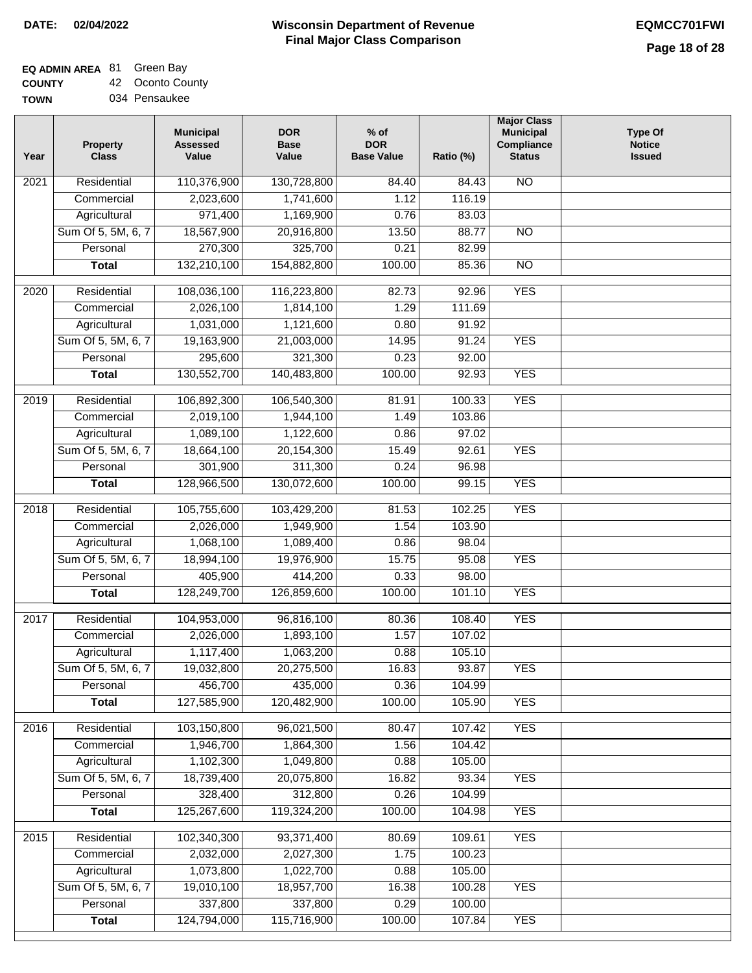#### **Wisconsin Department of Revenue Final Major Class Comparison DATE: 02/04/2022 EQMCC701FWI**

# **EQ ADMIN AREA** 81 Green Bay

**COUNTY TOWN** 42 Oconto County

| Year              | <b>Property</b><br><b>Class</b> | <b>Municipal</b><br><b>Assessed</b><br>Value | <b>DOR</b><br><b>Base</b><br>Value | $%$ of<br><b>DOR</b><br><b>Base Value</b> | Ratio (%) | <b>Major Class</b><br><b>Municipal</b><br>Compliance<br><b>Status</b> | <b>Type Of</b><br><b>Notice</b><br><b>Issued</b> |
|-------------------|---------------------------------|----------------------------------------------|------------------------------------|-------------------------------------------|-----------|-----------------------------------------------------------------------|--------------------------------------------------|
| 2021              | Residential                     | 110,376,900                                  | 130,728,800                        | 84.40                                     | 84.43     | <b>NO</b>                                                             |                                                  |
|                   | Commercial                      | 2,023,600                                    | 1,741,600                          | 1.12                                      | 116.19    |                                                                       |                                                  |
|                   | Agricultural                    | 971,400                                      | 1,169,900                          | 0.76                                      | 83.03     |                                                                       |                                                  |
|                   | Sum Of 5, 5M, 6, 7              | 18,567,900                                   | 20,916,800                         | 13.50                                     | 88.77     | $\overline{NO}$                                                       |                                                  |
|                   | Personal                        | 270,300                                      | 325,700                            | 0.21                                      | 82.99     |                                                                       |                                                  |
|                   | <b>Total</b>                    | 132,210,100                                  | 154,882,800                        | 100.00                                    | 85.36     | $\overline{NO}$                                                       |                                                  |
| $\overline{2020}$ | Residential                     | 108,036,100                                  | 116,223,800                        | 82.73                                     | 92.96     | <b>YES</b>                                                            |                                                  |
|                   | Commercial                      | 2,026,100                                    | 1,814,100                          | 1.29                                      | 111.69    |                                                                       |                                                  |
|                   | Agricultural                    | 1,031,000                                    | 1,121,600                          | 0.80                                      | 91.92     |                                                                       |                                                  |
|                   | Sum Of 5, 5M, 6, 7              | 19,163,900                                   | 21,003,000                         | 14.95                                     | 91.24     | <b>YES</b>                                                            |                                                  |
|                   | Personal                        | 295,600                                      | 321,300                            | 0.23                                      | 92.00     |                                                                       |                                                  |
|                   | <b>Total</b>                    | 130,552,700                                  | 140,483,800                        | 100.00                                    | 92.93     | <b>YES</b>                                                            |                                                  |
|                   |                                 |                                              |                                    |                                           |           |                                                                       |                                                  |
| $\frac{1}{2019}$  | Residential                     | 106,892,300                                  | 106,540,300                        | 81.91                                     | 100.33    | <b>YES</b>                                                            |                                                  |
|                   | Commercial                      | 2,019,100                                    | 1,944,100                          | 1.49                                      | 103.86    |                                                                       |                                                  |
|                   | Agricultural                    | 1,089,100                                    | 1,122,600                          | 0.86                                      | 97.02     |                                                                       |                                                  |
|                   | Sum Of 5, 5M, 6, 7              | 18,664,100                                   | 20,154,300                         | 15.49                                     | 92.61     | <b>YES</b>                                                            |                                                  |
|                   | Personal                        | 301,900                                      | 311,300                            | 0.24                                      | 96.98     |                                                                       |                                                  |
|                   | <b>Total</b>                    | 128,966,500                                  | 130,072,600                        | 100.00                                    | 99.15     | <b>YES</b>                                                            |                                                  |
| 2018              | Residential                     | 105,755,600                                  | 103,429,200                        | 81.53                                     | 102.25    | <b>YES</b>                                                            |                                                  |
|                   | Commercial                      | 2,026,000                                    | 1,949,900                          | 1.54                                      | 103.90    |                                                                       |                                                  |
|                   | Agricultural                    | 1,068,100                                    | 1,089,400                          | 0.86                                      | 98.04     |                                                                       |                                                  |
|                   | Sum Of 5, 5M, 6, 7              | 18,994,100                                   | 19,976,900                         | 15.75                                     | 95.08     | <b>YES</b>                                                            |                                                  |
|                   | Personal                        | 405,900                                      | 414,200                            | 0.33                                      | 98.00     |                                                                       |                                                  |
|                   | <b>Total</b>                    | 128,249,700                                  | 126,859,600                        | 100.00                                    | 101.10    | <b>YES</b>                                                            |                                                  |
| 2017              | Residential                     | 104,953,000                                  | 96,816,100                         | 80.36                                     | 108.40    | <b>YES</b>                                                            |                                                  |
|                   | Commercial                      | 2,026,000                                    | 1,893,100                          | 1.57                                      | 107.02    |                                                                       |                                                  |
|                   | Agricultural                    | 1,117,400                                    | 1,063,200                          | 0.88                                      | 105.10    |                                                                       |                                                  |
|                   | Sum Of 5, 5M, 6, 7              | 19,032,800                                   | 20,275,500                         | 16.83                                     | 93.87     | <b>YES</b>                                                            |                                                  |
|                   | Personal                        | 456,700                                      | 435,000                            | 0.36                                      | 104.99    |                                                                       |                                                  |
|                   | <b>Total</b>                    | 127,585,900                                  | 120,482,900                        | 100.00                                    | 105.90    | <b>YES</b>                                                            |                                                  |
|                   |                                 |                                              |                                    |                                           |           |                                                                       |                                                  |
| 2016              | Residential                     | 103,150,800                                  | 96,021,500                         | 80.47                                     | 107.42    | <b>YES</b>                                                            |                                                  |
|                   | Commercial                      | 1,946,700                                    | 1,864,300                          | 1.56                                      | 104.42    |                                                                       |                                                  |
|                   | Agricultural                    | 1,102,300                                    | 1,049,800                          | 0.88                                      | 105.00    |                                                                       |                                                  |
|                   | Sum Of 5, 5M, 6, 7              | 18,739,400                                   | 20,075,800                         | 16.82                                     | 93.34     | <b>YES</b>                                                            |                                                  |
|                   | Personal                        | 328,400                                      | 312,800                            | 0.26                                      | 104.99    |                                                                       |                                                  |
|                   | <b>Total</b>                    | 125,267,600                                  | 119,324,200                        | 100.00                                    | 104.98    | <b>YES</b>                                                            |                                                  |
| 2015              | Residential                     | 102,340,300                                  | 93,371,400                         | 80.69                                     | 109.61    | <b>YES</b>                                                            |                                                  |
|                   | Commercial                      | 2,032,000                                    | 2,027,300                          | 1.75                                      | 100.23    |                                                                       |                                                  |
|                   | Agricultural                    | 1,073,800                                    | 1,022,700                          | 0.88                                      | 105.00    |                                                                       |                                                  |
|                   | Sum Of 5, 5M, 6, 7              | 19,010,100                                   | 18,957,700                         | 16.38                                     | 100.28    | <b>YES</b>                                                            |                                                  |
|                   | Personal                        | 337,800                                      | 337,800                            | 0.29                                      | 100.00    |                                                                       |                                                  |
|                   | <b>Total</b>                    | 124,794,000                                  | 115,716,900                        | 100.00                                    | 107.84    | <b>YES</b>                                                            |                                                  |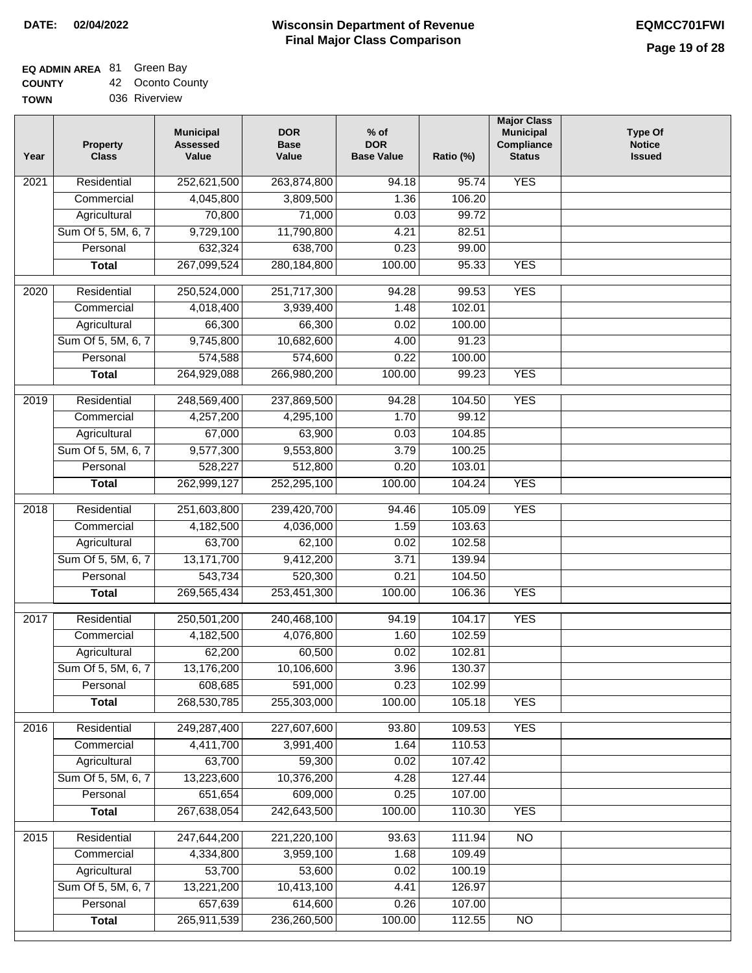# **EQ ADMIN AREA** 81 Green Bay

**COUNTY TOWN** 42 Oconto County 036 Riverview

| Year             | <b>Property</b><br><b>Class</b> | <b>Municipal</b><br><b>Assessed</b><br>Value | <b>DOR</b><br><b>Base</b><br>Value | $%$ of<br><b>DOR</b><br><b>Base Value</b> | Ratio (%) | <b>Major Class</b><br><b>Municipal</b><br>Compliance<br><b>Status</b> | <b>Type Of</b><br><b>Notice</b><br><b>Issued</b> |
|------------------|---------------------------------|----------------------------------------------|------------------------------------|-------------------------------------------|-----------|-----------------------------------------------------------------------|--------------------------------------------------|
| 2021             | Residential                     | 252,621,500                                  | 263,874,800                        | 94.18                                     | 95.74     | <b>YES</b>                                                            |                                                  |
|                  | Commercial                      | 4,045,800                                    | 3,809,500                          | 1.36                                      | 106.20    |                                                                       |                                                  |
|                  | Agricultural                    | 70,800                                       | 71,000                             | 0.03                                      | 99.72     |                                                                       |                                                  |
|                  | Sum Of 5, 5M, 6, 7              | 9,729,100                                    | 11,790,800                         | 4.21                                      | 82.51     |                                                                       |                                                  |
|                  | Personal                        | 632,324                                      | 638,700                            | 0.23                                      | 99.00     |                                                                       |                                                  |
|                  | <b>Total</b>                    | 267,099,524                                  | 280, 184, 800                      | 100.00                                    | 95.33     | <b>YES</b>                                                            |                                                  |
| 2020             | Residential                     | 250,524,000                                  | 251,717,300                        | 94.28                                     | 99.53     | <b>YES</b>                                                            |                                                  |
|                  | Commercial                      | 4,018,400                                    | 3,939,400                          | 1.48                                      | 102.01    |                                                                       |                                                  |
|                  | Agricultural                    | 66,300                                       | 66,300                             | 0.02                                      | 100.00    |                                                                       |                                                  |
|                  | Sum Of 5, 5M, 6, 7              | 9,745,800                                    | 10,682,600                         | 4.00                                      | 91.23     |                                                                       |                                                  |
|                  | Personal                        | 574,588                                      | 574,600                            | 0.22                                      | 100.00    |                                                                       |                                                  |
|                  | <b>Total</b>                    | 264,929,088                                  | 266,980,200                        | 100.00                                    | 99.23     | <b>YES</b>                                                            |                                                  |
| $\frac{1}{2019}$ | Residential                     | 248,569,400                                  | 237,869,500                        | 94.28                                     | 104.50    | <b>YES</b>                                                            |                                                  |
|                  | Commercial                      | 4,257,200                                    | 4,295,100                          | 1.70                                      | 99.12     |                                                                       |                                                  |
|                  | Agricultural                    | 67,000                                       | 63,900                             | 0.03                                      | 104.85    |                                                                       |                                                  |
|                  | Sum Of 5, 5M, 6, 7              | 9,577,300                                    | 9,553,800                          | 3.79                                      | 100.25    |                                                                       |                                                  |
|                  | Personal                        | 528,227                                      | 512,800                            | 0.20                                      | 103.01    |                                                                       |                                                  |
|                  | <b>Total</b>                    | 262,999,127                                  | 252,295,100                        | 100.00                                    | 104.24    | <b>YES</b>                                                            |                                                  |
| 2018             | Residential                     | 251,603,800                                  | 239,420,700                        | 94.46                                     | 105.09    | <b>YES</b>                                                            |                                                  |
|                  | Commercial                      | 4,182,500                                    | 4,036,000                          | 1.59                                      | 103.63    |                                                                       |                                                  |
|                  | Agricultural                    | 63,700                                       | 62,100                             | 0.02                                      | 102.58    |                                                                       |                                                  |
|                  | Sum Of 5, 5M, 6, 7              | 13,171,700                                   | 9,412,200                          | 3.71                                      | 139.94    |                                                                       |                                                  |
|                  | Personal                        | 543,734                                      | 520,300                            | 0.21                                      | 104.50    |                                                                       |                                                  |
|                  | <b>Total</b>                    | 269,565,434                                  | 253,451,300                        | 100.00                                    | 106.36    | <b>YES</b>                                                            |                                                  |
|                  |                                 |                                              |                                    |                                           |           |                                                                       |                                                  |
| 2017             | Residential                     | 250,501,200                                  | 240,468,100                        | 94.19                                     | 104.17    | <b>YES</b>                                                            |                                                  |
|                  | Commercial                      | 4,182,500                                    | 4,076,800                          | 1.60                                      | 102.59    |                                                                       |                                                  |
|                  | Agricultural                    | 62,200                                       | 60,500                             | 0.02                                      | 102.81    |                                                                       |                                                  |
|                  | Sum Of 5, 5M, 6, 7              | 13,176,200                                   | 10,106,600                         | 3.96                                      | 130.37    |                                                                       |                                                  |
|                  | Personal                        | 608,685                                      | 591,000                            | 0.23                                      | 102.99    |                                                                       |                                                  |
|                  | <b>Total</b>                    | 268,530,785                                  | 255,303,000                        | 100.00                                    | 105.18    | <b>YES</b>                                                            |                                                  |
| 2016             | Residential                     | 249,287,400                                  | 227,607,600                        | 93.80                                     | 109.53    | <b>YES</b>                                                            |                                                  |
|                  | Commercial                      | 4,411,700                                    | 3,991,400                          | 1.64                                      | 110.53    |                                                                       |                                                  |
|                  | Agricultural                    | 63,700                                       | 59,300                             | 0.02                                      | 107.42    |                                                                       |                                                  |
|                  | Sum Of 5, 5M, 6, 7              | 13,223,600                                   | 10,376,200                         | 4.28                                      | 127.44    |                                                                       |                                                  |
|                  | Personal                        | 651,654                                      | 609,000                            | 0.25                                      | 107.00    |                                                                       |                                                  |
|                  | <b>Total</b>                    | 267,638,054                                  | 242,643,500                        | 100.00                                    | 110.30    | <b>YES</b>                                                            |                                                  |
| 2015             | Residential                     | 247,644,200                                  | 221,220,100                        | 93.63                                     | 111.94    | N <sub>O</sub>                                                        |                                                  |
|                  | Commercial                      | 4,334,800                                    | 3,959,100                          | 1.68                                      | 109.49    |                                                                       |                                                  |
|                  | Agricultural                    | 53,700                                       | 53,600                             | 0.02                                      | 100.19    |                                                                       |                                                  |
|                  | Sum Of 5, 5M, 6, 7              | 13,221,200                                   | 10,413,100                         | 4.41                                      | 126.97    |                                                                       |                                                  |
|                  | Personal                        | 657,639                                      | 614,600                            | 0.26                                      | 107.00    |                                                                       |                                                  |
|                  | <b>Total</b>                    | 265,911,539                                  | 236,260,500                        | 100.00                                    | 112.55    | NO                                                                    |                                                  |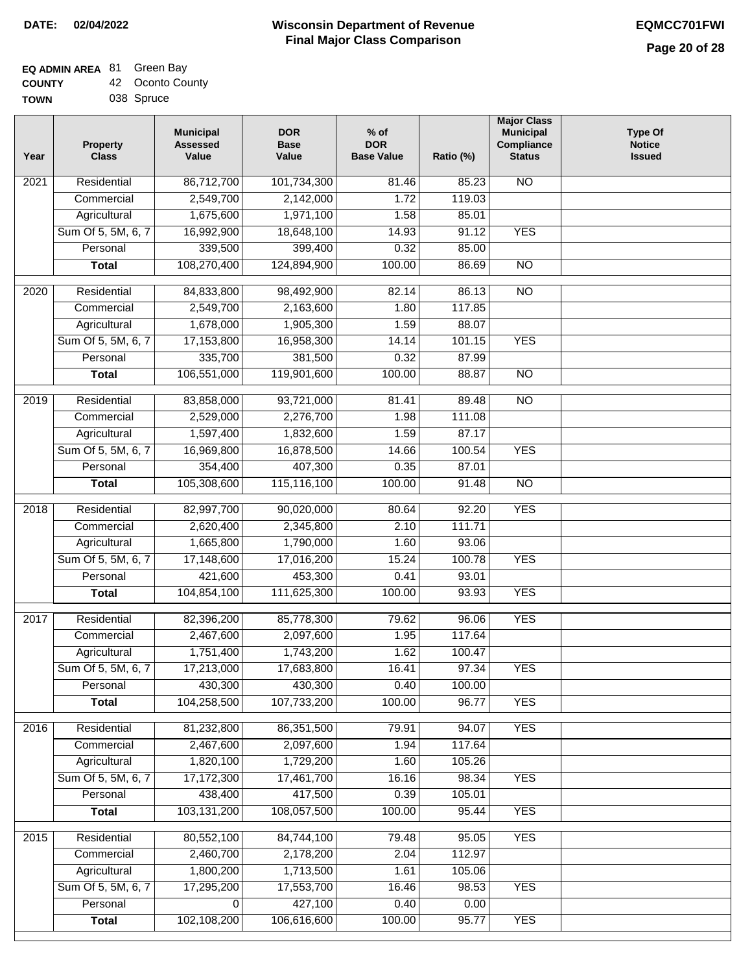#### **Wisconsin Department of Revenue Final Major Class Comparison DATE: 02/04/2022 EQMCC701FWI**

### **EQ ADMIN AREA** 81 Green Bay **COUNTY**

| <b>COUNTY</b> | 42 Oconto County |
|---------------|------------------|
| <b>TOWN</b>   | 038 Spruce       |

| Year              | <b>Property</b><br><b>Class</b> | <b>Municipal</b><br><b>Assessed</b><br>Value | <b>DOR</b><br><b>Base</b><br>Value | $%$ of<br><b>DOR</b><br><b>Base Value</b> | Ratio (%) | <b>Major Class</b><br><b>Municipal</b><br>Compliance<br><b>Status</b> | <b>Type Of</b><br><b>Notice</b><br><b>Issued</b> |
|-------------------|---------------------------------|----------------------------------------------|------------------------------------|-------------------------------------------|-----------|-----------------------------------------------------------------------|--------------------------------------------------|
| 2021              | Residential                     | 86,712,700                                   | 101,734,300                        | 81.46                                     | 85.23     | <b>NO</b>                                                             |                                                  |
|                   | Commercial                      | 2,549,700                                    | 2,142,000                          | 1.72                                      | 119.03    |                                                                       |                                                  |
|                   | Agricultural                    | 1,675,600                                    | 1,971,100                          | 1.58                                      | 85.01     |                                                                       |                                                  |
|                   | Sum Of 5, 5M, 6, 7              | 16,992,900                                   | 18,648,100                         | 14.93                                     | 91.12     | <b>YES</b>                                                            |                                                  |
|                   | Personal                        | 339,500                                      | 399,400                            | 0.32                                      | 85.00     |                                                                       |                                                  |
|                   | <b>Total</b>                    | 108,270,400                                  | 124,894,900                        | 100.00                                    | 86.69     | $\overline{NO}$                                                       |                                                  |
| $\overline{2020}$ | Residential                     | 84,833,800                                   | 98,492,900                         | 82.14                                     | 86.13     | $\overline{NO}$                                                       |                                                  |
|                   | Commercial                      | 2,549,700                                    | 2,163,600                          | 1.80                                      | 117.85    |                                                                       |                                                  |
|                   | Agricultural                    | 1,678,000                                    | 1,905,300                          | 1.59                                      | 88.07     |                                                                       |                                                  |
|                   | Sum Of 5, 5M, 6, 7              | 17,153,800                                   | 16,958,300                         | 14.14                                     | 101.15    | <b>YES</b>                                                            |                                                  |
|                   | Personal                        | 335,700                                      | 381,500                            | 0.32                                      | 87.99     |                                                                       |                                                  |
|                   | <b>Total</b>                    | 106,551,000                                  | 119,901,600                        | 100.00                                    | 88.87     | <b>NO</b>                                                             |                                                  |
| $\frac{1}{2019}$  | Residential                     | 83,858,000                                   | 93,721,000                         | 81.41                                     | 89.48     | $\overline{NO}$                                                       |                                                  |
|                   | Commercial                      | 2,529,000                                    | 2,276,700                          | 1.98                                      | 111.08    |                                                                       |                                                  |
|                   | Agricultural                    | 1,597,400                                    | 1,832,600                          | 1.59                                      | 87.17     |                                                                       |                                                  |
|                   | Sum Of 5, 5M, 6, 7              | 16,969,800                                   | 16,878,500                         | 14.66                                     | 100.54    | <b>YES</b>                                                            |                                                  |
|                   | Personal                        | 354,400                                      | 407,300                            | 0.35                                      | 87.01     |                                                                       |                                                  |
|                   | <b>Total</b>                    | 105,308,600                                  | 115,116,100                        | 100.00                                    | 91.48     | $\overline{NO}$                                                       |                                                  |
| 2018              | Residential                     | 82,997,700                                   | 90,020,000                         | 80.64                                     | 92.20     | <b>YES</b>                                                            |                                                  |
|                   | Commercial                      | 2,620,400                                    | 2,345,800                          | 2.10                                      | 111.71    |                                                                       |                                                  |
|                   | Agricultural                    | 1,665,800                                    | 1,790,000                          | 1.60                                      | 93.06     |                                                                       |                                                  |
|                   | Sum Of 5, 5M, 6, 7              | 17,148,600                                   | 17,016,200                         | 15.24                                     | 100.78    | <b>YES</b>                                                            |                                                  |
|                   | Personal                        | 421,600                                      | 453,300                            | 0.41                                      | 93.01     |                                                                       |                                                  |
|                   | <b>Total</b>                    | 104,854,100                                  | 111,625,300                        | 100.00                                    | 93.93     | <b>YES</b>                                                            |                                                  |
|                   |                                 |                                              |                                    |                                           |           |                                                                       |                                                  |
| 2017              | Residential                     | 82,396,200                                   | 85,778,300                         | 79.62                                     | 96.06     | <b>YES</b>                                                            |                                                  |
|                   | Commercial                      | 2,467,600                                    | 2,097,600                          | 1.95                                      | 117.64    |                                                                       |                                                  |
|                   | Agricultural                    | 1,751,400                                    | 1,743,200                          | 1.62                                      | 100.47    |                                                                       |                                                  |
|                   | Sum Of 5, 5M, 6, 7              | 17,213,000                                   | 17,683,800                         | 16.41                                     | 97.34     | <b>YES</b>                                                            |                                                  |
|                   | Personal                        | 430,300                                      | 430,300                            | 0.40                                      | 100.00    |                                                                       |                                                  |
|                   | <b>Total</b>                    | 104,258,500                                  | 107,733,200                        | 100.00                                    | 96.77     | <b>YES</b>                                                            |                                                  |
| 2016              | Residential                     | 81,232,800                                   | 86,351,500                         | 79.91                                     | 94.07     | <b>YES</b>                                                            |                                                  |
|                   | Commercial                      | 2,467,600                                    | 2,097,600                          | 1.94                                      | 117.64    |                                                                       |                                                  |
|                   | Agricultural                    | 1,820,100                                    | 1,729,200                          | 1.60                                      | 105.26    |                                                                       |                                                  |
|                   | Sum Of 5, 5M, 6, 7              | 17,172,300                                   | 17,461,700                         | 16.16                                     | 98.34     | <b>YES</b>                                                            |                                                  |
|                   | Personal                        | 438,400                                      | 417,500                            | 0.39                                      | 105.01    |                                                                       |                                                  |
|                   | <b>Total</b>                    | 103,131,200                                  | 108,057,500                        | 100.00                                    | 95.44     | <b>YES</b>                                                            |                                                  |
| 2015              | Residential                     | 80,552,100                                   | 84,744,100                         | 79.48                                     | 95.05     | <b>YES</b>                                                            |                                                  |
|                   | Commercial                      | 2,460,700                                    | 2,178,200                          | 2.04                                      | 112.97    |                                                                       |                                                  |
|                   | Agricultural                    | 1,800,200                                    | 1,713,500                          | 1.61                                      | 105.06    |                                                                       |                                                  |
|                   | Sum Of 5, 5M, 6, 7              | 17,295,200                                   | 17,553,700                         | 16.46                                     | 98.53     | <b>YES</b>                                                            |                                                  |
|                   | Personal                        | 0                                            | 427,100                            | 0.40                                      | 0.00      |                                                                       |                                                  |
|                   | <b>Total</b>                    | 102,108,200                                  | 106,616,600                        | 100.00                                    | 95.77     | <b>YES</b>                                                            |                                                  |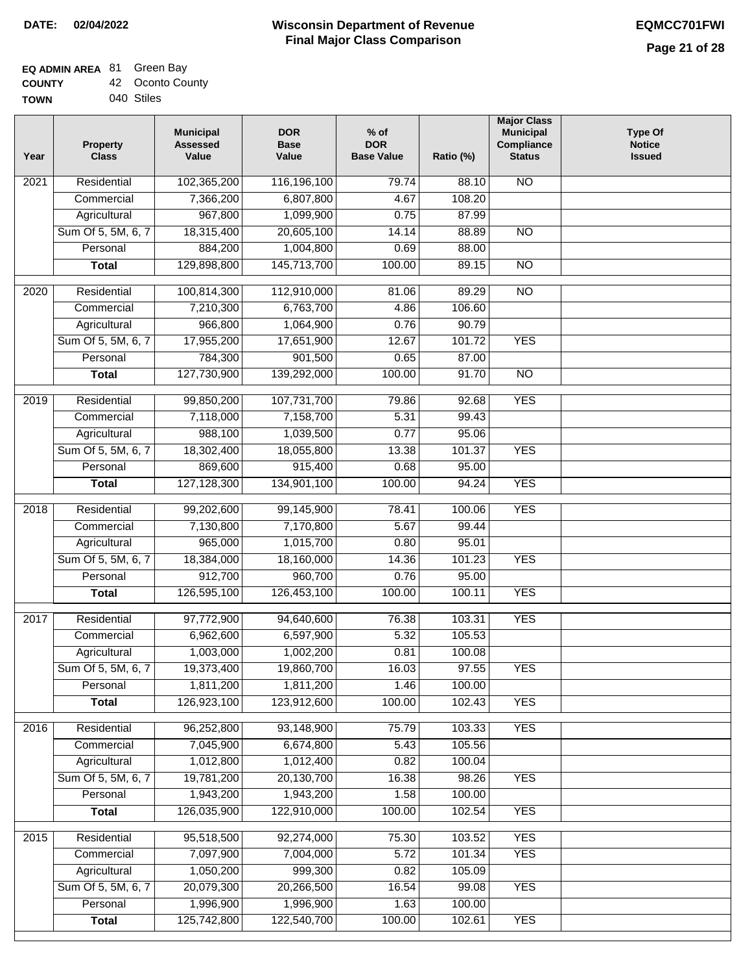┑

### **EQ ADMIN AREA** 81 Green Bay **COUNTY**

| <b>COUNTY</b> | 42 Oconto County |
|---------------|------------------|
| TOWN          | 040 Stiles       |

| Year             | <b>Property</b><br><b>Class</b> | <b>Municipal</b><br><b>Assessed</b><br>Value | <b>DOR</b><br><b>Base</b><br>Value | $%$ of<br><b>DOR</b><br><b>Base Value</b> | Ratio (%) | <b>Major Class</b><br><b>Municipal</b><br>Compliance<br><b>Status</b> | <b>Type Of</b><br><b>Notice</b><br><b>Issued</b> |
|------------------|---------------------------------|----------------------------------------------|------------------------------------|-------------------------------------------|-----------|-----------------------------------------------------------------------|--------------------------------------------------|
| 2021             | Residential                     | 102,365,200                                  | 116,196,100                        | 79.74                                     | 88.10     | <b>NO</b>                                                             |                                                  |
|                  | Commercial                      | 7,366,200                                    | 6,807,800                          | 4.67                                      | 108.20    |                                                                       |                                                  |
|                  | Agricultural                    | 967,800                                      | 1,099,900                          | 0.75                                      | 87.99     |                                                                       |                                                  |
|                  | Sum Of 5, 5M, 6, 7              | 18,315,400                                   | 20,605,100                         | 14.14                                     | 88.89     | $\overline{NO}$                                                       |                                                  |
|                  | Personal                        | 884,200                                      | 1,004,800                          | 0.69                                      | 88.00     |                                                                       |                                                  |
|                  | <b>Total</b>                    | 129,898,800                                  | 145,713,700                        | 100.00                                    | 89.15     | $\overline{NO}$                                                       |                                                  |
| $\frac{1}{2020}$ | Residential                     | 100,814,300                                  | 112,910,000                        | 81.06                                     | 89.29     | $\overline{NO}$                                                       |                                                  |
|                  | Commercial                      | 7,210,300                                    | 6,763,700                          | 4.86                                      | 106.60    |                                                                       |                                                  |
|                  | Agricultural                    | 966,800                                      | 1,064,900                          | 0.76                                      | 90.79     |                                                                       |                                                  |
|                  | Sum Of 5, 5M, 6, 7              | 17,955,200                                   | 17,651,900                         | 12.67                                     | 101.72    | <b>YES</b>                                                            |                                                  |
|                  | Personal                        | 784,300                                      | 901,500                            | 0.65                                      | 87.00     |                                                                       |                                                  |
|                  | <b>Total</b>                    | 127,730,900                                  | 139,292,000                        | 100.00                                    | 91.70     | $\overline{NO}$                                                       |                                                  |
|                  |                                 |                                              |                                    |                                           |           |                                                                       |                                                  |
| 2019             | Residential                     | 99,850,200                                   | 107,731,700                        | 79.86                                     | 92.68     | <b>YES</b>                                                            |                                                  |
|                  | Commercial                      | 7,118,000                                    | 7,158,700                          | 5.31                                      | 99.43     |                                                                       |                                                  |
|                  | Agricultural                    | 988,100                                      | 1,039,500                          | 0.77                                      | 95.06     |                                                                       |                                                  |
|                  | Sum Of 5, 5M, 6, 7              | 18,302,400                                   | 18,055,800                         | 13.38                                     | 101.37    | <b>YES</b>                                                            |                                                  |
|                  | Personal                        | 869,600                                      | 915,400                            | 0.68                                      | 95.00     |                                                                       |                                                  |
|                  | <b>Total</b>                    | 127,128,300                                  | 134,901,100                        | 100.00                                    | 94.24     | <b>YES</b>                                                            |                                                  |
| 2018             | Residential                     | 99,202,600                                   | 99,145,900                         | 78.41                                     | 100.06    | <b>YES</b>                                                            |                                                  |
|                  | Commercial                      | 7,130,800                                    | 7,170,800                          | 5.67                                      | 99.44     |                                                                       |                                                  |
|                  | Agricultural                    | 965,000                                      | 1,015,700                          | 0.80                                      | 95.01     |                                                                       |                                                  |
|                  | Sum Of 5, 5M, 6, 7              | 18,384,000                                   | 18,160,000                         | 14.36                                     | 101.23    | <b>YES</b>                                                            |                                                  |
|                  | Personal                        | 912,700                                      | 960,700                            | 0.76                                      | 95.00     |                                                                       |                                                  |
|                  | <b>Total</b>                    | 126,595,100                                  | 126,453,100                        | 100.00                                    | 100.11    | <b>YES</b>                                                            |                                                  |
| 2017             | Residential                     | 97,772,900                                   | 94,640,600                         | 76.38                                     | 103.31    | <b>YES</b>                                                            |                                                  |
|                  | Commercial                      | 6,962,600                                    | 6,597,900                          | 5.32                                      | 105.53    |                                                                       |                                                  |
|                  | Agricultural                    | 1,003,000                                    | 1,002,200                          | 0.81                                      | 100.08    |                                                                       |                                                  |
|                  | Sum Of 5, 5M, 6, 7              | 19,373,400                                   | 19,860,700                         | 16.03                                     | 97.55     | <b>YES</b>                                                            |                                                  |
|                  | Personal                        | 1,811,200                                    | 1,811,200                          | 1.46                                      | 100.00    |                                                                       |                                                  |
|                  | <b>Total</b>                    | 126,923,100                                  | 123,912,600                        | 100.00                                    | 102.43    | <b>YES</b>                                                            |                                                  |
| 2016             | Residential                     | 96,252,800                                   | 93,148,900                         | 75.79                                     | 103.33    | <b>YES</b>                                                            |                                                  |
|                  | Commercial                      | 7,045,900                                    | 6,674,800                          | 5.43                                      | 105.56    |                                                                       |                                                  |
|                  | Agricultural                    | 1,012,800                                    | 1,012,400                          | 0.82                                      | 100.04    |                                                                       |                                                  |
|                  | Sum Of 5, 5M, 6, 7              | 19,781,200                                   | 20,130,700                         | 16.38                                     | 98.26     | <b>YES</b>                                                            |                                                  |
|                  | Personal                        | 1,943,200                                    | 1,943,200                          | 1.58                                      | 100.00    |                                                                       |                                                  |
|                  | <b>Total</b>                    | 126,035,900                                  | 122,910,000                        | 100.00                                    | 102.54    | <b>YES</b>                                                            |                                                  |
| 2015             | Residential                     | 95,518,500                                   | 92,274,000                         | 75.30                                     | 103.52    | <b>YES</b>                                                            |                                                  |
|                  | Commercial                      | 7,097,900                                    | 7,004,000                          | 5.72                                      | 101.34    | <b>YES</b>                                                            |                                                  |
|                  | Agricultural                    | 1,050,200                                    | 999,300                            | 0.82                                      | 105.09    |                                                                       |                                                  |
|                  | Sum Of 5, 5M, 6, 7              | 20,079,300                                   | 20,266,500                         | 16.54                                     | 99.08     | <b>YES</b>                                                            |                                                  |
|                  | Personal                        | 1,996,900                                    | 1,996,900                          | 1.63                                      | 100.00    |                                                                       |                                                  |
|                  | <b>Total</b>                    | 125,742,800                                  | 122,540,700                        | 100.00                                    | 102.61    | <b>YES</b>                                                            |                                                  |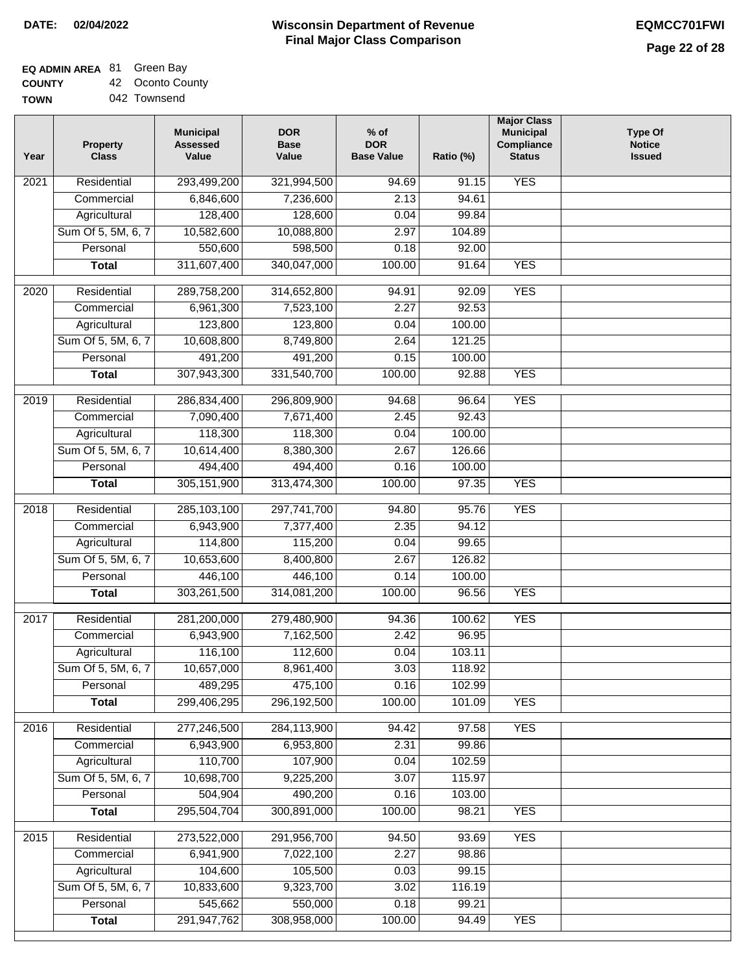## **EQ ADMIN AREA** 81 Green Bay

**COUNTY TOWN** 42 Oconto County

|  | 042 Townsend |
|--|--------------|
|--|--------------|

| Year             | <b>Property</b><br><b>Class</b> | <b>Municipal</b><br><b>Assessed</b><br>Value | <b>DOR</b><br><b>Base</b><br>Value | $%$ of<br><b>DOR</b><br><b>Base Value</b> | Ratio (%) | <b>Major Class</b><br><b>Municipal</b><br>Compliance<br><b>Status</b> | <b>Type Of</b><br><b>Notice</b><br><b>Issued</b> |
|------------------|---------------------------------|----------------------------------------------|------------------------------------|-------------------------------------------|-----------|-----------------------------------------------------------------------|--------------------------------------------------|
| 2021             | Residential                     | 293,499,200                                  | 321,994,500                        | 94.69                                     | 91.15     | <b>YES</b>                                                            |                                                  |
|                  | Commercial                      | 6,846,600                                    | 7,236,600                          | 2.13                                      | 94.61     |                                                                       |                                                  |
|                  | Agricultural                    | 128,400                                      | 128,600                            | 0.04                                      | 99.84     |                                                                       |                                                  |
|                  | Sum Of 5, 5M, 6, 7              | 10,582,600                                   | 10,088,800                         | 2.97                                      | 104.89    |                                                                       |                                                  |
|                  | Personal                        | 550,600                                      | 598,500                            | 0.18                                      | 92.00     |                                                                       |                                                  |
|                  | <b>Total</b>                    | 311,607,400                                  | 340,047,000                        | 100.00                                    | 91.64     | <b>YES</b>                                                            |                                                  |
| 2020             | Residential                     | 289,758,200                                  | 314,652,800                        | 94.91                                     | 92.09     | <b>YES</b>                                                            |                                                  |
|                  | Commercial                      | 6,961,300                                    | 7,523,100                          | 2.27                                      | 92.53     |                                                                       |                                                  |
|                  | Agricultural                    | 123,800                                      | 123,800                            | 0.04                                      | 100.00    |                                                                       |                                                  |
|                  | Sum Of 5, 5M, 6, 7              | 10,608,800                                   | 8,749,800                          | 2.64                                      | 121.25    |                                                                       |                                                  |
|                  | Personal                        | 491,200                                      | 491,200                            | 0.15                                      | 100.00    |                                                                       |                                                  |
|                  | <b>Total</b>                    | 307,943,300                                  | 331,540,700                        | 100.00                                    | 92.88     | <b>YES</b>                                                            |                                                  |
| $\frac{1}{2019}$ | Residential                     | 286,834,400                                  | 296,809,900                        | 94.68                                     | 96.64     | <b>YES</b>                                                            |                                                  |
|                  | Commercial                      | 7,090,400                                    | 7,671,400                          | 2.45                                      | 92.43     |                                                                       |                                                  |
|                  | Agricultural                    | 118,300                                      | 118,300                            | 0.04                                      | 100.00    |                                                                       |                                                  |
|                  | Sum Of 5, 5M, 6, 7              | 10,614,400                                   | 8,380,300                          | 2.67                                      | 126.66    |                                                                       |                                                  |
|                  | Personal                        | 494,400                                      | 494,400                            | 0.16                                      | 100.00    |                                                                       |                                                  |
|                  | <b>Total</b>                    | 305, 151, 900                                | 313,474,300                        | 100.00                                    | 97.35     | <b>YES</b>                                                            |                                                  |
|                  |                                 |                                              |                                    |                                           |           |                                                                       |                                                  |
| 2018             | Residential                     | 285,103,100                                  | 297,741,700                        | 94.80                                     | 95.76     | <b>YES</b>                                                            |                                                  |
|                  | Commercial                      | 6,943,900                                    | 7,377,400                          | 2.35                                      | 94.12     |                                                                       |                                                  |
|                  | Agricultural                    | 114,800                                      | 115,200                            | 0.04                                      | 99.65     |                                                                       |                                                  |
|                  | Sum Of 5, 5M, 6, 7              | 10,653,600                                   | 8,400,800                          | 2.67                                      | 126.82    |                                                                       |                                                  |
|                  | Personal                        | 446,100                                      | 446,100                            | 0.14                                      | 100.00    |                                                                       |                                                  |
|                  | <b>Total</b>                    | 303,261,500                                  | 314,081,200                        | 100.00                                    | 96.56     | <b>YES</b>                                                            |                                                  |
| 2017             | Residential                     | 281,200,000                                  | 279,480,900                        | 94.36                                     | 100.62    | <b>YES</b>                                                            |                                                  |
|                  | Commercial                      | 6,943,900                                    | 7,162,500                          | 2.42                                      | 96.95     |                                                                       |                                                  |
|                  | Agricultural                    | 116,100                                      | 112,600                            | 0.04                                      | 103.11    |                                                                       |                                                  |
|                  | Sum Of 5, 5M, 6, 7              | 10,657,000                                   | 8,961,400                          | 3.03                                      | 118.92    |                                                                       |                                                  |
|                  | Personal                        | 489,295                                      | 475,100                            | 0.16                                      | 102.99    |                                                                       |                                                  |
|                  | <b>Total</b>                    | 299,406,295                                  | 296,192,500                        | 100.00                                    | 101.09    | <b>YES</b>                                                            |                                                  |
| 2016             | Residential                     | 277,246,500                                  | 284,113,900                        | 94.42                                     | 97.58     | <b>YES</b>                                                            |                                                  |
|                  | Commercial                      | 6,943,900                                    | 6,953,800                          | 2.31                                      | 99.86     |                                                                       |                                                  |
|                  | Agricultural                    | 110,700                                      | 107,900                            | 0.04                                      | 102.59    |                                                                       |                                                  |
|                  | Sum Of 5, 5M, 6, 7              | 10,698,700                                   | 9,225,200                          | 3.07                                      | 115.97    |                                                                       |                                                  |
|                  | Personal                        | 504,904                                      | 490,200                            | 0.16                                      | 103.00    |                                                                       |                                                  |
|                  | <b>Total</b>                    | 295,504,704                                  | 300,891,000                        | 100.00                                    | 98.21     | <b>YES</b>                                                            |                                                  |
|                  |                                 |                                              |                                    |                                           |           |                                                                       |                                                  |
| 2015             | Residential                     | 273,522,000                                  | 291,956,700                        | 94.50                                     | 93.69     | <b>YES</b>                                                            |                                                  |
|                  | Commercial                      | 6,941,900                                    | 7,022,100                          | 2.27                                      | 98.86     |                                                                       |                                                  |
|                  | Agricultural                    | 104,600                                      | 105,500                            | 0.03                                      | 99.15     |                                                                       |                                                  |
|                  | Sum Of 5, 5M, 6, 7              | 10,833,600                                   | 9,323,700                          | 3.02                                      | 116.19    |                                                                       |                                                  |
|                  | Personal                        | 545,662                                      | 550,000                            | 0.18                                      | 99.21     |                                                                       |                                                  |
|                  | <b>Total</b>                    | 291, 947, 762                                | 308,958,000                        | 100.00                                    | 94.49     | <b>YES</b>                                                            |                                                  |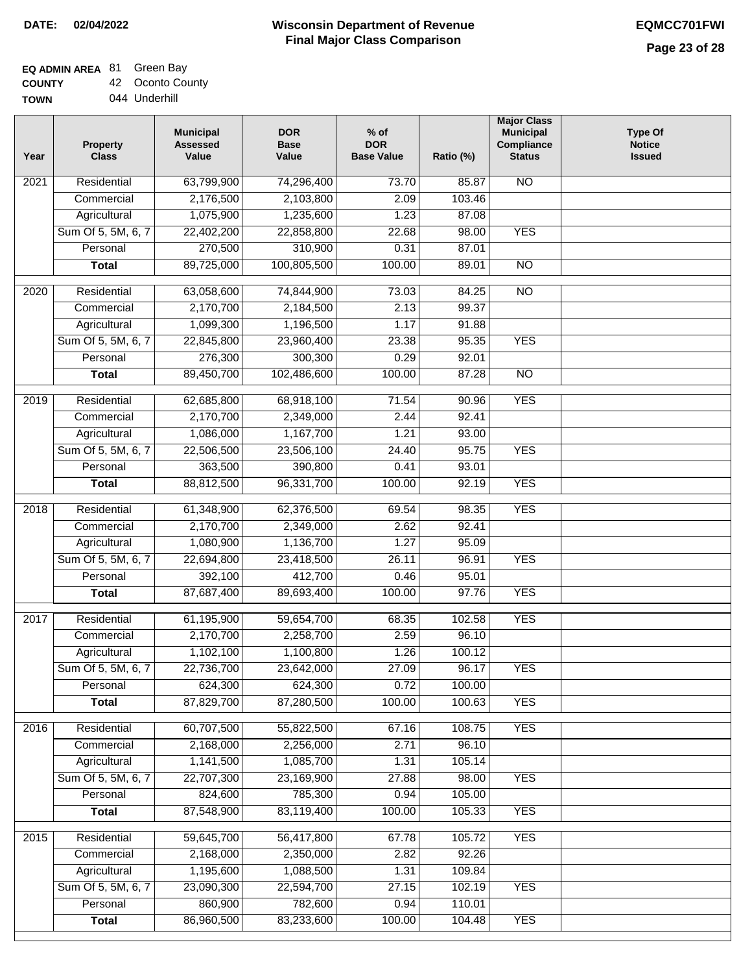#### **Wisconsin Department of Revenue Final Major Class Comparison DATE: 02/04/2022 EQMCC701FWI**

# **EQ ADMIN AREA** 81 Green Bay

**COUNTY**

| <b>COUNTY</b> | 42 Oconto County |
|---------------|------------------|
| <b>TOWN</b>   | 044 Underhill    |

| Year              | <b>Property</b><br><b>Class</b> | <b>Municipal</b><br><b>Assessed</b><br>Value | <b>DOR</b><br><b>Base</b><br>Value | $%$ of<br><b>DOR</b><br><b>Base Value</b> | Ratio (%)       | <b>Major Class</b><br><b>Municipal</b><br>Compliance<br><b>Status</b> | <b>Type Of</b><br><b>Notice</b><br><b>Issued</b> |
|-------------------|---------------------------------|----------------------------------------------|------------------------------------|-------------------------------------------|-----------------|-----------------------------------------------------------------------|--------------------------------------------------|
| 2021              | Residential                     | 63,799,900                                   | 74,296,400                         | 73.70                                     | 85.87           | <b>NO</b>                                                             |                                                  |
|                   | Commercial                      | 2,176,500                                    | 2,103,800                          | 2.09                                      | 103.46          |                                                                       |                                                  |
|                   | Agricultural                    | 1,075,900                                    | 1,235,600                          | 1.23                                      | 87.08           |                                                                       |                                                  |
|                   | Sum Of 5, 5M, 6, 7              | 22,402,200                                   | 22,858,800                         | 22.68                                     | 98.00           | <b>YES</b>                                                            |                                                  |
|                   | Personal                        | 270,500                                      | 310,900                            | 0.31                                      | 87.01           |                                                                       |                                                  |
|                   | <b>Total</b>                    | 89,725,000                                   | 100,805,500                        | 100.00                                    | 89.01           | $\overline{NO}$                                                       |                                                  |
| $\overline{2020}$ | Residential                     | 63,058,600                                   | 74,844,900                         | 73.03                                     | 84.25           | $\overline{NO}$                                                       |                                                  |
|                   | Commercial                      | 2,170,700                                    | 2,184,500                          | 2.13                                      | 99.37           |                                                                       |                                                  |
|                   | Agricultural                    | 1,099,300                                    | 1,196,500                          | 1.17                                      | 91.88           |                                                                       |                                                  |
|                   | Sum Of 5, 5M, 6, 7              | 22,845,800                                   | 23,960,400                         | 23.38                                     | 95.35           | <b>YES</b>                                                            |                                                  |
|                   | Personal                        | 276,300                                      | 300,300                            | 0.29                                      | 92.01           |                                                                       |                                                  |
|                   | <b>Total</b>                    | 89,450,700                                   | 102,486,600                        | 100.00                                    | 87.28           | <b>NO</b>                                                             |                                                  |
| $\frac{1}{2019}$  | Residential                     | 62,685,800                                   | 68,918,100                         | 71.54                                     | 90.96           | <b>YES</b>                                                            |                                                  |
|                   | Commercial                      | 2,170,700                                    | 2,349,000                          | 2.44                                      | 92.41           |                                                                       |                                                  |
|                   | Agricultural                    | 1,086,000                                    | 1,167,700                          | 1.21                                      | 93.00           |                                                                       |                                                  |
|                   | Sum Of 5, 5M, 6, 7              | 22,506,500                                   | 23,506,100                         | 24.40                                     | 95.75           | <b>YES</b>                                                            |                                                  |
|                   | Personal                        | 363,500                                      | 390,800                            | 0.41                                      | 93.01           |                                                                       |                                                  |
|                   | <b>Total</b>                    | 88,812,500                                   | 96,331,700                         | 100.00                                    | 92.19           | <b>YES</b>                                                            |                                                  |
| 2018              | Residential                     | 61,348,900                                   | 62,376,500                         | 69.54                                     | 98.35           | <b>YES</b>                                                            |                                                  |
|                   | Commercial                      | 2,170,700                                    | 2,349,000                          | 2.62                                      | 92.41           |                                                                       |                                                  |
|                   | Agricultural                    | 1,080,900                                    | 1,136,700                          | 1.27                                      | 95.09           |                                                                       |                                                  |
|                   | Sum Of 5, 5M, 6, 7              | 22,694,800                                   | 23,418,500                         | 26.11                                     | 96.91           | <b>YES</b>                                                            |                                                  |
|                   | Personal                        | 392,100                                      | 412,700                            | 0.46                                      | 95.01           |                                                                       |                                                  |
|                   | <b>Total</b>                    | 87,687,400                                   | 89,693,400                         | 100.00                                    | 97.76           | <b>YES</b>                                                            |                                                  |
| 2017              | Residential                     | 61,195,900                                   | 59,654,700                         | 68.35                                     | 102.58          | <b>YES</b>                                                            |                                                  |
|                   | Commercial                      | 2,170,700                                    | 2,258,700                          | 2.59                                      | 96.10           |                                                                       |                                                  |
|                   | Agricultural                    | 1,102,100                                    | 1,100,800                          | 1.26                                      | 100.12          |                                                                       |                                                  |
|                   | Sum Of 5, 5M, 6, 7              | 22,736,700                                   | 23,642,000                         | 27.09                                     | 96.17           | <b>YES</b>                                                            |                                                  |
|                   | Personal                        | 624,300                                      | 624,300                            | 0.72                                      | 100.00          |                                                                       |                                                  |
|                   | <b>Total</b>                    | 87,829,700                                   | 87,280,500                         | 100.00                                    | 100.63          | <b>YES</b>                                                            |                                                  |
|                   |                                 |                                              |                                    |                                           |                 |                                                                       |                                                  |
| 2016              | Residential                     | 60,707,500                                   | 55,822,500                         | 67.16                                     | 108.75          | <b>YES</b>                                                            |                                                  |
|                   | Commercial                      | 2,168,000                                    | 2,256,000                          | 2.71                                      | 96.10           |                                                                       |                                                  |
|                   | Agricultural                    | 1,141,500<br>22,707,300                      | 1,085,700                          | 1.31                                      | 105.14          |                                                                       |                                                  |
|                   | Sum Of 5, 5M, 6, 7<br>Personal  | 824,600                                      | 23,169,900<br>785,300              | 27.88<br>0.94                             | 98.00<br>105.00 | <b>YES</b>                                                            |                                                  |
|                   |                                 | 87,548,900                                   | 83,119,400                         | 100.00                                    | 105.33          | <b>YES</b>                                                            |                                                  |
|                   | <b>Total</b>                    |                                              |                                    |                                           |                 |                                                                       |                                                  |
| 2015              | Residential                     | 59,645,700                                   | 56,417,800                         | 67.78                                     | 105.72          | <b>YES</b>                                                            |                                                  |
|                   | Commercial                      | 2,168,000                                    | 2,350,000                          | 2.82                                      | 92.26           |                                                                       |                                                  |
|                   | Agricultural                    | 1,195,600                                    | 1,088,500                          | 1.31                                      | 109.84          |                                                                       |                                                  |
|                   | Sum Of 5, 5M, 6, 7              | 23,090,300                                   | 22,594,700                         | 27.15                                     | 102.19          | <b>YES</b>                                                            |                                                  |
|                   | Personal                        | 860,900                                      | 782,600                            | 0.94                                      | 110.01          |                                                                       |                                                  |
|                   | <b>Total</b>                    | 86,960,500                                   | 83,233,600                         | 100.00                                    | 104.48          | <b>YES</b>                                                            |                                                  |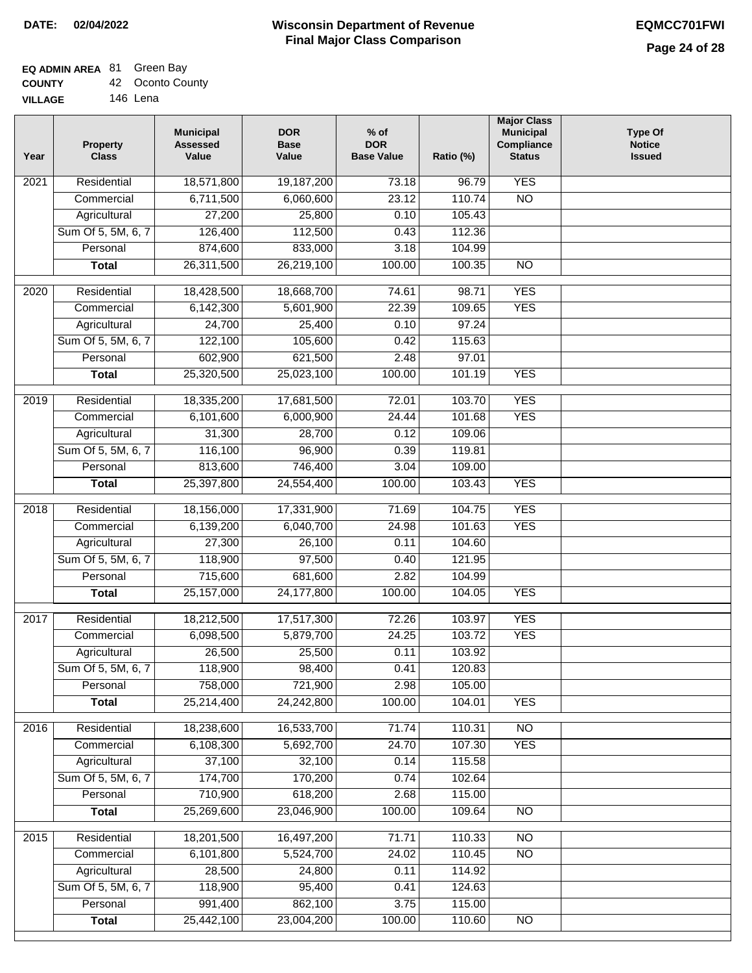#### **Wisconsin Department of Revenue Final Major Class Comparison DATE: 02/04/2022 EQMCC701FWI**

┑

### **EQ ADMIN AREA** 81 Green Bay **COUNTY**

| <b>COUNTY</b>  | 42 Oconto County |
|----------------|------------------|
| <b>VILLAGE</b> | 146 Lena         |

| Year              | <b>Property</b><br><b>Class</b> | <b>Municipal</b><br><b>Assessed</b><br>Value | <b>DOR</b><br><b>Base</b><br>Value | $%$ of<br><b>DOR</b><br><b>Base Value</b> | Ratio (%)        | <b>Major Class</b><br><b>Municipal</b><br>Compliance<br><b>Status</b> | <b>Type Of</b><br><b>Notice</b><br><b>Issued</b> |
|-------------------|---------------------------------|----------------------------------------------|------------------------------------|-------------------------------------------|------------------|-----------------------------------------------------------------------|--------------------------------------------------|
| 2021              | Residential                     | 18,571,800                                   | 19,187,200                         | 73.18                                     | 96.79            | <b>YES</b>                                                            |                                                  |
|                   | Commercial                      | 6,711,500                                    | 6,060,600                          | 23.12                                     | 110.74           | $\overline{NO}$                                                       |                                                  |
|                   | Agricultural                    | 27,200                                       | 25,800                             | 0.10                                      | 105.43           |                                                                       |                                                  |
|                   | Sum Of 5, 5M, 6, 7              | 126,400                                      | 112,500                            | 0.43                                      | 112.36           |                                                                       |                                                  |
|                   | Personal                        | 874,600                                      | 833,000                            | 3.18                                      | 104.99           |                                                                       |                                                  |
|                   | <b>Total</b>                    | 26,311,500                                   | 26,219,100                         | 100.00                                    | 100.35           | $\overline{NO}$                                                       |                                                  |
| $\overline{20}20$ | Residential                     | 18,428,500                                   | 18,668,700                         | 74.61                                     | 98.71            | <b>YES</b>                                                            |                                                  |
|                   | Commercial                      | 6,142,300                                    | 5,601,900                          | 22.39                                     | 109.65           | <b>YES</b>                                                            |                                                  |
|                   | Agricultural                    | 24,700                                       | 25,400                             | 0.10                                      | 97.24            |                                                                       |                                                  |
|                   | Sum Of 5, 5M, 6, 7              | 122,100                                      | 105,600                            | 0.42                                      | 115.63           |                                                                       |                                                  |
|                   | Personal                        | 602,900                                      | 621,500                            | 2.48                                      | 97.01            |                                                                       |                                                  |
|                   | <b>Total</b>                    | 25,320,500                                   | 25,023,100                         | 100.00                                    | 101.19           | <b>YES</b>                                                            |                                                  |
|                   |                                 |                                              |                                    |                                           |                  |                                                                       |                                                  |
| $\frac{1}{2019}$  | Residential                     | 18,335,200                                   | 17,681,500                         | 72.01                                     | 103.70           | <b>YES</b>                                                            |                                                  |
|                   | Commercial                      | 6,101,600                                    | 6,000,900                          | 24.44                                     | 101.68           | <b>YES</b>                                                            |                                                  |
|                   | Agricultural                    | 31,300                                       | 28,700                             | 0.12                                      | 109.06           |                                                                       |                                                  |
|                   | Sum Of 5, 5M, 6, 7              | 116,100                                      | 96,900                             | 0.39                                      | 119.81           |                                                                       |                                                  |
|                   | Personal                        | 813,600                                      | 746,400                            | 3.04                                      | 109.00           |                                                                       |                                                  |
|                   | <b>Total</b>                    | 25,397,800                                   | 24,554,400                         | 100.00                                    | 103.43           | <b>YES</b>                                                            |                                                  |
| 2018              | Residential                     | 18,156,000                                   | 17,331,900                         | 71.69                                     | 104.75           | <b>YES</b>                                                            |                                                  |
|                   | Commercial                      | 6,139,200                                    | 6,040,700                          | 24.98                                     | 101.63           | <b>YES</b>                                                            |                                                  |
|                   | Agricultural                    | 27,300                                       | 26,100                             | 0.11                                      | 104.60           |                                                                       |                                                  |
|                   | Sum Of 5, 5M, 6, 7              | 118,900                                      | 97,500                             | 0.40                                      | 121.95           |                                                                       |                                                  |
|                   | Personal                        | 715,600                                      | 681,600                            | 2.82                                      | 104.99           |                                                                       |                                                  |
|                   | <b>Total</b>                    | 25,157,000                                   | 24,177,800                         | 100.00                                    | 104.05           | <b>YES</b>                                                            |                                                  |
| 2017              | Residential                     | 18,212,500                                   | 17,517,300                         | 72.26                                     | 103.97           | <b>YES</b>                                                            |                                                  |
|                   | Commercial                      | 6,098,500                                    | 5,879,700                          | 24.25                                     | 103.72           | <b>YES</b>                                                            |                                                  |
|                   | Agricultural                    | 26,500                                       | 25,500                             | 0.11                                      | 103.92           |                                                                       |                                                  |
|                   | Sum Of 5, 5M, 6, 7              | 118,900                                      | 98,400                             | 0.41                                      | 120.83           |                                                                       |                                                  |
|                   | Personal                        | 758,000                                      | 721,900                            | 2.98                                      | 105.00           |                                                                       |                                                  |
|                   | <b>Total</b>                    | 25,214,400                                   | 24,242,800                         | 100.00                                    | 104.01           | <b>YES</b>                                                            |                                                  |
| 2016              | Residential                     | 18,238,600                                   | 16,533,700                         | 71.74                                     | 110.31           | $\overline{NO}$                                                       |                                                  |
|                   | Commercial                      | 6,108,300                                    | 5,692,700                          | 24.70                                     | 107.30           | <b>YES</b>                                                            |                                                  |
|                   | Agricultural                    | 37,100                                       | 32,100                             | 0.14                                      | 115.58           |                                                                       |                                                  |
|                   | Sum Of 5, 5M, 6, 7              | 174,700                                      | 170,200                            | 0.74                                      | 102.64           |                                                                       |                                                  |
|                   | Personal                        | 710,900                                      | 618,200                            | 2.68                                      | 115.00           |                                                                       |                                                  |
|                   | <b>Total</b>                    | 25,269,600                                   | 23,046,900                         | 100.00                                    | 109.64           | N <sub>O</sub>                                                        |                                                  |
|                   |                                 |                                              |                                    |                                           |                  |                                                                       |                                                  |
| 2015              | Residential                     | 18,201,500                                   | 16,497,200                         | 71.71                                     | 110.33           | <b>NO</b><br>$\overline{NO}$                                          |                                                  |
|                   | Commercial<br>Agricultural      | 6,101,800<br>28,500                          | 5,524,700<br>24,800                | 24.02<br>0.11                             | 110.45<br>114.92 |                                                                       |                                                  |
|                   | Sum Of 5, 5M, 6, 7              | 118,900                                      | 95,400                             |                                           | 124.63           |                                                                       |                                                  |
|                   | Personal                        | 991,400                                      | 862,100                            | 0.41<br>3.75                              | 115.00           |                                                                       |                                                  |
|                   | <b>Total</b>                    | 25,442,100                                   | 23,004,200                         | 100.00                                    | 110.60           | $\overline{NO}$                                                       |                                                  |
|                   |                                 |                                              |                                    |                                           |                  |                                                                       |                                                  |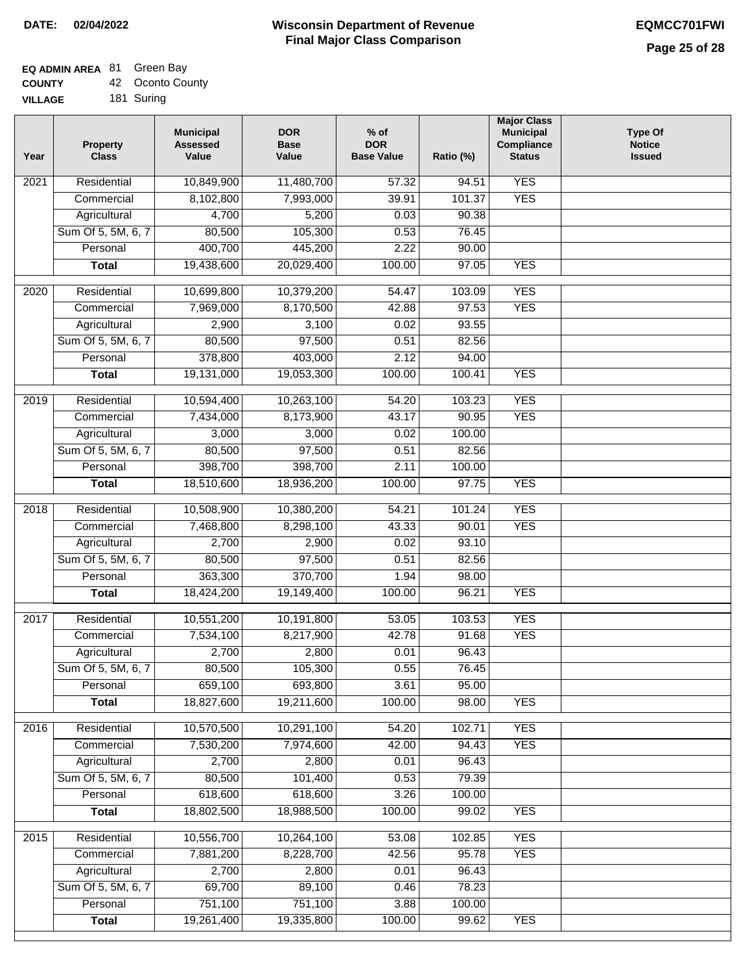# **EQ ADMIN AREA** 81 Green Bay

| <b>COUNTY</b>  | 42 Oconto County |
|----------------|------------------|
| <b>VILLAGE</b> | 181 Suring       |

| GЕ | 181 Suring |
|----|------------|
|    |            |

| Year | <b>Property</b><br><b>Class</b> | <b>Municipal</b><br><b>Assessed</b><br>Value | <b>DOR</b><br><b>Base</b><br>Value | $%$ of<br><b>DOR</b><br><b>Base Value</b> | Ratio (%) | <b>Major Class</b><br><b>Municipal</b><br>Compliance<br><b>Status</b> | <b>Type Of</b><br><b>Notice</b><br><b>Issued</b> |
|------|---------------------------------|----------------------------------------------|------------------------------------|-------------------------------------------|-----------|-----------------------------------------------------------------------|--------------------------------------------------|
| 2021 | Residential                     | 10,849,900                                   | 11,480,700                         | 57.32                                     | 94.51     | <b>YES</b>                                                            |                                                  |
|      | Commercial                      | 8,102,800                                    | 7,993,000                          | 39.91                                     | 101.37    | <b>YES</b>                                                            |                                                  |
|      | Agricultural                    | 4,700                                        | 5,200                              | 0.03                                      | 90.38     |                                                                       |                                                  |
|      | Sum Of 5, 5M, 6, 7              | 80,500                                       | 105,300                            | 0.53                                      | 76.45     |                                                                       |                                                  |
|      | Personal                        | 400,700                                      | 445,200                            | 2.22                                      | 90.00     |                                                                       |                                                  |
|      | <b>Total</b>                    | 19,438,600                                   | 20,029,400                         | 100.00                                    | 97.05     | <b>YES</b>                                                            |                                                  |
| 2020 | Residential                     | 10,699,800                                   | 10,379,200                         | 54.47                                     | 103.09    | <b>YES</b>                                                            |                                                  |
|      | Commercial                      | 7,969,000                                    | 8,170,500                          | 42.88                                     | 97.53     | <b>YES</b>                                                            |                                                  |
|      | Agricultural                    | 2,900                                        | 3,100                              | 0.02                                      | 93.55     |                                                                       |                                                  |
|      | Sum Of 5, 5M, 6, 7              | 80,500                                       | 97,500                             | 0.51                                      | 82.56     |                                                                       |                                                  |
|      | Personal                        | 378,800                                      | 403,000                            | 2.12                                      | 94.00     |                                                                       |                                                  |
|      | <b>Total</b>                    | 19,131,000                                   | 19,053,300                         | 100.00                                    | 100.41    | <b>YES</b>                                                            |                                                  |
| 2019 | Residential                     | 10,594,400                                   | 10,263,100                         | 54.20                                     | 103.23    | <b>YES</b>                                                            |                                                  |
|      | Commercial                      | 7,434,000                                    | 8,173,900                          | 43.17                                     | 90.95     | <b>YES</b>                                                            |                                                  |
|      | Agricultural                    | 3,000                                        | 3,000                              | 0.02                                      | 100.00    |                                                                       |                                                  |
|      | Sum Of 5, 5M, 6, 7              | 80,500                                       | 97,500                             | 0.51                                      | 82.56     |                                                                       |                                                  |
|      | Personal                        | 398,700                                      | 398,700                            | 2.11                                      | 100.00    |                                                                       |                                                  |
|      | <b>Total</b>                    | 18,510,600                                   | 18,936,200                         | 100.00                                    | 97.75     | <b>YES</b>                                                            |                                                  |
| 2018 | Residential                     | 10,508,900                                   | 10,380,200                         | 54.21                                     | 101.24    | <b>YES</b>                                                            |                                                  |
|      | Commercial                      | 7,468,800                                    | 8,298,100                          | 43.33                                     | 90.01     | <b>YES</b>                                                            |                                                  |
|      | Agricultural                    | 2,700                                        | 2,900                              | 0.02                                      | 93.10     |                                                                       |                                                  |
|      | Sum Of 5, 5M, 6, 7              | 80,500                                       | 97,500                             | 0.51                                      | 82.56     |                                                                       |                                                  |
|      | Personal                        | 363,300                                      | 370,700                            | 1.94                                      | 98.00     |                                                                       |                                                  |
|      | <b>Total</b>                    | 18,424,200                                   | 19,149,400                         | 100.00                                    | 96.21     | <b>YES</b>                                                            |                                                  |
| 2017 | Residential                     | 10,551,200                                   | 10,191,800                         | 53.05                                     | 103.53    | <b>YES</b>                                                            |                                                  |
|      | Commercial                      | 7,534,100                                    | 8,217,900                          | 42.78                                     | 91.68     | <b>YES</b>                                                            |                                                  |
|      | Agricultural                    | 2,700                                        | 2,800                              | 0.01                                      | 96.43     |                                                                       |                                                  |
|      | Sum Of 5, 5M, 6, 7              | 80,500                                       | 105,300                            | 0.55                                      | 76.45     |                                                                       |                                                  |
|      | Personal                        | 659,100                                      | 693,800                            | 3.61                                      | 95.00     |                                                                       |                                                  |
|      | <b>Total</b>                    | 18,827,600                                   | 19,211,600                         | 100.00                                    | 98.00     | <b>YES</b>                                                            |                                                  |
| 2016 | Residential                     | 10,570,500                                   | 10,291,100                         | 54.20                                     | 102.71    | <b>YES</b>                                                            |                                                  |
|      | Commercial                      | 7,530,200                                    | 7,974,600                          | 42.00                                     | 94.43     | <b>YES</b>                                                            |                                                  |
|      | Agricultural                    | 2,700                                        | 2,800                              | 0.01                                      | 96.43     |                                                                       |                                                  |
|      | Sum Of 5, 5M, 6, 7              | 80,500                                       | 101,400                            | 0.53                                      | 79.39     |                                                                       |                                                  |
|      | Personal                        | 618,600                                      | 618,600                            | 3.26                                      | 100.00    |                                                                       |                                                  |
|      | <b>Total</b>                    | 18,802,500                                   | 18,988,500                         | 100.00                                    | 99.02     | <b>YES</b>                                                            |                                                  |
| 2015 | Residential                     | 10,556,700                                   | 10,264,100                         | 53.08                                     | 102.85    | <b>YES</b>                                                            |                                                  |
|      | Commercial                      | 7,881,200                                    | 8,228,700                          | 42.56                                     | 95.78     | <b>YES</b>                                                            |                                                  |
|      | Agricultural                    | 2,700                                        | 2,800                              | 0.01                                      | 96.43     |                                                                       |                                                  |
|      | Sum Of 5, 5M, 6, 7              | 69,700                                       | 89,100                             | 0.46                                      | 78.23     |                                                                       |                                                  |
|      | Personal                        | 751,100                                      | 751,100                            | 3.88                                      | 100.00    |                                                                       |                                                  |
|      | <b>Total</b>                    | 19,261,400                                   | 19,335,800                         | 100.00                                    | 99.62     | <b>YES</b>                                                            |                                                  |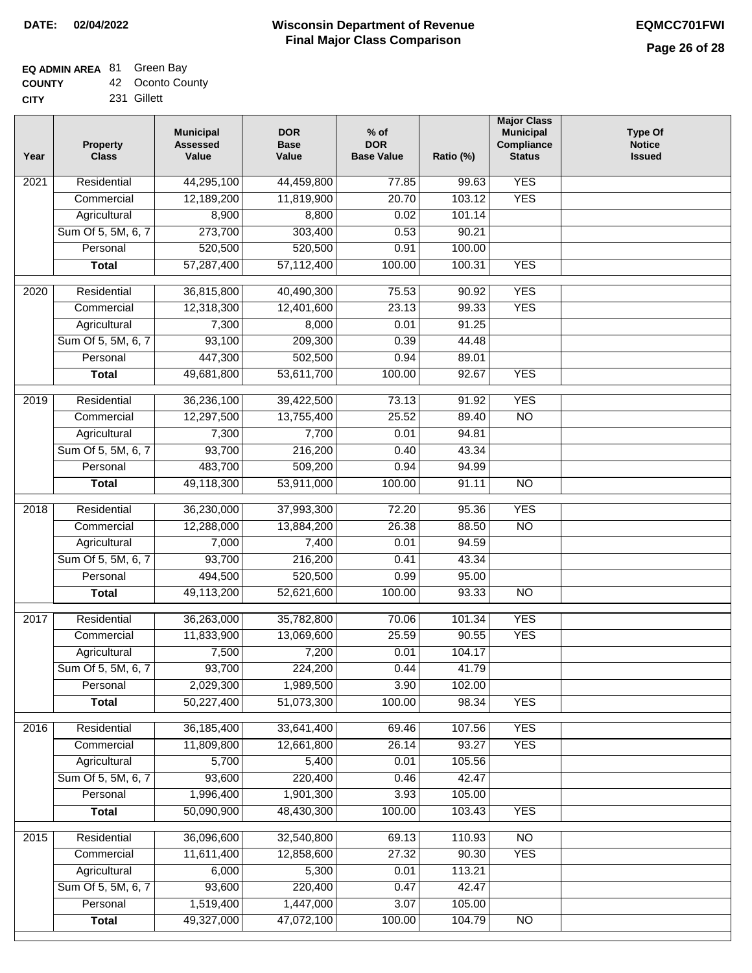### **EQ ADMIN AREA** 81 Green Bay

**COUNTY** 42 Oconto County

**CITY** 231 Gillett

| Year | <b>Property</b><br><b>Class</b>    | <b>Municipal</b><br><b>Assessed</b><br>Value | <b>DOR</b><br><b>Base</b><br>Value | $%$ of<br><b>DOR</b><br><b>Base Value</b> | Ratio (%)      | <b>Major Class</b><br><b>Municipal</b><br>Compliance<br><b>Status</b> | <b>Type Of</b><br><b>Notice</b><br><b>Issued</b> |
|------|------------------------------------|----------------------------------------------|------------------------------------|-------------------------------------------|----------------|-----------------------------------------------------------------------|--------------------------------------------------|
| 2021 | Residential                        | 44,295,100                                   | 44,459,800                         | 77.85                                     | 99.63          | <b>YES</b>                                                            |                                                  |
|      | Commercial                         | 12,189,200                                   | 11,819,900                         | 20.70                                     | 103.12         | <b>YES</b>                                                            |                                                  |
|      | Agricultural                       | 8,900                                        | 8,800                              | 0.02                                      | 101.14         |                                                                       |                                                  |
|      | Sum Of 5, 5M, 6, 7                 | 273,700                                      | 303,400                            | 0.53                                      | 90.21          |                                                                       |                                                  |
|      | Personal                           | 520,500                                      | 520,500                            | 0.91                                      | 100.00         |                                                                       |                                                  |
|      | <b>Total</b>                       | 57,287,400                                   | 57,112,400                         | 100.00                                    | 100.31         | <b>YES</b>                                                            |                                                  |
|      |                                    |                                              |                                    |                                           |                |                                                                       |                                                  |
| 2020 | Residential                        | 36,815,800                                   | 40,490,300                         | 75.53                                     | 90.92          | <b>YES</b><br><b>YES</b>                                              |                                                  |
|      | Commercial                         | 12,318,300                                   | 12,401,600                         | 23.13<br>0.01                             | 99.33<br>91.25 |                                                                       |                                                  |
|      | Agricultural<br>Sum Of 5, 5M, 6, 7 | 7,300                                        | 8,000<br>209,300                   | 0.39                                      | 44.48          |                                                                       |                                                  |
|      | Personal                           | 93,100<br>447,300                            | 502,500                            | 0.94                                      | 89.01          |                                                                       |                                                  |
|      |                                    | 49,681,800                                   | 53,611,700                         | 100.00                                    | 92.67          | <b>YES</b>                                                            |                                                  |
|      | <b>Total</b>                       |                                              |                                    |                                           |                |                                                                       |                                                  |
| 2019 | Residential                        | 36,236,100                                   | 39,422,500                         | 73.13                                     | 91.92          | <b>YES</b>                                                            |                                                  |
|      | Commercial                         | 12,297,500                                   | 13,755,400                         | 25.52                                     | 89.40          | $\overline{NO}$                                                       |                                                  |
|      | Agricultural                       | 7,300                                        | 7,700                              | 0.01                                      | 94.81          |                                                                       |                                                  |
|      | Sum Of 5, 5M, 6, 7                 | 93,700                                       | 216,200                            | 0.40                                      | 43.34          |                                                                       |                                                  |
|      | Personal                           | 483,700                                      | 509,200                            | 0.94                                      | 94.99          |                                                                       |                                                  |
|      | <b>Total</b>                       | 49,118,300                                   | 53,911,000                         | 100.00                                    | 91.11          | $\overline{NO}$                                                       |                                                  |
| 2018 | Residential                        | 36,230,000                                   | 37,993,300                         | 72.20                                     | 95.36          | <b>YES</b>                                                            |                                                  |
|      | Commercial                         | 12,288,000                                   | 13,884,200                         | 26.38                                     | 88.50          | N <sub>O</sub>                                                        |                                                  |
|      | Agricultural                       | 7,000                                        | 7,400                              | 0.01                                      | 94.59          |                                                                       |                                                  |
|      | Sum Of 5, 5M, 6, 7                 | 93,700                                       | 216,200                            | 0.41                                      | 43.34          |                                                                       |                                                  |
|      | Personal                           | 494,500                                      | 520,500                            | 0.99                                      | 95.00          |                                                                       |                                                  |
|      | <b>Total</b>                       | 49,113,200                                   | 52,621,600                         | 100.00                                    | 93.33          | $\overline{NO}$                                                       |                                                  |
| 2017 | Residential                        | 36,263,000                                   | 35,782,800                         | 70.06                                     | 101.34         | <b>YES</b>                                                            |                                                  |
|      | Commercial                         | 11,833,900                                   | 13,069,600                         | 25.59                                     | 90.55          | <b>YES</b>                                                            |                                                  |
|      | Agricultural                       | 7,500                                        | 7,200                              | 0.01                                      | 104.17         |                                                                       |                                                  |
|      | Sum Of 5, 5M, 6, 7                 | 93,700                                       | 224,200                            | 0.44                                      | 41.79          |                                                                       |                                                  |
|      | Personal                           | 2,029,300                                    | 1,989,500                          | 3.90                                      | 102.00         |                                                                       |                                                  |
|      | <b>Total</b>                       | 50,227,400                                   | 51,073,300                         | 100.00                                    | 98.34          | <b>YES</b>                                                            |                                                  |
| 2016 | Residential                        | 36, 185, 400                                 | 33,641,400                         | 69.46                                     | 107.56         | <b>YES</b>                                                            |                                                  |
|      | Commercial                         | 11,809,800                                   | 12,661,800                         | 26.14                                     | 93.27          | <b>YES</b>                                                            |                                                  |
|      | Agricultural                       | 5,700                                        | 5,400                              | 0.01                                      | 105.56         |                                                                       |                                                  |
|      | Sum Of 5, 5M, 6, 7                 | 93,600                                       | 220,400                            | 0.46                                      | 42.47          |                                                                       |                                                  |
|      | Personal                           | 1,996,400                                    | 1,901,300                          | 3.93                                      | 105.00         |                                                                       |                                                  |
|      | <b>Total</b>                       | 50,090,900                                   | 48,430,300                         | 100.00                                    | 103.43         | <b>YES</b>                                                            |                                                  |
|      |                                    |                                              |                                    |                                           |                |                                                                       |                                                  |
| 2015 | Residential                        | 36,096,600                                   | 32,540,800                         | 69.13                                     | 110.93         | N <sub>O</sub>                                                        |                                                  |
|      | Commercial                         | 11,611,400                                   | 12,858,600                         | 27.32                                     | 90.30          | <b>YES</b>                                                            |                                                  |
|      | Agricultural                       | 6,000                                        | 5,300                              | 0.01                                      | 113.21         |                                                                       |                                                  |
|      | Sum Of 5, 5M, 6, 7                 | 93,600                                       | 220,400                            | 0.47                                      | 42.47          |                                                                       |                                                  |
|      | Personal                           | 1,519,400                                    | 1,447,000                          | 3.07                                      | 105.00         |                                                                       |                                                  |
|      | <b>Total</b>                       | 49,327,000                                   | 47,072,100                         | 100.00                                    | 104.79         | NO                                                                    |                                                  |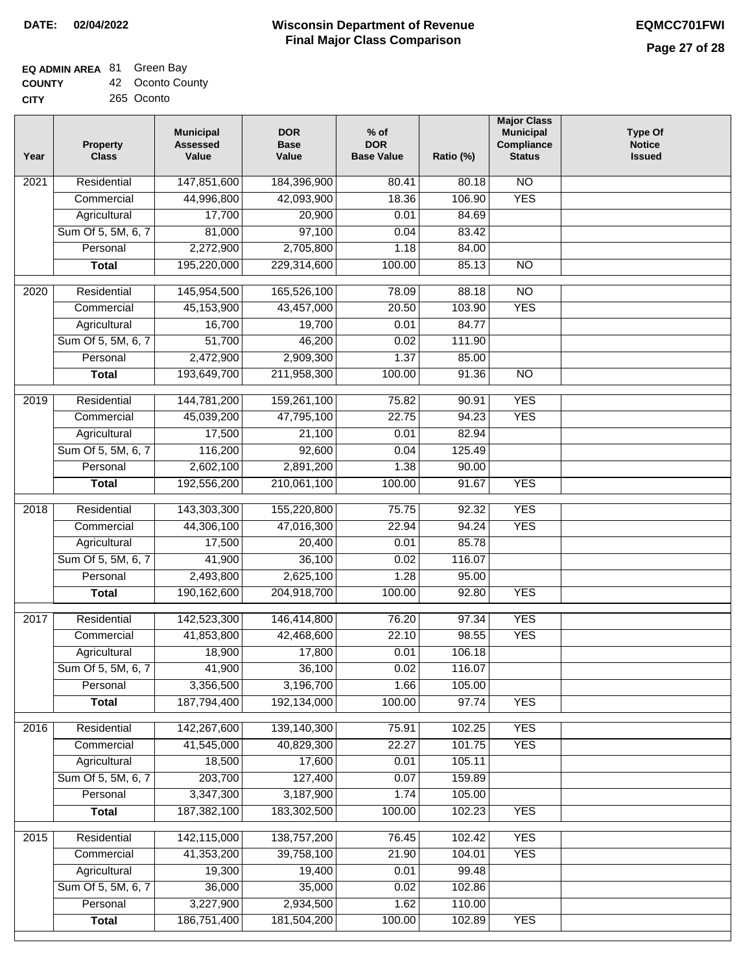## **EQ ADMIN AREA** 81 Green Bay

**COUNTY CITY** 42 Oconto County

265 Oconto

| Year | <b>Property</b><br><b>Class</b> | <b>Municipal</b><br><b>Assessed</b><br>Value | <b>DOR</b><br><b>Base</b><br>Value | $%$ of<br><b>DOR</b><br><b>Base Value</b> | Ratio (%) | <b>Major Class</b><br><b>Municipal</b><br>Compliance<br><b>Status</b> | <b>Type Of</b><br><b>Notice</b><br><b>Issued</b> |
|------|---------------------------------|----------------------------------------------|------------------------------------|-------------------------------------------|-----------|-----------------------------------------------------------------------|--------------------------------------------------|
| 2021 | Residential                     | 147,851,600                                  | 184,396,900                        | 80.41                                     | 80.18     | $\overline{NO}$                                                       |                                                  |
|      | Commercial                      | 44,996,800                                   | 42,093,900                         | 18.36                                     | 106.90    | <b>YES</b>                                                            |                                                  |
|      | Agricultural                    | 17,700                                       | 20,900                             | 0.01                                      | 84.69     |                                                                       |                                                  |
|      | Sum Of 5, 5M, 6, 7              | 81,000                                       | 97,100                             | 0.04                                      | 83.42     |                                                                       |                                                  |
|      | Personal                        | 2,272,900                                    | 2,705,800                          | 1.18                                      | 84.00     |                                                                       |                                                  |
|      | <b>Total</b>                    | 195,220,000                                  | 229,314,600                        | 100.00                                    | 85.13     | $\overline{NO}$                                                       |                                                  |
| 2020 | Residential                     | 145,954,500                                  | 165,526,100                        | 78.09                                     | 88.18     | $\overline{NO}$                                                       |                                                  |
|      | Commercial                      | 45,153,900                                   | 43,457,000                         | 20.50                                     | 103.90    | <b>YES</b>                                                            |                                                  |
|      | Agricultural                    | 16,700                                       | 19,700                             | 0.01                                      | 84.77     |                                                                       |                                                  |
|      | Sum Of 5, 5M, 6, 7              | 51,700                                       | 46,200                             | 0.02                                      | 111.90    |                                                                       |                                                  |
|      | Personal                        | 2,472,900                                    | 2,909,300                          | 1.37                                      | 85.00     |                                                                       |                                                  |
|      | <b>Total</b>                    | 193,649,700                                  | 211,958,300                        | 100.00                                    | 91.36     | $\overline{NO}$                                                       |                                                  |
| 2019 | Residential                     | 144,781,200                                  | 159,261,100                        | 75.82                                     | 90.91     | <b>YES</b>                                                            |                                                  |
|      | Commercial                      | 45,039,200                                   | 47,795,100                         | 22.75                                     | 94.23     | <b>YES</b>                                                            |                                                  |
|      | Agricultural                    | 17,500                                       | 21,100                             | 0.01                                      | 82.94     |                                                                       |                                                  |
|      | Sum Of 5, 5M, 6, 7              | 116,200                                      | 92,600                             | 0.04                                      | 125.49    |                                                                       |                                                  |
|      | Personal                        | 2,602,100                                    | 2,891,200                          | 1.38                                      | 90.00     |                                                                       |                                                  |
|      | <b>Total</b>                    | 192,556,200                                  | 210,061,100                        | 100.00                                    | 91.67     | <b>YES</b>                                                            |                                                  |
| 2018 | Residential                     | 143,303,300                                  | 155,220,800                        | 75.75                                     | 92.32     | <b>YES</b>                                                            |                                                  |
|      | Commercial                      | 44,306,100                                   | 47,016,300                         | 22.94                                     | 94.24     | <b>YES</b>                                                            |                                                  |
|      | Agricultural                    | 17,500                                       | 20,400                             | 0.01                                      | 85.78     |                                                                       |                                                  |
|      | Sum Of 5, 5M, 6, 7              | 41,900                                       | 36,100                             | 0.02                                      | 116.07    |                                                                       |                                                  |
|      | Personal                        | 2,493,800                                    | 2,625,100                          | 1.28                                      | 95.00     |                                                                       |                                                  |
|      | <b>Total</b>                    | 190,162,600                                  | 204,918,700                        | 100.00                                    | 92.80     | <b>YES</b>                                                            |                                                  |
|      |                                 |                                              |                                    |                                           |           |                                                                       |                                                  |
| 2017 | Residential                     | 142,523,300                                  | 146,414,800                        | 76.20                                     | 97.34     | <b>YES</b>                                                            |                                                  |
|      | Commercial                      | 41,853,800                                   | 42,468,600                         | 22.10                                     | 98.55     | <b>YES</b>                                                            |                                                  |
|      | Agricultural                    | 18,900                                       | 17,800                             | 0.01                                      | 106.18    |                                                                       |                                                  |
|      | Sum Of 5, 5M, 6, 7              | 41,900                                       | 36,100                             | 0.02                                      | 116.07    |                                                                       |                                                  |
|      | Personal                        | 3,356,500                                    | 3,196,700                          | 1.66                                      | 105.00    |                                                                       |                                                  |
|      | <b>Total</b>                    | 187,794,400                                  | 192,134,000                        | 100.00                                    | 97.74     | <b>YES</b>                                                            |                                                  |
| 2016 | Residential                     | 142,267,600                                  | 139,140,300                        | 75.91                                     | 102.25    | <b>YES</b>                                                            |                                                  |
|      | Commercial                      | 41,545,000                                   | 40,829,300                         | 22.27                                     | 101.75    | <b>YES</b>                                                            |                                                  |
|      | Agricultural                    | 18,500                                       | 17,600                             | 0.01                                      | 105.11    |                                                                       |                                                  |
|      | Sum Of 5, 5M, 6, 7              | 203,700                                      | 127,400                            | 0.07                                      | 159.89    |                                                                       |                                                  |
|      | Personal                        | 3,347,300                                    | 3,187,900                          | 1.74                                      | 105.00    |                                                                       |                                                  |
|      | <b>Total</b>                    | 187,382,100                                  | 183,302,500                        | 100.00                                    | 102.23    | <b>YES</b>                                                            |                                                  |
| 2015 | Residential                     | 142,115,000                                  | 138,757,200                        | 76.45                                     | 102.42    | <b>YES</b>                                                            |                                                  |
|      | Commercial                      | 41,353,200                                   | 39,758,100                         | 21.90                                     | 104.01    | <b>YES</b>                                                            |                                                  |
|      | Agricultural                    | 19,300                                       | 19,400                             | 0.01                                      | 99.48     |                                                                       |                                                  |
|      | Sum Of 5, 5M, 6, 7              | 36,000                                       | 35,000                             | 0.02                                      | 102.86    |                                                                       |                                                  |
|      | Personal                        | 3,227,900                                    | 2,934,500                          | 1.62                                      | 110.00    |                                                                       |                                                  |
|      | <b>Total</b>                    | 186,751,400                                  | 181,504,200                        | 100.00                                    | 102.89    | <b>YES</b>                                                            |                                                  |